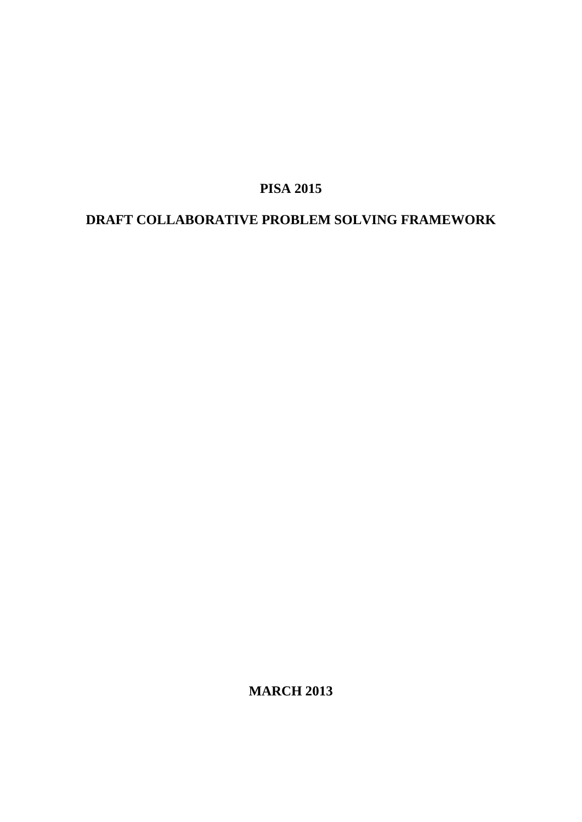# **PISA 2015**

# **DRAFT COLLABORATIVE PROBLEM SOLVING FRAMEWORK**

**MARCH 2013**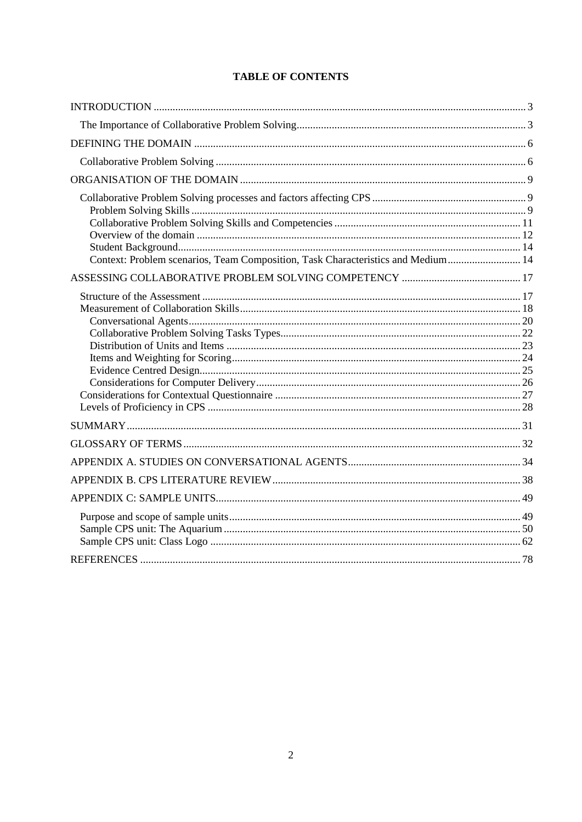| <b>TABLE OF CONTENTS</b> |  |
|--------------------------|--|
|--------------------------|--|

| Context: Problem scenarios, Team Composition, Task Characteristics and Medium 14 |  |
|----------------------------------------------------------------------------------|--|
|                                                                                  |  |
|                                                                                  |  |
|                                                                                  |  |
|                                                                                  |  |
|                                                                                  |  |
|                                                                                  |  |
|                                                                                  |  |
|                                                                                  |  |
|                                                                                  |  |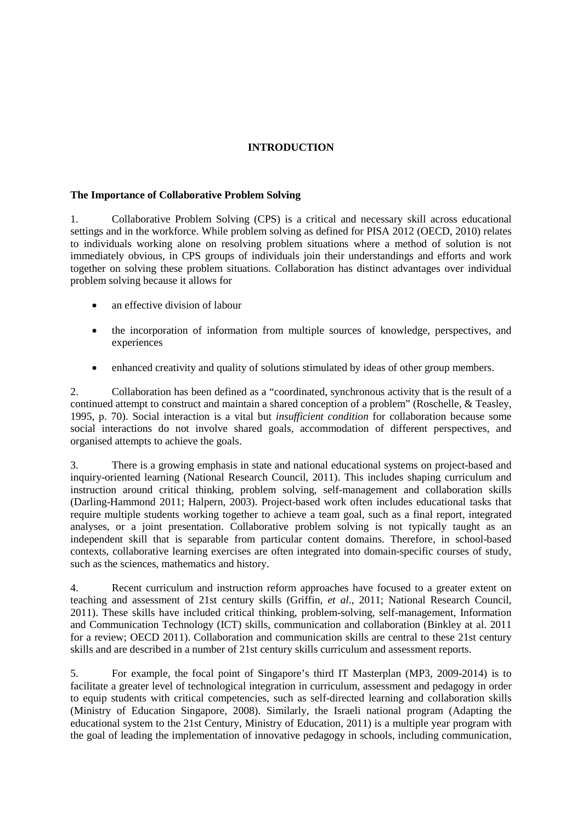### **INTRODUCTION**

#### **The Importance of Collaborative Problem Solving**

1. Collaborative Problem Solving (CPS) is a critical and necessary skill across educational settings and in the workforce. While problem solving as defined for PISA 2012 (OECD, 2010) relates to individuals working alone on resolving problem situations where a method of solution is not immediately obvious, in CPS groups of individuals join their understandings and efforts and work together on solving these problem situations. Collaboration has distinct advantages over individual problem solving because it allows for

- an effective division of labour
- the incorporation of information from multiple sources of knowledge, perspectives, and experiences
- enhanced creativity and quality of solutions stimulated by ideas of other group members.

2. Collaboration has been defined as a "coordinated, synchronous activity that is the result of a continued attempt to construct and maintain a shared conception of a problem" (Roschelle, & Teasley, 1995, p. 70). Social interaction is a vital but *insufficient condition* for collaboration because some social interactions do not involve shared goals, accommodation of different perspectives, and organised attempts to achieve the goals.

3. There is a growing emphasis in state and national educational systems on project-based and inquiry-oriented learning (National Research Council, 2011). This includes shaping curriculum and instruction around critical thinking, problem solving, self-management and collaboration skills (Darling-Hammond 2011; Halpern, 2003). Project-based work often includes educational tasks that require multiple students working together to achieve a team goal, such as a final report, integrated analyses, or a joint presentation. Collaborative problem solving is not typically taught as an independent skill that is separable from particular content domains. Therefore, in school-based contexts, collaborative learning exercises are often integrated into domain-specific courses of study, such as the sciences, mathematics and history.

4. Recent curriculum and instruction reform approaches have focused to a greater extent on teaching and assessment of 21st century skills (Griffin, *et al*., 2011; National Research Council, 2011). These skills have included critical thinking, problem-solving, self-management, Information and Communication Technology (ICT) skills, communication and collaboration (Binkley at al. 2011 for a review; OECD 2011). Collaboration and communication skills are central to these 21st century skills and are described in a number of 21st century skills curriculum and assessment reports.

5. For example, the focal point of Singapore's third IT Masterplan (MP3, 2009-2014) is to facilitate a greater level of technological integration in curriculum, assessment and pedagogy in order to equip students with critical competencies, such as self-directed learning and collaboration skills (Ministry of Education Singapore, 2008). Similarly, the Israeli national program (Adapting the educational system to the 21st Century, Ministry of Education, 2011) is a multiple year program with the goal of leading the implementation of innovative pedagogy in schools, including communication,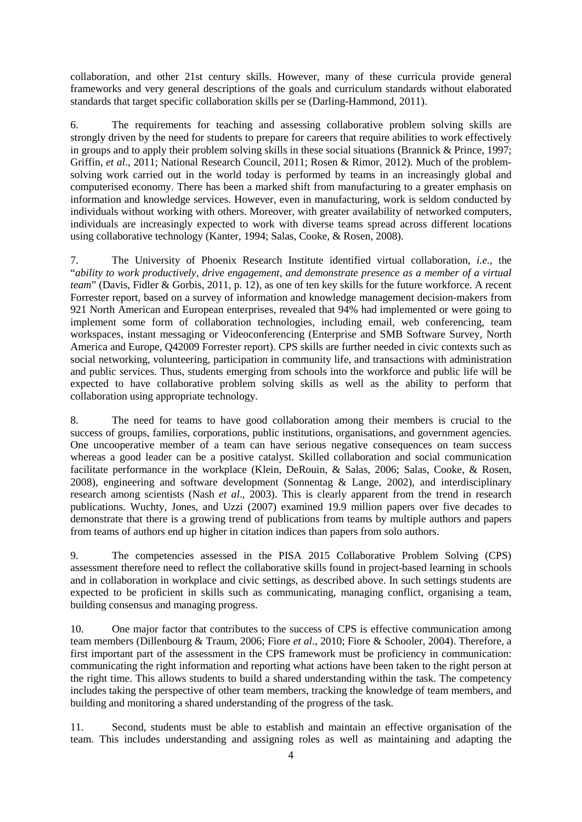collaboration, and other 21st century skills. However, many of these curricula provide general frameworks and very general descriptions of the goals and curriculum standards without elaborated standards that target specific collaboration skills per se (Darling-Hammond, 2011).

6. The requirements for teaching and assessing collaborative problem solving skills are strongly driven by the need for students to prepare for careers that require abilities to work effectively in groups and to apply their problem solving skills in these social situations (Brannick & Prince, 1997; Griffin, *et al.*, 2011; National Research Council, 2011; Rosen & Rimor, 2012). Much of the problemsolving work carried out in the world today is performed by teams in an increasingly global and computerised economy. There has been a marked shift from manufacturing to a greater emphasis on information and knowledge services. However, even in manufacturing, work is seldom conducted by individuals without working with others. Moreover, with greater availability of networked computers, individuals are increasingly expected to work with diverse teams spread across different locations using collaborative technology (Kanter, 1994; Salas, Cooke, & Rosen, 2008).

7. The University of Phoenix Research Institute identified virtual collaboration, *i.e.*, the "*ability to work productively, drive engagement, and demonstrate presence as a member of a virtual team*" (Davis, Fidler & Gorbis, 2011, p. 12), as one of ten key skills for the future workforce. A recent Forrester report, based on a survey of information and knowledge management decision-makers from 921 North American and European enterprises, revealed that 94% had implemented or were going to implement some form of collaboration technologies, including email, web conferencing, team workspaces, instant messaging or Videoconferencing (Enterprise and SMB Software Survey, North America and Europe, Q42009 Forrester report). CPS skills are further needed in civic contexts such as social networking, volunteering, participation in community life, and transactions with administration and public services. Thus, students emerging from schools into the workforce and public life will be expected to have collaborative problem solving skills as well as the ability to perform that collaboration using appropriate technology.

8. The need for teams to have good collaboration among their members is crucial to the success of groups, families, corporations, public institutions, organisations, and government agencies. One uncooperative member of a team can have serious negative consequences on team success whereas a good leader can be a positive catalyst. Skilled collaboration and social communication facilitate performance in the workplace (Klein, DeRouin, & Salas, 2006; Salas, Cooke, & Rosen, 2008), engineering and software development (Sonnentag & Lange, 2002), and interdisciplinary research among scientists (Nash *et al*., 2003). This is clearly apparent from the trend in research publications. Wuchty, Jones, and Uzzi (2007) examined 19.9 million papers over five decades to demonstrate that there is a growing trend of publications from teams by multiple authors and papers from teams of authors end up higher in citation indices than papers from solo authors.

9. The competencies assessed in the PISA 2015 Collaborative Problem Solving (CPS) assessment therefore need to reflect the collaborative skills found in project-based learning in schools and in collaboration in workplace and civic settings, as described above. In such settings students are expected to be proficient in skills such as communicating, managing conflict, organising a team, building consensus and managing progress.

10. One major factor that contributes to the success of CPS is effective communication among team members (Dillenbourg & Traum, 2006; Fiore *et al*., 2010; Fiore & Schooler, 2004). Therefore, a first important part of the assessment in the CPS framework must be proficiency in communication: communicating the right information and reporting what actions have been taken to the right person at the right time. This allows students to build a shared understanding within the task. The competency includes taking the perspective of other team members, tracking the knowledge of team members, and building and monitoring a shared understanding of the progress of the task.

11. Second, students must be able to establish and maintain an effective organisation of the team. This includes understanding and assigning roles as well as maintaining and adapting the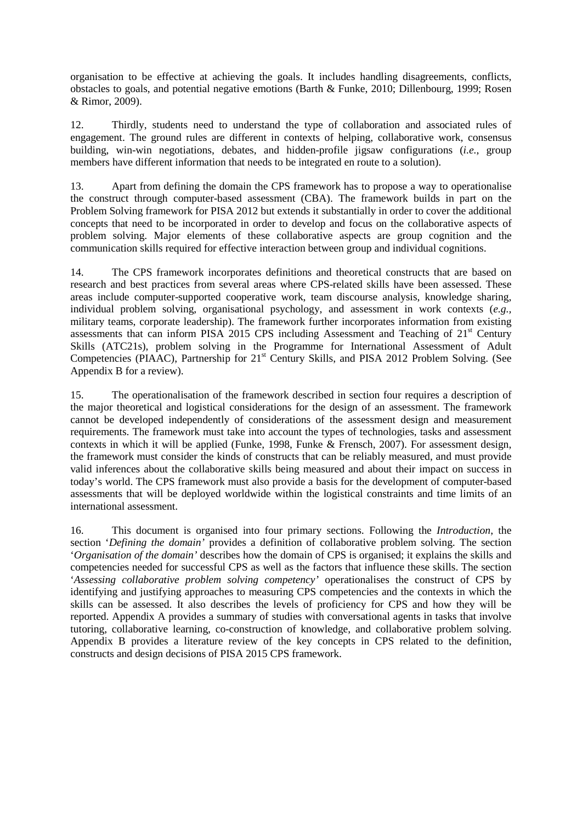organisation to be effective at achieving the goals. It includes handling disagreements, conflicts, obstacles to goals, and potential negative emotions (Barth & Funke, 2010; Dillenbourg, 1999; Rosen & Rimor, 2009).

12. Thirdly, students need to understand the type of collaboration and associated rules of engagement. The ground rules are different in contexts of helping, collaborative work, consensus building, win-win negotiations, debates, and hidden-profile jigsaw configurations (*i.e.*, group members have different information that needs to be integrated en route to a solution).

13. Apart from defining the domain the CPS framework has to propose a way to operationalise the construct through computer-based assessment (CBA). The framework builds in part on the Problem Solving framework for PISA 2012 but extends it substantially in order to cover the additional concepts that need to be incorporated in order to develop and focus on the collaborative aspects of problem solving. Major elements of these collaborative aspects are group cognition and the communication skills required for effective interaction between group and individual cognitions.

14. The CPS framework incorporates definitions and theoretical constructs that are based on research and best practices from several areas where CPS-related skills have been assessed. These areas include computer-supported cooperative work, team discourse analysis, knowledge sharing, individual problem solving, organisational psychology, and assessment in work contexts (*e.g.,*  military teams, corporate leadership). The framework further incorporates information from existing assessments that can inform PISA 2015 CPS including Assessment and Teaching of 21<sup>st</sup> Century Skills (ATC21s), problem solving in the Programme for International Assessment of Adult Competencies (PIAAC), Partnership for 21<sup>st</sup> Century Skills, and PISA 2012 Problem Solving. (See Appendix B for a review).

15. The operationalisation of the framework described in section four requires a description of the major theoretical and logistical considerations for the design of an assessment. The framework cannot be developed independently of considerations of the assessment design and measurement requirements. The framework must take into account the types of technologies, tasks and assessment contexts in which it will be applied (Funke, 1998, Funke & Frensch, 2007). For assessment design, the framework must consider the kinds of constructs that can be reliably measured, and must provide valid inferences about the collaborative skills being measured and about their impact on success in today's world. The CPS framework must also provide a basis for the development of computer-based assessments that will be deployed worldwide within the logistical constraints and time limits of an international assessment.

16. This document is organised into four primary sections. Following the *Introduction*, the section '*Defining the domain'* provides a definition of collaborative problem solving. The section '*Organisation of the domain'* describes how the domain of CPS is organised; it explains the skills and competencies needed for successful CPS as well as the factors that influence these skills. The section '*Assessing collaborative problem solving competency'* operationalises the construct of CPS by identifying and justifying approaches to measuring CPS competencies and the contexts in which the skills can be assessed. It also describes the levels of proficiency for CPS and how they will be reported. Appendix A provides a summary of studies with conversational agents in tasks that involve tutoring, collaborative learning, co-construction of knowledge, and collaborative problem solving. Appendix B provides a literature review of the key concepts in CPS related to the definition, constructs and design decisions of PISA 2015 CPS framework.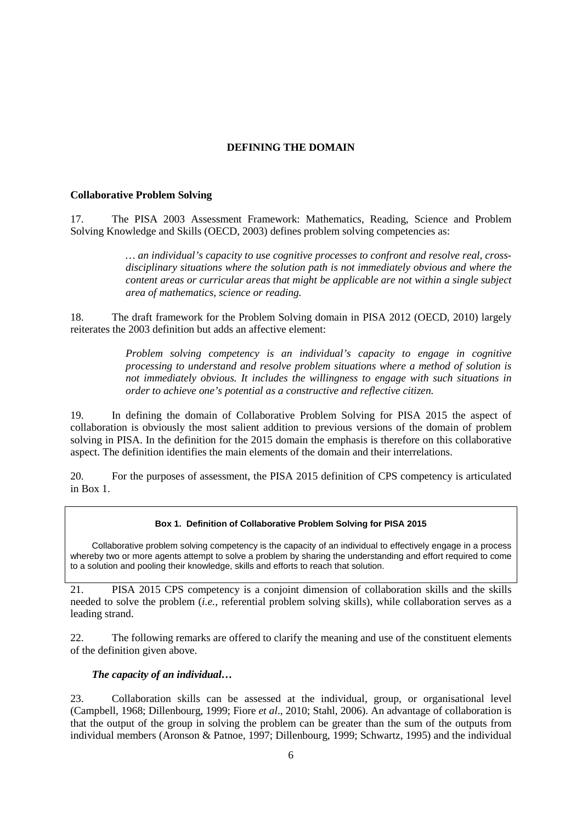### **DEFINING THE DOMAIN**

#### **Collaborative Problem Solving**

17. The PISA 2003 Assessment Framework: Mathematics, Reading, Science and Problem Solving Knowledge and Skills (OECD, 2003) defines problem solving competencies as:

> *… an individual's capacity to use cognitive processes to confront and resolve real, crossdisciplinary situations where the solution path is not immediately obvious and where the content areas or curricular areas that might be applicable are not within a single subject area of mathematics, science or reading.*

18. The draft framework for the Problem Solving domain in PISA 2012 (OECD, 2010) largely reiterates the 2003 definition but adds an affective element:

> *Problem solving competency is an individual's capacity to engage in cognitive processing to understand and resolve problem situations where a method of solution is not immediately obvious. It includes the willingness to engage with such situations in order to achieve one's potential as a constructive and reflective citizen.*

19. In defining the domain of Collaborative Problem Solving for PISA 2015 the aspect of collaboration is obviously the most salient addition to previous versions of the domain of problem solving in PISA. In the definition for the 2015 domain the emphasis is therefore on this collaborative aspect. The definition identifies the main elements of the domain and their interrelations.

20. For the purposes of assessment, the PISA 2015 definition of CPS competency is articulated in Box 1.

#### **Box 1. Definition of Collaborative Problem Solving for PISA 2015**

Collaborative problem solving competency is the capacity of an individual to effectively engage in a process whereby two or more agents attempt to solve a problem by sharing the understanding and effort required to come to a solution and pooling their knowledge, skills and efforts to reach that solution.

21. PISA 2015 CPS competency is a conjoint dimension of collaboration skills and the skills needed to solve the problem (*i.e.*, referential problem solving skills), while collaboration serves as a leading strand.

22. The following remarks are offered to clarify the meaning and use of the constituent elements of the definition given above.

#### *The capacity of an individual…*

23. Collaboration skills can be assessed at the individual, group, or organisational level (Campbell, 1968; Dillenbourg, 1999; Fiore *et al*., 2010; Stahl, 2006). An advantage of collaboration is that the output of the group in solving the problem can be greater than the sum of the outputs from individual members (Aronson & Patnoe, 1997; Dillenbourg, 1999; Schwartz, 1995) and the individual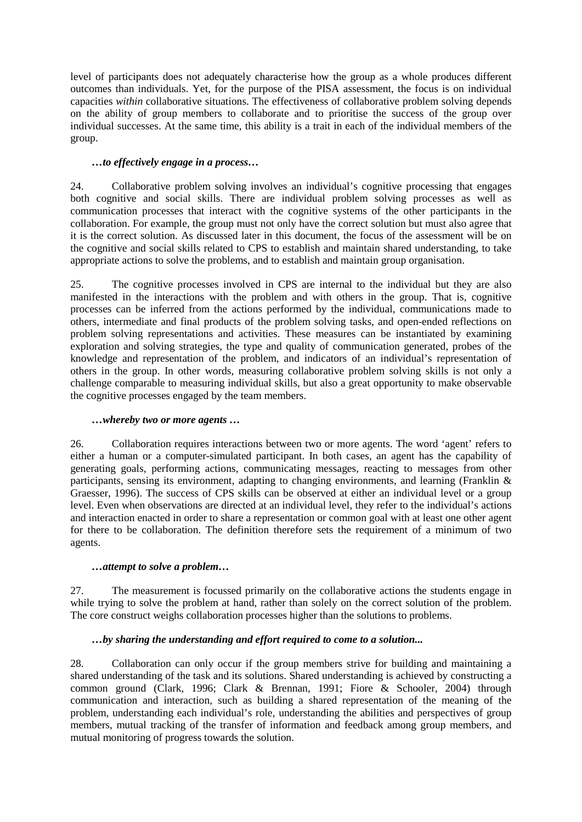level of participants does not adequately characterise how the group as a whole produces different outcomes than individuals. Yet, for the purpose of the PISA assessment, the focus is on individual capacities *within* collaborative situations. The effectiveness of collaborative problem solving depends on the ability of group members to collaborate and to prioritise the success of the group over individual successes. At the same time, this ability is a trait in each of the individual members of the group.

### *…to effectively engage in a process…*

24. Collaborative problem solving involves an individual's cognitive processing that engages both cognitive and social skills. There are individual problem solving processes as well as communication processes that interact with the cognitive systems of the other participants in the collaboration. For example, the group must not only have the correct solution but must also agree that it is the correct solution. As discussed later in this document, the focus of the assessment will be on the cognitive and social skills related to CPS to establish and maintain shared understanding, to take appropriate actions to solve the problems, and to establish and maintain group organisation.

25. The cognitive processes involved in CPS are internal to the individual but they are also manifested in the interactions with the problem and with others in the group. That is, cognitive processes can be inferred from the actions performed by the individual, communications made to others, intermediate and final products of the problem solving tasks, and open-ended reflections on problem solving representations and activities. These measures can be instantiated by examining exploration and solving strategies, the type and quality of communication generated, probes of the knowledge and representation of the problem, and indicators of an individual's representation of others in the group. In other words, measuring collaborative problem solving skills is not only a challenge comparable to measuring individual skills, but also a great opportunity to make observable the cognitive processes engaged by the team members.

## *…whereby two or more agents …*

26. Collaboration requires interactions between two or more agents. The word 'agent' refers to either a human or a computer-simulated participant. In both cases, an agent has the capability of generating goals, performing actions, communicating messages, reacting to messages from other participants, sensing its environment, adapting to changing environments, and learning (Franklin & Graesser, 1996). The success of CPS skills can be observed at either an individual level or a group level. Even when observations are directed at an individual level, they refer to the individual's actions and interaction enacted in order to share a representation or common goal with at least one other agent for there to be collaboration. The definition therefore sets the requirement of a minimum of two agents.

## *…attempt to solve a problem…*

27. The measurement is focussed primarily on the collaborative actions the students engage in while trying to solve the problem at hand, rather than solely on the correct solution of the problem. The core construct weighs collaboration processes higher than the solutions to problems.

## *…by sharing the understanding and effort required to come to a solution...*

28. Collaboration can only occur if the group members strive for building and maintaining a shared understanding of the task and its solutions. Shared understanding is achieved by constructing a common ground (Clark, 1996; Clark & Brennan, 1991; Fiore & Schooler, 2004) through communication and interaction, such as building a shared representation of the meaning of the problem, understanding each individual's role, understanding the abilities and perspectives of group members, mutual tracking of the transfer of information and feedback among group members, and mutual monitoring of progress towards the solution.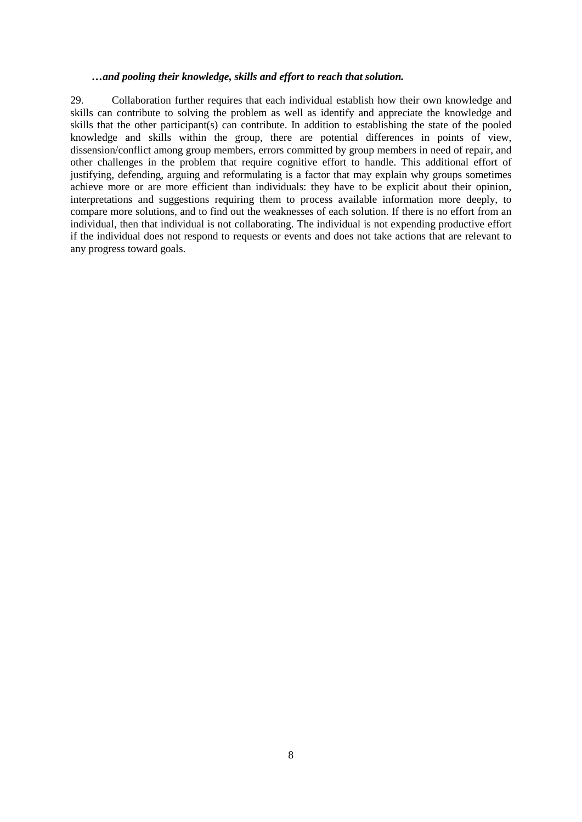#### *…and pooling their knowledge, skills and effort to reach that solution.*

29. Collaboration further requires that each individual establish how their own knowledge and skills can contribute to solving the problem as well as identify and appreciate the knowledge and skills that the other participant(s) can contribute. In addition to establishing the state of the pooled knowledge and skills within the group, there are potential differences in points of view, dissension/conflict among group members, errors committed by group members in need of repair, and other challenges in the problem that require cognitive effort to handle. This additional effort of justifying, defending, arguing and reformulating is a factor that may explain why groups sometimes achieve more or are more efficient than individuals: they have to be explicit about their opinion, interpretations and suggestions requiring them to process available information more deeply, to compare more solutions, and to find out the weaknesses of each solution. If there is no effort from an individual, then that individual is not collaborating. The individual is not expending productive effort if the individual does not respond to requests or events and does not take actions that are relevant to any progress toward goals.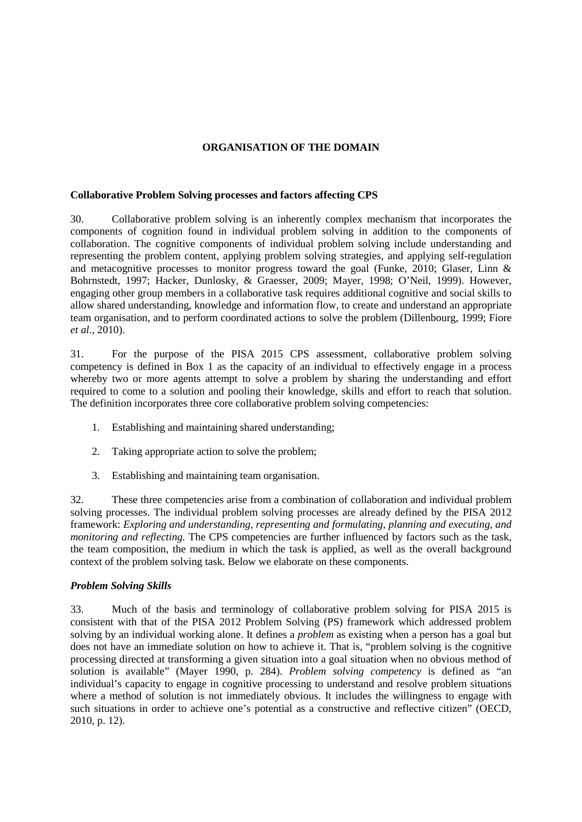### **ORGANISATION OF THE DOMAIN**

#### **Collaborative Problem Solving processes and factors affecting CPS**

30. Collaborative problem solving is an inherently complex mechanism that incorporates the components of cognition found in individual problem solving in addition to the components of collaboration. The cognitive components of individual problem solving include understanding and representing the problem content, applying problem solving strategies, and applying self-regulation and metacognitive processes to monitor progress toward the goal (Funke, 2010; Glaser, Linn & Bohrnstedt, 1997; Hacker, Dunlosky, & Graesser, 2009; Mayer, 1998; O'Neil, 1999). However, engaging other group members in a collaborative task requires additional cognitive and social skills to allow shared understanding, knowledge and information flow, to create and understand an appropriate team organisation, and to perform coordinated actions to solve the problem (Dillenbourg, 1999; Fiore *et al*., 2010).

31. For the purpose of the PISA 2015 CPS assessment, collaborative problem solving competency is defined in Box 1 as the capacity of an individual to effectively engage in a process whereby two or more agents attempt to solve a problem by sharing the understanding and effort required to come to a solution and pooling their knowledge, skills and effort to reach that solution. The definition incorporates three core collaborative problem solving competencies:

- 1. Establishing and maintaining shared understanding;
- 2. Taking appropriate action to solve the problem;
- 3. Establishing and maintaining team organisation.

32. These three competencies arise from a combination of collaboration and individual problem solving processes. The individual problem solving processes are already defined by the PISA 2012 framework: *Exploring and understanding, representing and formulating, planning and executing, and monitoring and reflecting.* The CPS competencies are further influenced by factors such as the task, the team composition, the medium in which the task is applied, as well as the overall background context of the problem solving task. Below we elaborate on these components.

#### *Problem Solving Skills*

33. Much of the basis and terminology of collaborative problem solving for PISA 2015 is consistent with that of the PISA 2012 Problem Solving (PS) framework which addressed problem solving by an individual working alone. It defines a *problem* as existing when a person has a goal but does not have an immediate solution on how to achieve it. That is, "problem solving is the cognitive processing directed at transforming a given situation into a goal situation when no obvious method of solution is available" (Mayer 1990, p. 284). *Problem solving competency* is defined as "an individual's capacity to engage in cognitive processing to understand and resolve problem situations where a method of solution is not immediately obvious. It includes the willingness to engage with such situations in order to achieve one's potential as a constructive and reflective citizen" (OECD, 2010, p. 12).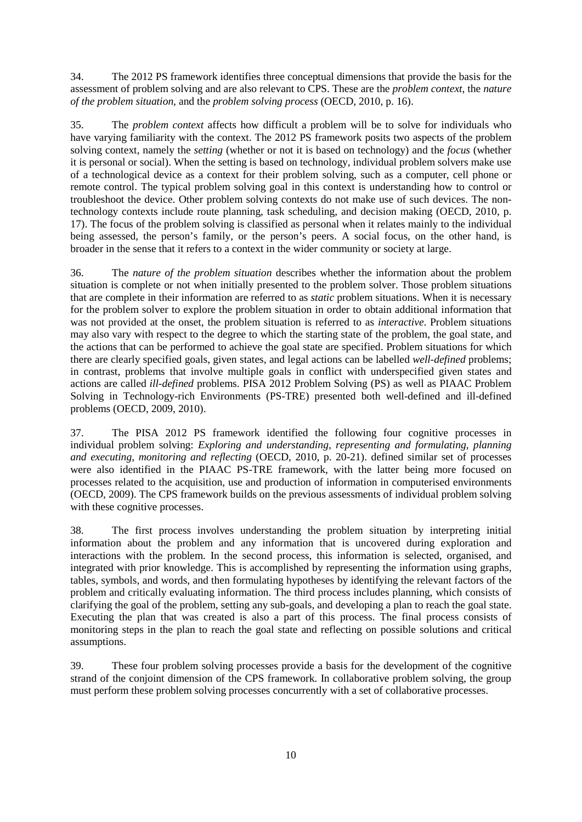34. The 2012 PS framework identifies three conceptual dimensions that provide the basis for the assessment of problem solving and are also relevant to CPS. These are the *problem context*, the *nature of the problem situation*, and the *problem solving process* (OECD, 2010, p. 16).

35. The *problem context* affects how difficult a problem will be to solve for individuals who have varying familiarity with the context. The 2012 PS framework posits two aspects of the problem solving context, namely the *setting* (whether or not it is based on technology) and the *focus* (whether it is personal or social). When the setting is based on technology, individual problem solvers make use of a technological device as a context for their problem solving, such as a computer, cell phone or remote control. The typical problem solving goal in this context is understanding how to control or troubleshoot the device. Other problem solving contexts do not make use of such devices. The nontechnology contexts include route planning, task scheduling, and decision making (OECD, 2010, p. 17). The focus of the problem solving is classified as personal when it relates mainly to the individual being assessed, the person's family, or the person's peers. A social focus, on the other hand, is broader in the sense that it refers to a context in the wider community or society at large.

36. The *nature of the problem situation* describes whether the information about the problem situation is complete or not when initially presented to the problem solver. Those problem situations that are complete in their information are referred to as *static* problem situations. When it is necessary for the problem solver to explore the problem situation in order to obtain additional information that was not provided at the onset, the problem situation is referred to as *interactive*. Problem situations may also vary with respect to the degree to which the starting state of the problem, the goal state, and the actions that can be performed to achieve the goal state are specified. Problem situations for which there are clearly specified goals, given states, and legal actions can be labelled *well-defined* problems; in contrast, problems that involve multiple goals in conflict with underspecified given states and actions are called *ill-defined* problems. PISA 2012 Problem Solving (PS) as well as PIAAC Problem Solving in Technology-rich Environments (PS-TRE) presented both well-defined and ill-defined problems (OECD, 2009, 2010).

37. The PISA 2012 PS framework identified the following four cognitive processes in individual problem solving: *Exploring and understanding, representing and formulating, planning and executing, monitoring and reflecting* (OECD, 2010, p. 20-21). defined similar set of processes were also identified in the PIAAC PS-TRE framework, with the latter being more focused on processes related to the acquisition, use and production of information in computerised environments (OECD, 2009). The CPS framework builds on the previous assessments of individual problem solving with these cognitive processes.

38. The first process involves understanding the problem situation by interpreting initial information about the problem and any information that is uncovered during exploration and interactions with the problem. In the second process, this information is selected, organised, and integrated with prior knowledge. This is accomplished by representing the information using graphs, tables, symbols, and words, and then formulating hypotheses by identifying the relevant factors of the problem and critically evaluating information. The third process includes planning, which consists of clarifying the goal of the problem, setting any sub-goals, and developing a plan to reach the goal state. Executing the plan that was created is also a part of this process. The final process consists of monitoring steps in the plan to reach the goal state and reflecting on possible solutions and critical assumptions.

39. These four problem solving processes provide a basis for the development of the cognitive strand of the conjoint dimension of the CPS framework. In collaborative problem solving, the group must perform these problem solving processes concurrently with a set of collaborative processes.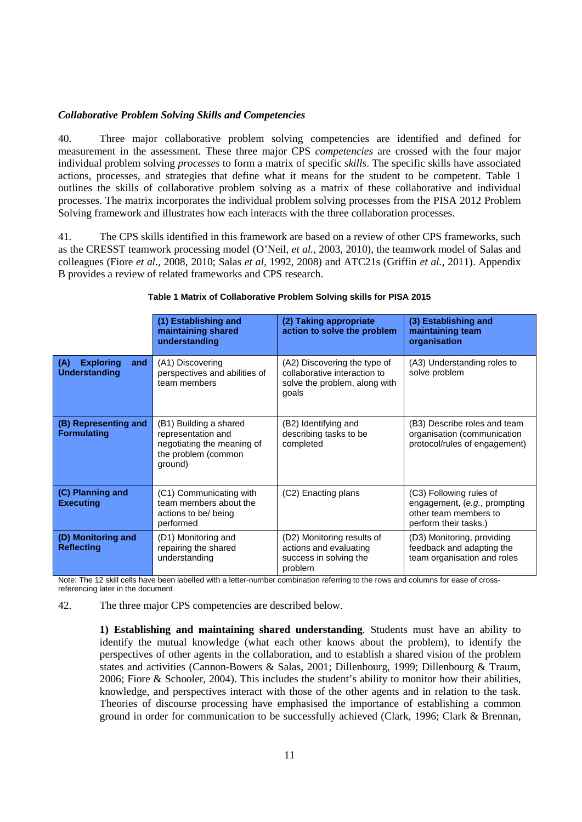#### *Collaborative Problem Solving Skills and Competencies*

40. Three major collaborative problem solving competencies are identified and defined for measurement in the assessment. These three major CPS *competencies* are crossed with the four major individual problem solving *processes* to form a matrix of specific *skills*. The specific skills have associated actions, processes, and strategies that define what it means for the student to be competent. Table 1 outlines the skills of collaborative problem solving as a matrix of these collaborative and individual processes. The matrix incorporates the individual problem solving processes from the PISA 2012 Problem Solving framework and illustrates how each interacts with the three collaboration processes.

41. The CPS skills identified in this framework are based on a review of other CPS frameworks, such as the CRESST teamwork processing model (O'Neil, *et al.,* 2003, 2010), the teamwork model of Salas and colleagues (Fiore *et al*., 2008, 2010; Salas *et al,* 1992, 2008) and ATC21s (Griffin *et al.,* 2011). Appendix B provides a review of related frameworks and CPS research.

|                                                        | (1) Establishing and<br>maintaining shared<br>understanding                                                  | (2) Taking appropriate<br>action to solve the problem                                                  | (3) Establishing and<br>maintaining team<br>organisation                                                  |
|--------------------------------------------------------|--------------------------------------------------------------------------------------------------------------|--------------------------------------------------------------------------------------------------------|-----------------------------------------------------------------------------------------------------------|
| <b>Exploring</b><br>and<br>(A)<br><b>Understanding</b> | (A1) Discovering<br>perspectives and abilities of<br>team members                                            | (A2) Discovering the type of<br>collaborative interaction to<br>solve the problem, along with<br>goals | (A3) Understanding roles to<br>solve problem                                                              |
| (B) Representing and<br><b>Formulating</b>             | (B1) Building a shared<br>representation and<br>negotiating the meaning of<br>the problem (common<br>ground) | (B2) Identifying and<br>describing tasks to be<br>completed                                            | (B3) Describe roles and team<br>organisation (communication<br>protocol/rules of engagement)              |
| (C) Planning and<br><b>Executing</b>                   | (C1) Communicating with<br>team members about the<br>actions to be/ being<br>performed                       | (C2) Enacting plans                                                                                    | (C3) Following rules of<br>engagement, (e.g., prompting<br>other team members to<br>perform their tasks.) |
| (D) Monitoring and<br><b>Reflecting</b>                | (D1) Monitoring and<br>repairing the shared<br>understanding                                                 | (D2) Monitoring results of<br>actions and evaluating<br>success in solving the<br>problem              | (D3) Monitoring, providing<br>feedback and adapting the<br>team organisation and roles                    |

#### **Table 1 Matrix of Collaborative Problem Solving skills for PISA 2015**

Note: The 12 skill cells have been labelled with a letter-number combination referring to the rows and columns for ease of crossreferencing later in the document

42. The three major CPS competencies are described below.

**1) Establishing and maintaining shared understanding***.* Students must have an ability to identify the mutual knowledge (what each other knows about the problem), to identify the perspectives of other agents in the collaboration, and to establish a shared vision of the problem states and activities (Cannon-Bowers & Salas, 2001; Dillenbourg, 1999; Dillenbourg & Traum, 2006; Fiore & Schooler, 2004). This includes the student's ability to monitor how their abilities, knowledge, and perspectives interact with those of the other agents and in relation to the task. Theories of discourse processing have emphasised the importance of establishing a common ground in order for communication to be successfully achieved (Clark, 1996; Clark & Brennan,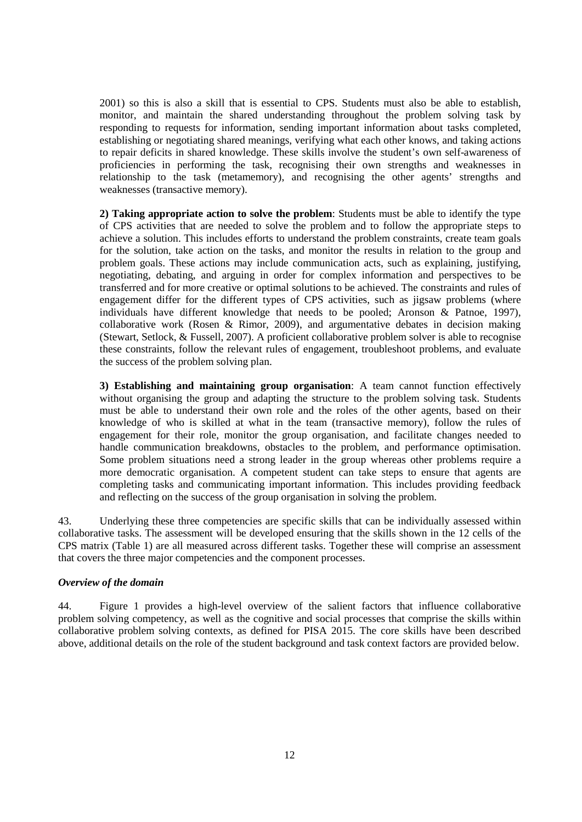2001) so this is also a skill that is essential to CPS. Students must also be able to establish, monitor, and maintain the shared understanding throughout the problem solving task by responding to requests for information, sending important information about tasks completed, establishing or negotiating shared meanings, verifying what each other knows, and taking actions to repair deficits in shared knowledge. These skills involve the student's own self-awareness of proficiencies in performing the task, recognising their own strengths and weaknesses in relationship to the task (metamemory), and recognising the other agents' strengths and weaknesses (transactive memory).

**2) Taking appropriate action to solve the problem**: Students must be able to identify the type of CPS activities that are needed to solve the problem and to follow the appropriate steps to achieve a solution. This includes efforts to understand the problem constraints, create team goals for the solution, take action on the tasks, and monitor the results in relation to the group and problem goals. These actions may include communication acts, such as explaining, justifying, negotiating, debating, and arguing in order for complex information and perspectives to be transferred and for more creative or optimal solutions to be achieved. The constraints and rules of engagement differ for the different types of CPS activities, such as jigsaw problems (where individuals have different knowledge that needs to be pooled; Aronson & Patnoe, 1997), collaborative work (Rosen & Rimor, 2009), and argumentative debates in decision making (Stewart, Setlock, & Fussell, 2007). A proficient collaborative problem solver is able to recognise these constraints, follow the relevant rules of engagement, troubleshoot problems, and evaluate the success of the problem solving plan.

**3) Establishing and maintaining group organisation**: A team cannot function effectively without organising the group and adapting the structure to the problem solving task. Students must be able to understand their own role and the roles of the other agents, based on their knowledge of who is skilled at what in the team (transactive memory), follow the rules of engagement for their role, monitor the group organisation, and facilitate changes needed to handle communication breakdowns, obstacles to the problem, and performance optimisation. Some problem situations need a strong leader in the group whereas other problems require a more democratic organisation. A competent student can take steps to ensure that agents are completing tasks and communicating important information. This includes providing feedback and reflecting on the success of the group organisation in solving the problem.

43. Underlying these three competencies are specific skills that can be individually assessed within collaborative tasks. The assessment will be developed ensuring that the skills shown in the 12 cells of the CPS matrix (Table 1) are all measured across different tasks. Together these will comprise an assessment that covers the three major competencies and the component processes.

#### *Overview of the domain*

44. Figure 1 provides a high-level overview of the salient factors that influence collaborative problem solving competency, as well as the cognitive and social processes that comprise the skills within collaborative problem solving contexts, as defined for PISA 2015. The core skills have been described above, additional details on the role of the student background and task context factors are provided below.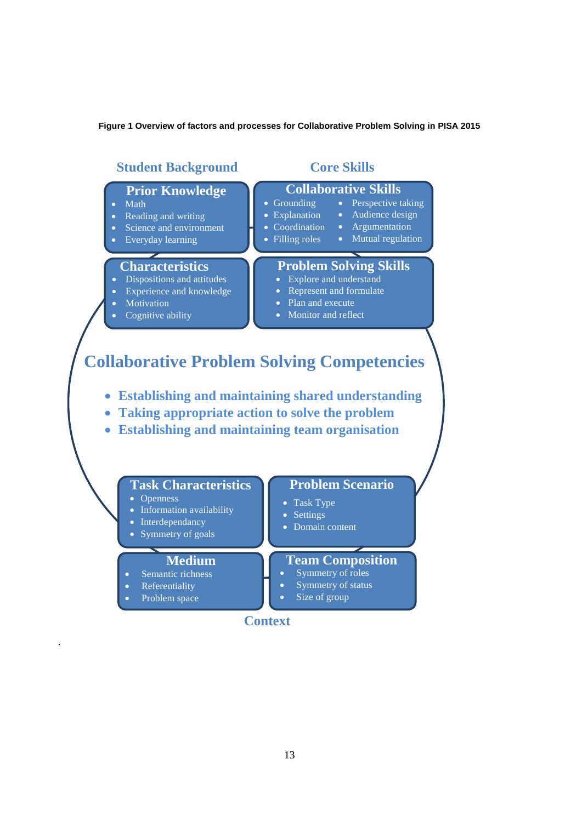**Figure 1 Overview of factors and processes for Collaborative Problem Solving in PISA 2015**

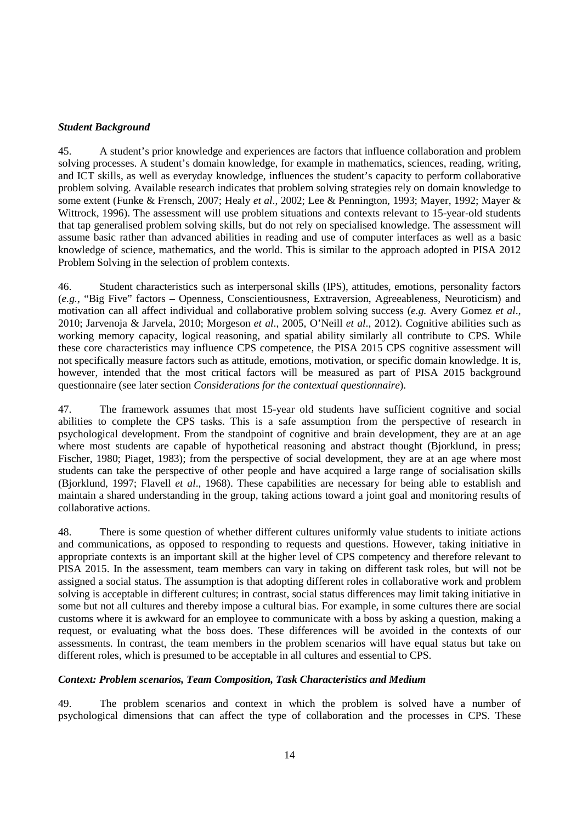#### *Student Background*

45. A student's prior knowledge and experiences are factors that influence collaboration and problem solving processes. A student's domain knowledge, for example in mathematics, sciences, reading, writing, and ICT skills, as well as everyday knowledge, influences the student's capacity to perform collaborative problem solving. Available research indicates that problem solving strategies rely on domain knowledge to some extent (Funke & Frensch, 2007; Healy *et al*., 2002; Lee & Pennington, 1993; Mayer, 1992; Mayer & Wittrock, 1996). The assessment will use problem situations and contexts relevant to 15-year-old students that tap generalised problem solving skills, but do not rely on specialised knowledge. The assessment will assume basic rather than advanced abilities in reading and use of computer interfaces as well as a basic knowledge of science, mathematics, and the world. This is similar to the approach adopted in PISA 2012 Problem Solving in the selection of problem contexts.

46. Student characteristics such as interpersonal skills (IPS), attitudes, emotions, personality factors (*e.g.,* "Big Five" factors – Openness, Conscientiousness, Extraversion, Agreeableness, Neuroticism) and motivation can all affect individual and collaborative problem solving success (*e.g.* Avery Gomez *et al*., 2010; Jarvenoja & Jarvela, 2010; Morgeson *et al*., 2005, O'Neill *et al*., 2012). Cognitive abilities such as working memory capacity, logical reasoning, and spatial ability similarly all contribute to CPS. While these core characteristics may influence CPS competence, the PISA 2015 CPS cognitive assessment will not specifically measure factors such as attitude, emotions, motivation, or specific domain knowledge. It is, however, intended that the most critical factors will be measured as part of PISA 2015 background questionnaire (see later section *Considerations for the contextual questionnaire*).

47. The framework assumes that most 15-year old students have sufficient cognitive and social abilities to complete the CPS tasks. This is a safe assumption from the perspective of research in psychological development. From the standpoint of cognitive and brain development, they are at an age where most students are capable of hypothetical reasoning and abstract thought (Biorklund, in press; Fischer, 1980; Piaget, 1983); from the perspective of social development, they are at an age where most students can take the perspective of other people and have acquired a large range of socialisation skills (Bjorklund, 1997; Flavell *et al*., 1968). These capabilities are necessary for being able to establish and maintain a shared understanding in the group, taking actions toward a joint goal and monitoring results of collaborative actions.

48. There is some question of whether different cultures uniformly value students to initiate actions and communications, as opposed to responding to requests and questions. However, taking initiative in appropriate contexts is an important skill at the higher level of CPS competency and therefore relevant to PISA 2015. In the assessment, team members can vary in taking on different task roles, but will not be assigned a social status. The assumption is that adopting different roles in collaborative work and problem solving is acceptable in different cultures; in contrast, social status differences may limit taking initiative in some but not all cultures and thereby impose a cultural bias. For example, in some cultures there are social customs where it is awkward for an employee to communicate with a boss by asking a question, making a request, or evaluating what the boss does. These differences will be avoided in the contexts of our assessments. In contrast, the team members in the problem scenarios will have equal status but take on different roles, which is presumed to be acceptable in all cultures and essential to CPS.

#### *Context: Problem scenarios, Team Composition, Task Characteristics and Medium*

49. The problem scenarios and context in which the problem is solved have a number of psychological dimensions that can affect the type of collaboration and the processes in CPS. These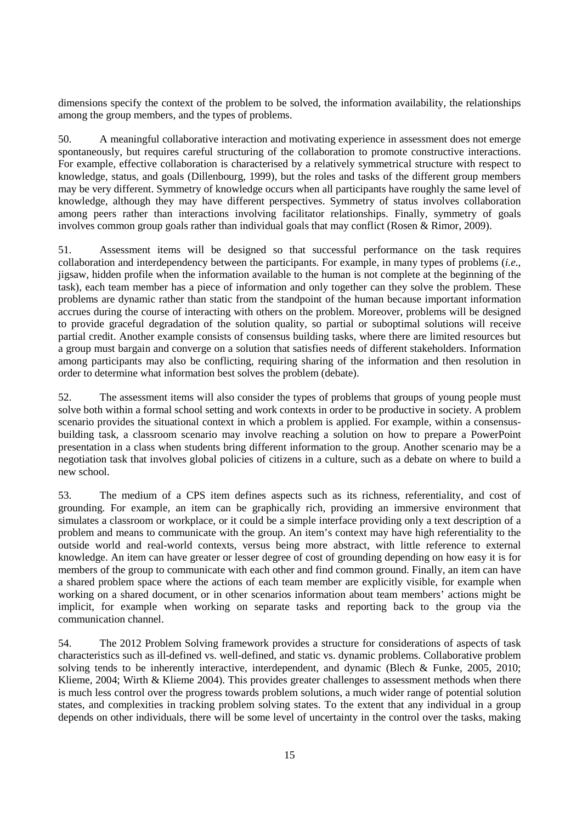dimensions specify the context of the problem to be solved, the information availability, the relationships among the group members, and the types of problems.

50. A meaningful collaborative interaction and motivating experience in assessment does not emerge spontaneously, but requires careful structuring of the collaboration to promote constructive interactions. For example, effective collaboration is characterised by a relatively symmetrical structure with respect to knowledge, status, and goals (Dillenbourg, 1999), but the roles and tasks of the different group members may be very different. Symmetry of knowledge occurs when all participants have roughly the same level of knowledge, although they may have different perspectives. Symmetry of status involves collaboration among peers rather than interactions involving facilitator relationships. Finally, symmetry of goals involves common group goals rather than individual goals that may conflict (Rosen & Rimor, 2009).

51. Assessment items will be designed so that successful performance on the task requires collaboration and interdependency between the participants. For example, in many types of problems (*i.e.*, jigsaw, hidden profile when the information available to the human is not complete at the beginning of the task), each team member has a piece of information and only together can they solve the problem. These problems are dynamic rather than static from the standpoint of the human because important information accrues during the course of interacting with others on the problem. Moreover, problems will be designed to provide graceful degradation of the solution quality, so partial or suboptimal solutions will receive partial credit. Another example consists of consensus building tasks, where there are limited resources but a group must bargain and converge on a solution that satisfies needs of different stakeholders. Information among participants may also be conflicting, requiring sharing of the information and then resolution in order to determine what information best solves the problem (debate).

52. The assessment items will also consider the types of problems that groups of young people must solve both within a formal school setting and work contexts in order to be productive in society. A problem scenario provides the situational context in which a problem is applied. For example, within a consensusbuilding task, a classroom scenario may involve reaching a solution on how to prepare a PowerPoint presentation in a class when students bring different information to the group. Another scenario may be a negotiation task that involves global policies of citizens in a culture, such as a debate on where to build a new school.

53. The medium of a CPS item defines aspects such as its richness, referentiality, and cost of grounding. For example, an item can be graphically rich, providing an immersive environment that simulates a classroom or workplace, or it could be a simple interface providing only a text description of a problem and means to communicate with the group. An item's context may have high referentiality to the outside world and real-world contexts, versus being more abstract, with little reference to external knowledge. An item can have greater or lesser degree of cost of grounding depending on how easy it is for members of the group to communicate with each other and find common ground. Finally, an item can have a shared problem space where the actions of each team member are explicitly visible, for example when working on a shared document, or in other scenarios information about team members' actions might be implicit, for example when working on separate tasks and reporting back to the group via the communication channel.

54. The 2012 Problem Solving framework provides a structure for considerations of aspects of task characteristics such as ill-defined vs. well-defined, and static vs. dynamic problems. Collaborative problem solving tends to be inherently interactive, interdependent, and dynamic (Blech & Funke, 2005, 2010; Klieme, 2004; Wirth & Klieme 2004). This provides greater challenges to assessment methods when there is much less control over the progress towards problem solutions, a much wider range of potential solution states, and complexities in tracking problem solving states. To the extent that any individual in a group depends on other individuals, there will be some level of uncertainty in the control over the tasks, making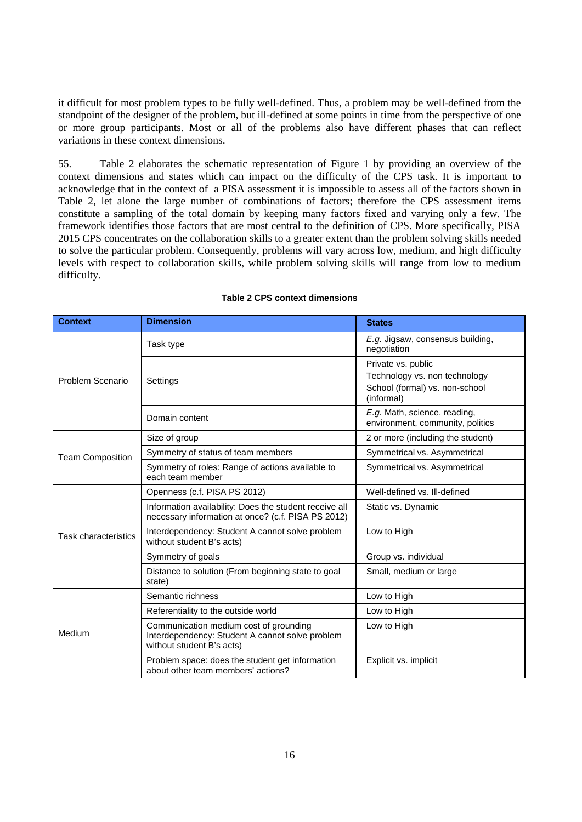it difficult for most problem types to be fully well-defined. Thus, a problem may be well-defined from the standpoint of the designer of the problem, but ill-defined at some points in time from the perspective of one or more group participants. Most or all of the problems also have different phases that can reflect variations in these context dimensions.

55. Table 2 elaborates the schematic representation of Figure 1 by providing an overview of the context dimensions and states which can impact on the difficulty of the CPS task. It is important to acknowledge that in the context of a PISA assessment it is impossible to assess all of the factors shown in Table 2, let alone the large number of combinations of factors; therefore the CPS assessment items constitute a sampling of the total domain by keeping many factors fixed and varying only a few. The framework identifies those factors that are most central to the definition of CPS. More specifically, PISA 2015 CPS concentrates on the collaboration skills to a greater extent than the problem solving skills needed to solve the particular problem. Consequently, problems will vary across low, medium, and high difficulty levels with respect to collaboration skills, while problem solving skills will range from low to medium difficulty.

| <b>Context</b>              | <b>Dimension</b>                                                                                                       | <b>States</b>                                                                 |
|-----------------------------|------------------------------------------------------------------------------------------------------------------------|-------------------------------------------------------------------------------|
|                             | Task type                                                                                                              | E.g. Jigsaw, consensus building,<br>negotiation                               |
|                             |                                                                                                                        | Private vs. public                                                            |
| Problem Scenario            | Settings                                                                                                               | Technology vs. non technology<br>School (formal) vs. non-school<br>(informal) |
|                             | Domain content                                                                                                         | E.g. Math, science, reading,<br>environment, community, politics              |
|                             | Size of group                                                                                                          | 2 or more (including the student)                                             |
| <b>Team Composition</b>     | Symmetry of status of team members                                                                                     | Symmetrical vs. Asymmetrical                                                  |
|                             | Symmetry of roles: Range of actions available to<br>each team member                                                   | Symmetrical vs. Asymmetrical                                                  |
| <b>Task characteristics</b> | Openness (c.f. PISA PS 2012)                                                                                           | Well-defined vs. Ill-defined                                                  |
|                             | Information availability: Does the student receive all<br>necessary information at once? (c.f. PISA PS 2012)           | Static vs. Dynamic                                                            |
|                             | Interdependency: Student A cannot solve problem<br>without student B's acts)                                           | Low to High                                                                   |
|                             | Symmetry of goals                                                                                                      | Group vs. individual                                                          |
|                             | Distance to solution (From beginning state to goal<br>state)                                                           | Small, medium or large                                                        |
|                             | Semantic richness                                                                                                      | Low to High                                                                   |
| Medium                      | Referentiality to the outside world                                                                                    | Low to High                                                                   |
|                             | Communication medium cost of grounding<br>Interdependency: Student A cannot solve problem<br>without student B's acts) | Low to High                                                                   |
|                             | Problem space: does the student get information<br>about other team members' actions?                                  | Explicit vs. implicit                                                         |

#### **Table 2 CPS context dimensions**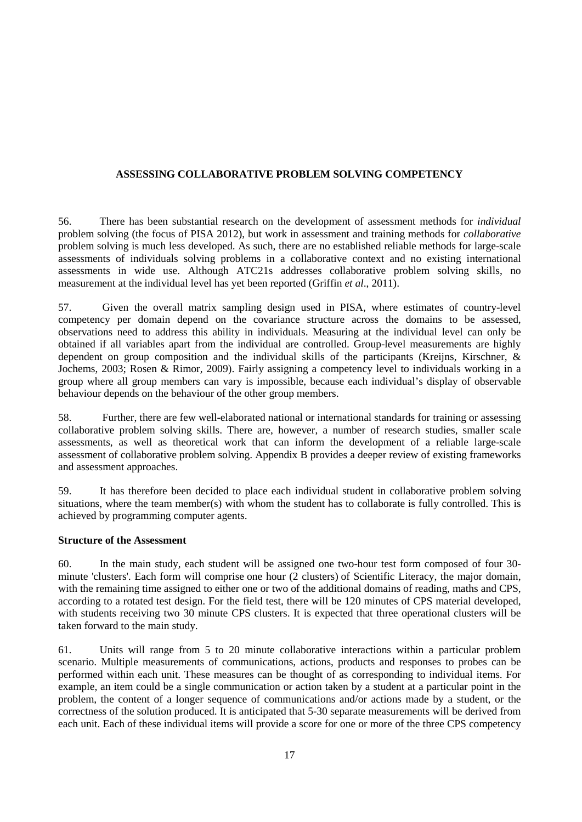#### **ASSESSING COLLABORATIVE PROBLEM SOLVING COMPETENCY**

56. There has been substantial research on the development of assessment methods for *individual* problem solving (the focus of PISA 2012), but work in assessment and training methods for *collaborative* problem solving is much less developed. As such, there are no established reliable methods for large-scale assessments of individuals solving problems in a collaborative context and no existing international assessments in wide use. Although ATC21s addresses collaborative problem solving skills, no measurement at the individual level has yet been reported (Griffin *et al*., 2011).

57. Given the overall matrix sampling design used in PISA, where estimates of country-level competency per domain depend on the covariance structure across the domains to be assessed, observations need to address this ability in individuals. Measuring at the individual level can only be obtained if all variables apart from the individual are controlled. Group-level measurements are highly dependent on group composition and the individual skills of the participants (Kreijns, Kirschner, & Jochems, 2003; Rosen & Rimor, 2009). Fairly assigning a competency level to individuals working in a group where all group members can vary is impossible, because each individual's display of observable behaviour depends on the behaviour of the other group members.

58. Further, there are few well-elaborated national or international standards for training or assessing collaborative problem solving skills. There are, however, a number of research studies, smaller scale assessments, as well as theoretical work that can inform the development of a reliable large-scale assessment of collaborative problem solving. Appendix B provides a deeper review of existing frameworks and assessment approaches.

59. It has therefore been decided to place each individual student in collaborative problem solving situations, where the team member(s) with whom the student has to collaborate is fully controlled. This is achieved by programming computer agents.

#### **Structure of the Assessment**

60. In the main study, each student will be assigned one two-hour test form composed of four 30 minute 'clusters'. Each form will comprise one hour (2 clusters) of Scientific Literacy, the major domain, with the remaining time assigned to either one or two of the additional domains of reading, maths and CPS, according to a rotated test design. For the field test, there will be 120 minutes of CPS material developed, with students receiving two 30 minute CPS clusters. It is expected that three operational clusters will be taken forward to the main study.

61. Units will range from 5 to 20 minute collaborative interactions within a particular problem scenario. Multiple measurements of communications, actions, products and responses to probes can be performed within each unit. These measures can be thought of as corresponding to individual items. For example, an item could be a single communication or action taken by a student at a particular point in the problem, the content of a longer sequence of communications and/or actions made by a student, or the correctness of the solution produced. It is anticipated that 5-30 separate measurements will be derived from each unit. Each of these individual items will provide a score for one or more of the three CPS competency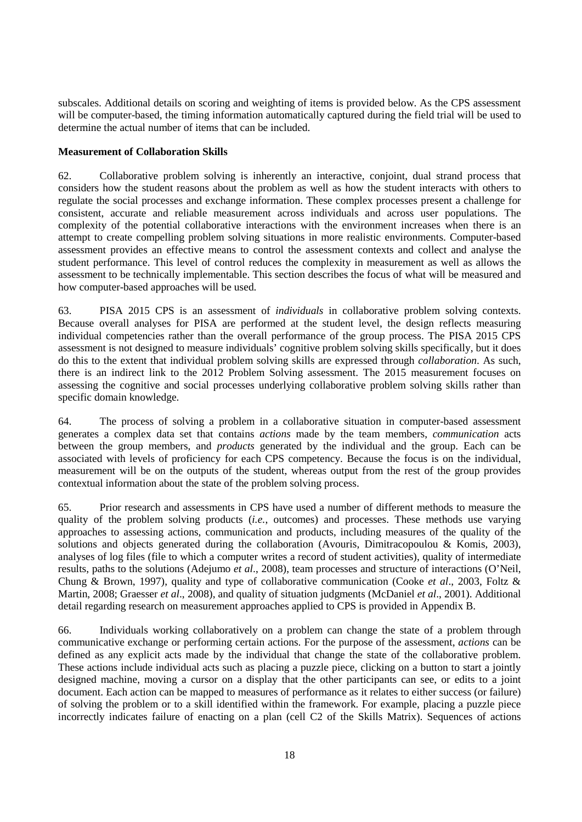subscales. Additional details on scoring and weighting of items is provided below. As the CPS assessment will be computer-based, the timing information automatically captured during the field trial will be used to determine the actual number of items that can be included.

#### **Measurement of Collaboration Skills**

62. Collaborative problem solving is inherently an interactive, conjoint, dual strand process that considers how the student reasons about the problem as well as how the student interacts with others to regulate the social processes and exchange information. These complex processes present a challenge for consistent, accurate and reliable measurement across individuals and across user populations. The complexity of the potential collaborative interactions with the environment increases when there is an attempt to create compelling problem solving situations in more realistic environments. Computer-based assessment provides an effective means to control the assessment contexts and collect and analyse the student performance. This level of control reduces the complexity in measurement as well as allows the assessment to be technically implementable. This section describes the focus of what will be measured and how computer-based approaches will be used.

63. PISA 2015 CPS is an assessment of *individuals* in collaborative problem solving contexts. Because overall analyses for PISA are performed at the student level, the design reflects measuring individual competencies rather than the overall performance of the group process. The PISA 2015 CPS assessment is not designed to measure individuals' cognitive problem solving skills specifically, but it does do this to the extent that individual problem solving skills are expressed through *collaboration*. As such, there is an indirect link to the 2012 Problem Solving assessment. The 2015 measurement focuses on assessing the cognitive and social processes underlying collaborative problem solving skills rather than specific domain knowledge.

64. The process of solving a problem in a collaborative situation in computer-based assessment generates a complex data set that contains *actions* made by the team members, *communication* acts between the group members, and *products* generated by the individual and the group. Each can be associated with levels of proficiency for each CPS competency. Because the focus is on the individual, measurement will be on the outputs of the student, whereas output from the rest of the group provides contextual information about the state of the problem solving process.

65. Prior research and assessments in CPS have used a number of different methods to measure the quality of the problem solving products (*i.e.*, outcomes) and processes. These methods use varying approaches to assessing actions, communication and products, including measures of the quality of the solutions and objects generated during the collaboration (Avouris, Dimitracopoulou & Komis, 2003), analyses of log files (file to which a computer writes a record of student activities), quality of intermediate results, paths to the solutions (Adejumo *et al*., 2008), team processes and structure of interactions (O'Neil, Chung & Brown, 1997), quality and type of collaborative communication (Cooke *et al*., 2003, Foltz & Martin, 2008; Graesser *et al*., 2008), and quality of situation judgments (McDaniel *et al*., 2001). Additional detail regarding research on measurement approaches applied to CPS is provided in Appendix B.

66. Individuals working collaboratively on a problem can change the state of a problem through communicative exchange or performing certain actions. For the purpose of the assessment, *actions* can be defined as any explicit acts made by the individual that change the state of the collaborative problem. These actions include individual acts such as placing a puzzle piece, clicking on a button to start a jointly designed machine, moving a cursor on a display that the other participants can see, or edits to a joint document. Each action can be mapped to measures of performance as it relates to either success (or failure) of solving the problem or to a skill identified within the framework. For example, placing a puzzle piece incorrectly indicates failure of enacting on a plan (cell C2 of the Skills Matrix). Sequences of actions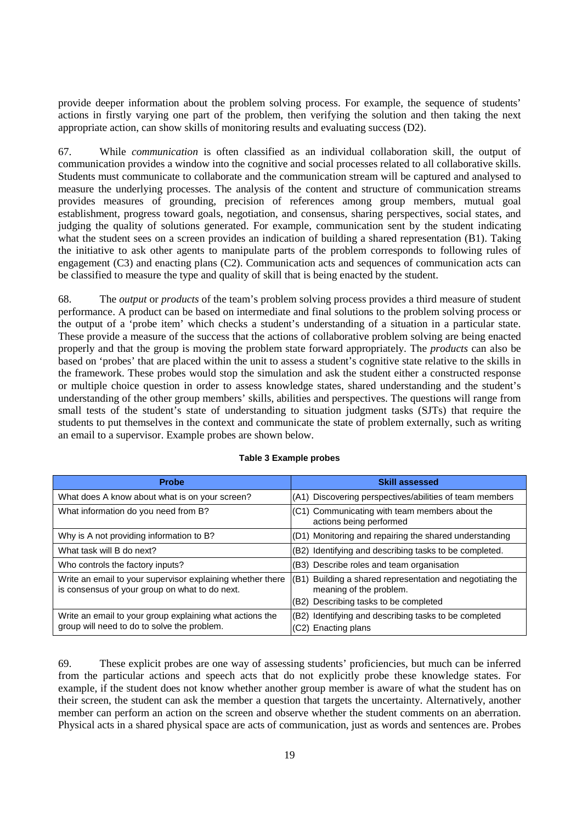provide deeper information about the problem solving process. For example, the sequence of students' actions in firstly varying one part of the problem, then verifying the solution and then taking the next appropriate action, can show skills of monitoring results and evaluating success (D2).

67. While *communication* is often classified as an individual collaboration skill, the output of communication provides a window into the cognitive and social processes related to all collaborative skills. Students must communicate to collaborate and the communication stream will be captured and analysed to measure the underlying processes. The analysis of the content and structure of communication streams provides measures of grounding, precision of references among group members, mutual goal establishment, progress toward goals, negotiation, and consensus, sharing perspectives, social states, and judging the quality of solutions generated. For example, communication sent by the student indicating what the student sees on a screen provides an indication of building a shared representation (B1). Taking the initiative to ask other agents to manipulate parts of the problem corresponds to following rules of engagement (C3) and enacting plans (C2). Communication acts and sequences of communication acts can be classified to measure the type and quality of skill that is being enacted by the student.

68. The *output* or *products* of the team's problem solving process provides a third measure of student performance. A product can be based on intermediate and final solutions to the problem solving process or the output of a 'probe item' which checks a student's understanding of a situation in a particular state. These provide a measure of the success that the actions of collaborative problem solving are being enacted properly and that the group is moving the problem state forward appropriately. The *products* can also be based on 'probes' that are placed within the unit to assess a student's cognitive state relative to the skills in the framework. These probes would stop the simulation and ask the student either a constructed response or multiple choice question in order to assess knowledge states, shared understanding and the student's understanding of the other group members' skills, abilities and perspectives. The questions will range from small tests of the student's state of understanding to situation judgment tasks (SJTs) that require the students to put themselves in the context and communicate the state of problem externally, such as writing an email to a supervisor. Example probes are shown below.

| <b>Probe</b>                                                                                                 | <b>Skill assessed</b>                                                                                                         |
|--------------------------------------------------------------------------------------------------------------|-------------------------------------------------------------------------------------------------------------------------------|
| What does A know about what is on your screen?                                                               | (A1) Discovering perspectives/abilities of team members                                                                       |
| What information do you need from B?                                                                         | (C1) Communicating with team members about the<br>actions being performed                                                     |
| Why is A not providing information to B?                                                                     | (D1) Monitoring and repairing the shared understanding                                                                        |
| What task will B do next?                                                                                    | (B2) Identifying and describing tasks to be completed.                                                                        |
| Who controls the factory inputs?                                                                             | (B3) Describe roles and team organisation                                                                                     |
| Write an email to your supervisor explaining whether there<br>is consensus of your group on what to do next. | (B1) Building a shared representation and negotiating the<br>meaning of the problem.<br>(B2) Describing tasks to be completed |
| Write an email to your group explaining what actions the<br>group will need to do to solve the problem.      | (B2) Identifying and describing tasks to be completed<br>(C2) Enacting plans                                                  |

#### **Table 3 Example probes**

69. These explicit probes are one way of assessing students' proficiencies, but much can be inferred from the particular actions and speech acts that do not explicitly probe these knowledge states. For example, if the student does not know whether another group member is aware of what the student has on their screen, the student can ask the member a question that targets the uncertainty. Alternatively, another member can perform an action on the screen and observe whether the student comments on an aberration. Physical acts in a shared physical space are acts of communication, just as words and sentences are. Probes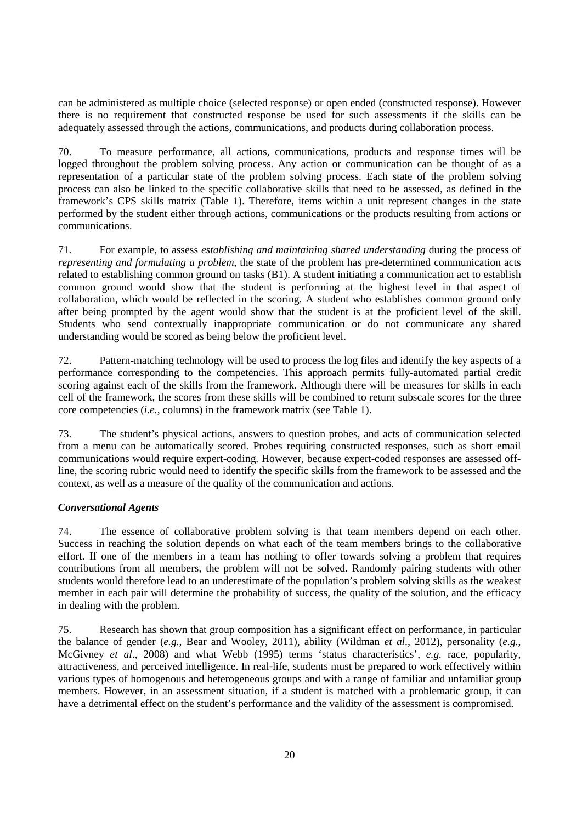can be administered as multiple choice (selected response) or open ended (constructed response). However there is no requirement that constructed response be used for such assessments if the skills can be adequately assessed through the actions, communications, and products during collaboration process.

70. To measure performance, all actions, communications, products and response times will be logged throughout the problem solving process. Any action or communication can be thought of as a representation of a particular state of the problem solving process. Each state of the problem solving process can also be linked to the specific collaborative skills that need to be assessed, as defined in the framework's CPS skills matrix (Table 1). Therefore, items within a unit represent changes in the state performed by the student either through actions, communications or the products resulting from actions or communications.

71. For example, to assess *establishing and maintaining shared understanding* during the process of *representing and formulating a problem*, the state of the problem has pre-determined communication acts related to establishing common ground on tasks (B1). A student initiating a communication act to establish common ground would show that the student is performing at the highest level in that aspect of collaboration, which would be reflected in the scoring. A student who establishes common ground only after being prompted by the agent would show that the student is at the proficient level of the skill. Students who send contextually inappropriate communication or do not communicate any shared understanding would be scored as being below the proficient level.

72. Pattern-matching technology will be used to process the log files and identify the key aspects of a performance corresponding to the competencies. This approach permits fully-automated partial credit scoring against each of the skills from the framework. Although there will be measures for skills in each cell of the framework, the scores from these skills will be combined to return subscale scores for the three core competencies (*i.e.*, columns) in the framework matrix (see Table 1).

73. The student's physical actions, answers to question probes, and acts of communication selected from a menu can be automatically scored. Probes requiring constructed responses, such as short email communications would require expert-coding. However, because expert-coded responses are assessed offline, the scoring rubric would need to identify the specific skills from the framework to be assessed and the context, as well as a measure of the quality of the communication and actions.

#### *Conversational Agents*

74. The essence of collaborative problem solving is that team members depend on each other. Success in reaching the solution depends on what each of the team members brings to the collaborative effort. If one of the members in a team has nothing to offer towards solving a problem that requires contributions from all members, the problem will not be solved. Randomly pairing students with other students would therefore lead to an underestimate of the population's problem solving skills as the weakest member in each pair will determine the probability of success, the quality of the solution, and the efficacy in dealing with the problem.

75. Research has shown that group composition has a significant effect on performance, in particular the balance of gender (*e.g.*, Bear and Wooley, 2011), ability (Wildman *et al*., 2012), personality (*e.g.*, McGivney *et al*., 2008) and what Webb (1995) terms 'status characteristics', *e.g.* race, popularity, attractiveness, and perceived intelligence. In real-life, students must be prepared to work effectively within various types of homogenous and heterogeneous groups and with a range of familiar and unfamiliar group members. However, in an assessment situation, if a student is matched with a problematic group, it can have a detrimental effect on the student's performance and the validity of the assessment is compromised.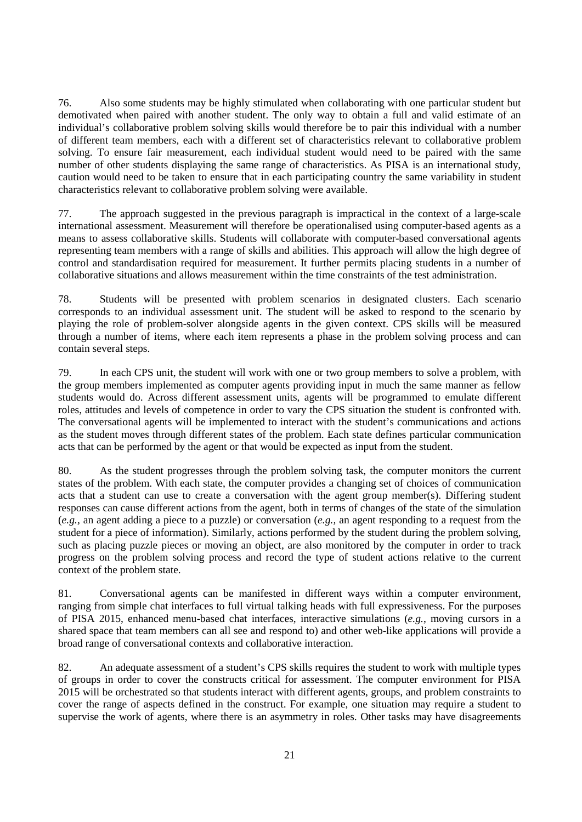76. Also some students may be highly stimulated when collaborating with one particular student but demotivated when paired with another student. The only way to obtain a full and valid estimate of an individual's collaborative problem solving skills would therefore be to pair this individual with a number of different team members, each with a different set of characteristics relevant to collaborative problem solving. To ensure fair measurement, each individual student would need to be paired with the same number of other students displaying the same range of characteristics. As PISA is an international study, caution would need to be taken to ensure that in each participating country the same variability in student characteristics relevant to collaborative problem solving were available.

77. The approach suggested in the previous paragraph is impractical in the context of a large-scale international assessment. Measurement will therefore be operationalised using computer-based agents as a means to assess collaborative skills. Students will collaborate with computer-based conversational agents representing team members with a range of skills and abilities. This approach will allow the high degree of control and standardisation required for measurement. It further permits placing students in a number of collaborative situations and allows measurement within the time constraints of the test administration.

78. Students will be presented with problem scenarios in designated clusters. Each scenario corresponds to an individual assessment unit. The student will be asked to respond to the scenario by playing the role of problem-solver alongside agents in the given context. CPS skills will be measured through a number of items, where each item represents a phase in the problem solving process and can contain several steps.

79. In each CPS unit, the student will work with one or two group members to solve a problem, with the group members implemented as computer agents providing input in much the same manner as fellow students would do. Across different assessment units, agents will be programmed to emulate different roles, attitudes and levels of competence in order to vary the CPS situation the student is confronted with. The conversational agents will be implemented to interact with the student's communications and actions as the student moves through different states of the problem. Each state defines particular communication acts that can be performed by the agent or that would be expected as input from the student.

80. As the student progresses through the problem solving task, the computer monitors the current states of the problem. With each state, the computer provides a changing set of choices of communication acts that a student can use to create a conversation with the agent group member(s). Differing student responses can cause different actions from the agent, both in terms of changes of the state of the simulation (*e.g.,* an agent adding a piece to a puzzle) or conversation (*e.g.,* an agent responding to a request from the student for a piece of information). Similarly, actions performed by the student during the problem solving, such as placing puzzle pieces or moving an object, are also monitored by the computer in order to track progress on the problem solving process and record the type of student actions relative to the current context of the problem state.

81. Conversational agents can be manifested in different ways within a computer environment, ranging from simple chat interfaces to full virtual talking heads with full expressiveness. For the purposes of PISA 2015, enhanced menu-based chat interfaces, interactive simulations (*e.g.*, moving cursors in a shared space that team members can all see and respond to) and other web-like applications will provide a broad range of conversational contexts and collaborative interaction.

82. An adequate assessment of a student's CPS skills requires the student to work with multiple types of groups in order to cover the constructs critical for assessment. The computer environment for PISA 2015 will be orchestrated so that students interact with different agents, groups, and problem constraints to cover the range of aspects defined in the construct. For example, one situation may require a student to supervise the work of agents, where there is an asymmetry in roles. Other tasks may have disagreements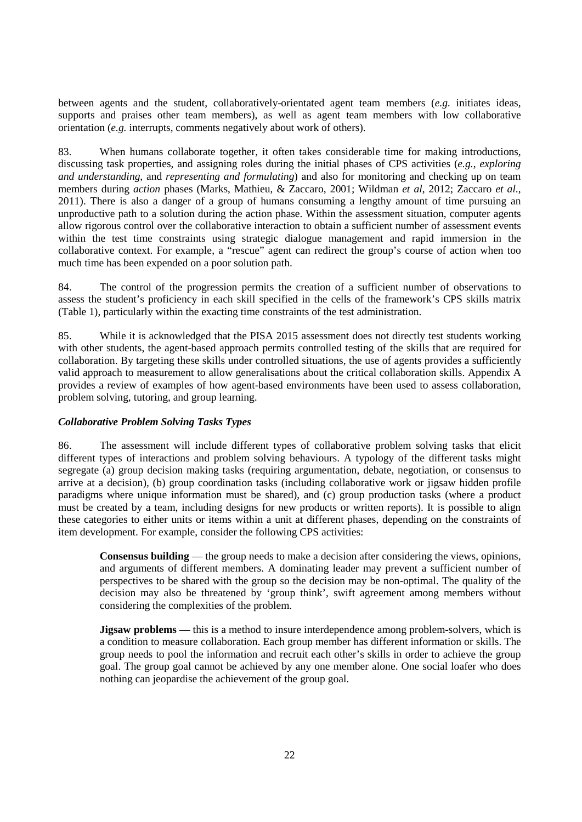between agents and the student, collaboratively-orientated agent team members (*e.g.* initiates ideas, supports and praises other team members), as well as agent team members with low collaborative orientation (*e.g.* interrupts, comments negatively about work of others).

83. When humans collaborate together, it often takes considerable time for making introductions, discussing task properties, and assigning roles during the initial phases of CPS activities (*e.g.*, *exploring and understanding*, and *representing and formulating*) and also for monitoring and checking up on team members during *action* phases (Marks, Mathieu, & Zaccaro, 2001; Wildman *et al*, 2012; Zaccaro *et al*., 2011). There is also a danger of a group of humans consuming a lengthy amount of time pursuing an unproductive path to a solution during the action phase. Within the assessment situation, computer agents allow rigorous control over the collaborative interaction to obtain a sufficient number of assessment events within the test time constraints using strategic dialogue management and rapid immersion in the collaborative context. For example, a "rescue" agent can redirect the group's course of action when too much time has been expended on a poor solution path.

84. The control of the progression permits the creation of a sufficient number of observations to assess the student's proficiency in each skill specified in the cells of the framework's CPS skills matrix (Table 1), particularly within the exacting time constraints of the test administration.

85. While it is acknowledged that the PISA 2015 assessment does not directly test students working with other students, the agent-based approach permits controlled testing of the skills that are required for collaboration. By targeting these skills under controlled situations, the use of agents provides a sufficiently valid approach to measurement to allow generalisations about the critical collaboration skills. Appendix A provides a review of examples of how agent-based environments have been used to assess collaboration, problem solving, tutoring, and group learning.

#### *Collaborative Problem Solving Tasks Types*

86. The assessment will include different types of collaborative problem solving tasks that elicit different types of interactions and problem solving behaviours. A typology of the different tasks might segregate (a) group decision making tasks (requiring argumentation, debate, negotiation, or consensus to arrive at a decision), (b) group coordination tasks (including collaborative work or jigsaw hidden profile paradigms where unique information must be shared), and (c) group production tasks (where a product must be created by a team, including designs for new products or written reports). It is possible to align these categories to either units or items within a unit at different phases, depending on the constraints of item development. For example, consider the following CPS activities:

**Consensus building** — the group needs to make a decision after considering the views, opinions, and arguments of different members. A dominating leader may prevent a sufficient number of perspectives to be shared with the group so the decision may be non-optimal. The quality of the decision may also be threatened by 'group think', swift agreement among members without considering the complexities of the problem.

**Jigsaw problems** — this is a method to insure interdependence among problem-solvers, which is a condition to measure collaboration. Each group member has different information or skills. The group needs to pool the information and recruit each other's skills in order to achieve the group goal. The group goal cannot be achieved by any one member alone. One social loafer who does nothing can jeopardise the achievement of the group goal.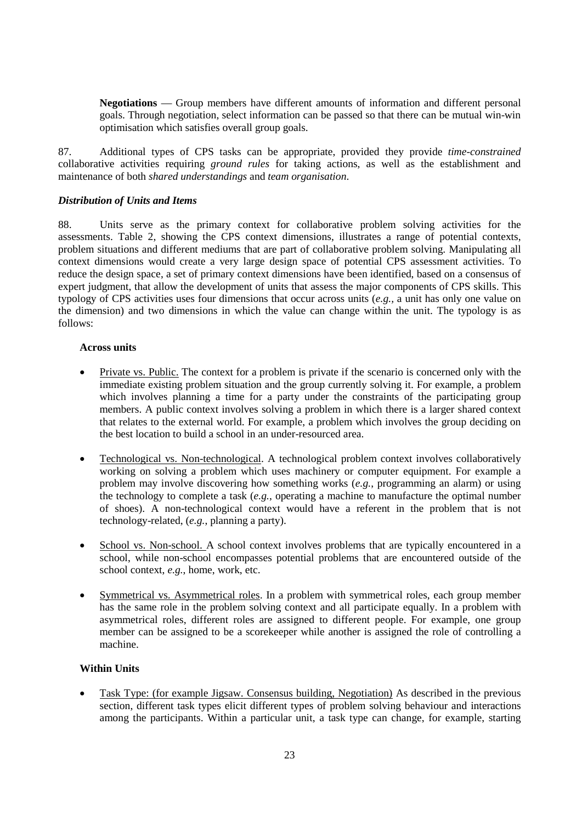**Negotiations** — Group members have different amounts of information and different personal goals. Through negotiation, select information can be passed so that there can be mutual win-win optimisation which satisfies overall group goals.

87. Additional types of CPS tasks can be appropriate, provided they provide *time-constrained* collaborative activities requiring *ground rules* for taking actions, as well as the establishment and maintenance of both *shared understandings* and *team organisation*.

#### *Distribution of Units and Items*

88. Units serve as the primary context for collaborative problem solving activities for the assessments. Table 2, showing the CPS context dimensions, illustrates a range of potential contexts, problem situations and different mediums that are part of collaborative problem solving. Manipulating all context dimensions would create a very large design space of potential CPS assessment activities. To reduce the design space, a set of primary context dimensions have been identified, based on a consensus of expert judgment, that allow the development of units that assess the major components of CPS skills. This typology of CPS activities uses four dimensions that occur across units (*e.g.,* a unit has only one value on the dimension) and two dimensions in which the value can change within the unit. The typology is as follows:

#### **Across units**

- Private vs. Public. The context for a problem is private if the scenario is concerned only with the immediate existing problem situation and the group currently solving it. For example, a problem which involves planning a time for a party under the constraints of the participating group members. A public context involves solving a problem in which there is a larger shared context that relates to the external world. For example, a problem which involves the group deciding on the best location to build a school in an under-resourced area.
- Technological vs. Non-technological. A technological problem context involves collaboratively working on solving a problem which uses machinery or computer equipment. For example a problem may involve discovering how something works (*e.g.*, programming an alarm) or using the technology to complete a task (*e.g.*, operating a machine to manufacture the optimal number of shoes). A non-technological context would have a referent in the problem that is not technology-related, (*e.g.*, planning a party).
- School vs. Non-school. A school context involves problems that are typically encountered in a school, while non-school encompasses potential problems that are encountered outside of the school context, *e.g.*, home, work, etc.
- Symmetrical vs. Asymmetrical roles. In a problem with symmetrical roles, each group member has the same role in the problem solving context and all participate equally. In a problem with asymmetrical roles, different roles are assigned to different people. For example, one group member can be assigned to be a scorekeeper while another is assigned the role of controlling a machine.

#### **Within Units**

• Task Type: (for example Jigsaw. Consensus building, Negotiation) As described in the previous section, different task types elicit different types of problem solving behaviour and interactions among the participants. Within a particular unit, a task type can change, for example, starting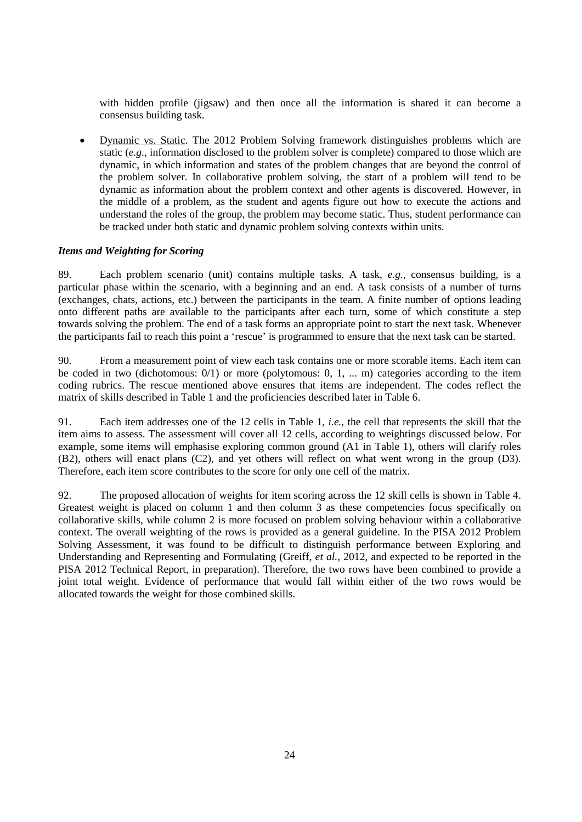with hidden profile (jigsaw) and then once all the information is shared it can become a consensus building task.

• Dynamic vs. Static. The 2012 Problem Solving framework distinguishes problems which are static (*e.g.*, information disclosed to the problem solver is complete) compared to those which are dynamic, in which information and states of the problem changes that are beyond the control of the problem solver. In collaborative problem solving, the start of a problem will tend to be dynamic as information about the problem context and other agents is discovered. However, in the middle of a problem, as the student and agents figure out how to execute the actions and understand the roles of the group, the problem may become static. Thus, student performance can be tracked under both static and dynamic problem solving contexts within units.

#### *Items and Weighting for Scoring*

89. Each problem scenario (unit) contains multiple tasks. A task, *e.g.*, consensus building, is a particular phase within the scenario, with a beginning and an end. A task consists of a number of turns (exchanges, chats, actions, etc.) between the participants in the team. A finite number of options leading onto different paths are available to the participants after each turn, some of which constitute a step towards solving the problem. The end of a task forms an appropriate point to start the next task. Whenever the participants fail to reach this point a 'rescue' is programmed to ensure that the next task can be started.

90. From a measurement point of view each task contains one or more scorable items. Each item can be coded in two (dichotomous: 0/1) or more (polytomous: 0, 1, ... m) categories according to the item coding rubrics. The rescue mentioned above ensures that items are independent. The codes reflect the matrix of skills described in Table 1 and the proficiencies described later in Table 6.

91. Each item addresses one of the 12 cells in Table 1, *i.e.*, the cell that represents the skill that the item aims to assess. The assessment will cover all 12 cells, according to weightings discussed below. For example, some items will emphasise exploring common ground (A1 in Table 1), others will clarify roles (B2), others will enact plans (C2), and yet others will reflect on what went wrong in the group (D3). Therefore, each item score contributes to the score for only one cell of the matrix.

92. The proposed allocation of weights for item scoring across the 12 skill cells is shown in Table 4. Greatest weight is placed on column 1 and then column 3 as these competencies focus specifically on collaborative skills, while column 2 is more focused on problem solving behaviour within a collaborative context. The overall weighting of the rows is provided as a general guideline. In the PISA 2012 Problem Solving Assessment, it was found to be difficult to distinguish performance between Exploring and Understanding and Representing and Formulating (Greiff, *et al.,* 2012, and expected to be reported in the PISA 2012 Technical Report, in preparation). Therefore, the two rows have been combined to provide a joint total weight. Evidence of performance that would fall within either of the two rows would be allocated towards the weight for those combined skills.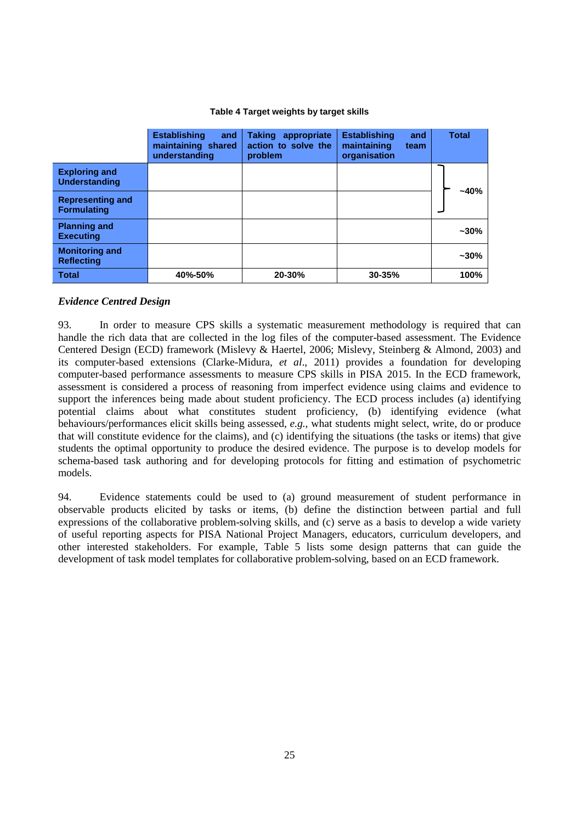#### **Table 4 Target weights by target skills**

|                                               | <b>Establishing</b><br>and<br>maintaining shared<br>understanding | <b>Taking</b><br>appropriate<br>action to solve the<br>problem | <b>Establishing</b><br>maintaining<br>organisation | and<br>team | <b>Total</b> |
|-----------------------------------------------|-------------------------------------------------------------------|----------------------------------------------------------------|----------------------------------------------------|-------------|--------------|
| <b>Exploring and</b><br><b>Understanding</b>  |                                                                   |                                                                |                                                    |             | $-40%$       |
| <b>Representing and</b><br><b>Formulating</b> |                                                                   |                                                                |                                                    |             |              |
| <b>Planning and</b><br><b>Executing</b>       |                                                                   |                                                                |                                                    |             | $-30%$       |
| <b>Monitoring and</b><br><b>Reflecting</b>    |                                                                   |                                                                |                                                    |             | $-30%$       |
| <b>Total</b>                                  | 40%-50%                                                           | 20-30%                                                         | $30 - 35%$                                         |             | 100%         |

#### *Evidence Centred Design*

93. In order to measure CPS skills a systematic measurement methodology is required that can handle the rich data that are collected in the log files of the computer-based assessment. The Evidence Centered Design (ECD) framework (Mislevy & Haertel, 2006; Mislevy, Steinberg & Almond, 2003) and its computer-based extensions (Clarke-Midura, *et al*., 2011) provides a foundation for developing computer-based performance assessments to measure CPS skills in PISA 2015. In the ECD framework, assessment is considered a process of reasoning from imperfect evidence using claims and evidence to support the inferences being made about student proficiency. The ECD process includes (a) identifying potential claims about what constitutes student proficiency, (b) identifying evidence (what behaviours/performances elicit skills being assessed, *e.g.,* what students might select, write, do or produce that will constitute evidence for the claims), and (c) identifying the situations (the tasks or items) that give students the optimal opportunity to produce the desired evidence. The purpose is to develop models for schema-based task authoring and for developing protocols for fitting and estimation of psychometric models.

94. Evidence statements could be used to (a) ground measurement of student performance in observable products elicited by tasks or items, (b) define the distinction between partial and full expressions of the collaborative problem-solving skills, and (c) serve as a basis to develop a wide variety of useful reporting aspects for PISA National Project Managers, educators, curriculum developers, and other interested stakeholders. For example, Table 5 lists some design patterns that can guide the development of task model templates for collaborative problem-solving, based on an ECD framework.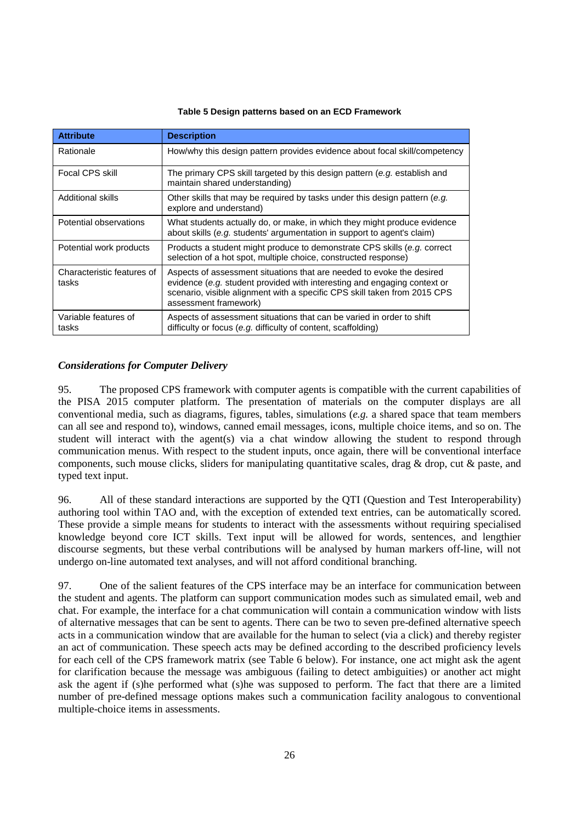| Table 5 Design patterns based on an ECD Framework |  |  |  |  |  |
|---------------------------------------------------|--|--|--|--|--|
|---------------------------------------------------|--|--|--|--|--|

| <b>Attribute</b>                    | <b>Description</b>                                                                                                                                                                                                                                      |
|-------------------------------------|---------------------------------------------------------------------------------------------------------------------------------------------------------------------------------------------------------------------------------------------------------|
| Rationale                           | How/why this design pattern provides evidence about focal skill/competency                                                                                                                                                                              |
| Focal CPS skill                     | The primary CPS skill targeted by this design pattern (e.g. establish and<br>maintain shared understanding)                                                                                                                                             |
| Additional skills                   | Other skills that may be required by tasks under this design pattern (e.g.<br>explore and understand)                                                                                                                                                   |
| Potential observations              | What students actually do, or make, in which they might produce evidence<br>about skills (e.g. students' argumentation in support to agent's claim)                                                                                                     |
| Potential work products             | Products a student might produce to demonstrate CPS skills (e.g. correct<br>selection of a hot spot, multiple choice, constructed response)                                                                                                             |
| Characteristic features of<br>tasks | Aspects of assessment situations that are needed to evoke the desired<br>evidence (e.g. student provided with interesting and engaging context or<br>scenario, visible alignment with a specific CPS skill taken from 2015 CPS<br>assessment framework) |
| Variable features of<br>tasks       | Aspects of assessment situations that can be varied in order to shift<br>difficulty or focus (e.g. difficulty of content, scaffolding)                                                                                                                  |

## *Considerations for Computer Delivery*

95. The proposed CPS framework with computer agents is compatible with the current capabilities of the PISA 2015 computer platform. The presentation of materials on the computer displays are all conventional media, such as diagrams, figures, tables, simulations (*e.g.* a shared space that team members can all see and respond to), windows, canned email messages, icons, multiple choice items, and so on. The student will interact with the agent(s) via a chat window allowing the student to respond through communication menus. With respect to the student inputs, once again, there will be conventional interface components, such mouse clicks, sliders for manipulating quantitative scales, drag  $\&$  drop, cut  $\&$  paste, and typed text input.

96. All of these standard interactions are supported by the QTI (Question and Test Interoperability) authoring tool within TAO and, with the exception of extended text entries, can be automatically scored. These provide a simple means for students to interact with the assessments without requiring specialised knowledge beyond core ICT skills. Text input will be allowed for words, sentences, and lengthier discourse segments, but these verbal contributions will be analysed by human markers off-line, will not undergo on-line automated text analyses, and will not afford conditional branching.

97. One of the salient features of the CPS interface may be an interface for communication between the student and agents. The platform can support communication modes such as simulated email, web and chat. For example, the interface for a chat communication will contain a communication window with lists of alternative messages that can be sent to agents. There can be two to seven pre-defined alternative speech acts in a communication window that are available for the human to select (via a click) and thereby register an act of communication. These speech acts may be defined according to the described proficiency levels for each cell of the CPS framework matrix (see Table 6 below). For instance, one act might ask the agent for clarification because the message was ambiguous (failing to detect ambiguities) or another act might ask the agent if (s)he performed what (s)he was supposed to perform. The fact that there are a limited number of pre-defined message options makes such a communication facility analogous to conventional multiple-choice items in assessments.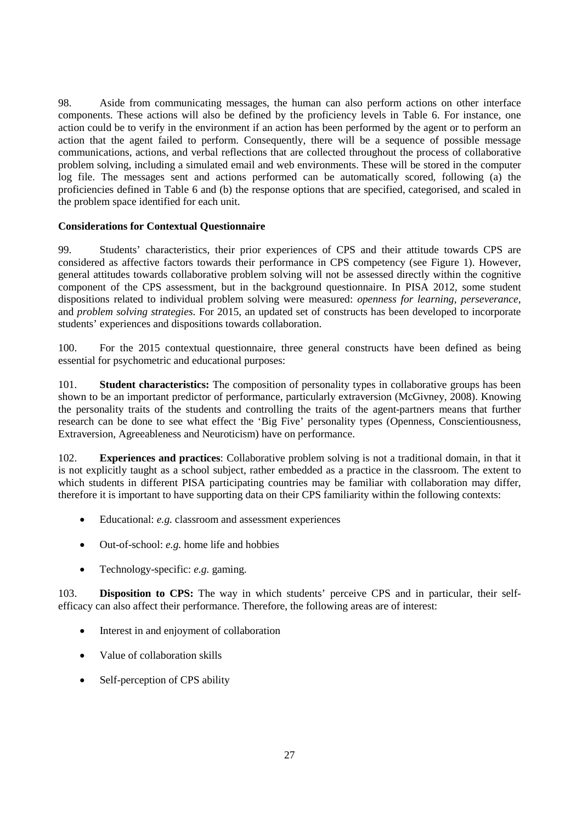98. Aside from communicating messages, the human can also perform actions on other interface components. These actions will also be defined by the proficiency levels in Table 6. For instance, one action could be to verify in the environment if an action has been performed by the agent or to perform an action that the agent failed to perform. Consequently, there will be a sequence of possible message communications, actions, and verbal reflections that are collected throughout the process of collaborative problem solving, including a simulated email and web environments. These will be stored in the computer log file. The messages sent and actions performed can be automatically scored, following (a) the proficiencies defined in Table 6 and (b) the response options that are specified, categorised, and scaled in the problem space identified for each unit.

#### **Considerations for Contextual Questionnaire**

99. Students' characteristics, their prior experiences of CPS and their attitude towards CPS are considered as affective factors towards their performance in CPS competency (see Figure 1). However, general attitudes towards collaborative problem solving will not be assessed directly within the cognitive component of the CPS assessment, but in the background questionnaire. In PISA 2012, some student dispositions related to individual problem solving were measured: *openness for learning*, *perseverance*, and *problem solving strategies*. For 2015, an updated set of constructs has been developed to incorporate students' experiences and dispositions towards collaboration.

100. For the 2015 contextual questionnaire, three general constructs have been defined as being essential for psychometric and educational purposes:

101. **Student characteristics:** The composition of personality types in collaborative groups has been shown to be an important predictor of performance, particularly extraversion (McGivney, 2008). Knowing the personality traits of the students and controlling the traits of the agent-partners means that further research can be done to see what effect the 'Big Five' personality types (Openness, Conscientiousness, Extraversion, Agreeableness and Neuroticism) have on performance.

102. **Experiences and practices**: Collaborative problem solving is not a traditional domain, in that it is not explicitly taught as a school subject, rather embedded as a practice in the classroom. The extent to which students in different PISA participating countries may be familiar with collaboration may differ, therefore it is important to have supporting data on their CPS familiarity within the following contexts:

- Educational: *e.g.* classroom and assessment experiences
- Out-of-school: *e.g.* home life and hobbies
- Technology-specific: *e.g.* gaming.

103. **Disposition to CPS:** The way in which students' perceive CPS and in particular, their selfefficacy can also affect their performance. Therefore, the following areas are of interest:

- Interest in and enjoyment of collaboration
- Value of collaboration skills
- Self-perception of CPS ability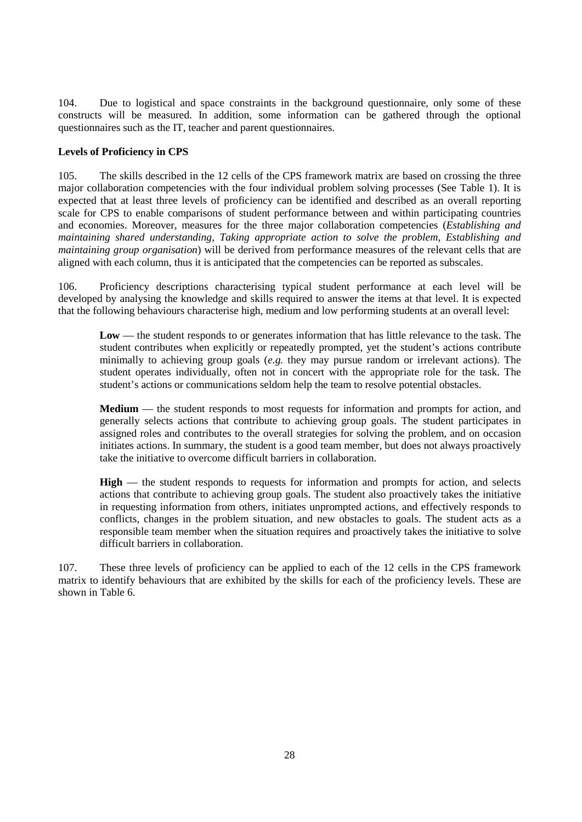104. Due to logistical and space constraints in the background questionnaire, only some of these constructs will be measured. In addition, some information can be gathered through the optional questionnaires such as the IT, teacher and parent questionnaires.

#### **Levels of Proficiency in CPS**

105. The skills described in the 12 cells of the CPS framework matrix are based on crossing the three major collaboration competencies with the four individual problem solving processes (See Table 1). It is expected that at least three levels of proficiency can be identified and described as an overall reporting scale for CPS to enable comparisons of student performance between and within participating countries and economies. Moreover, measures for the three major collaboration competencies (*Establishing and maintaining shared understanding, Taking appropriate action to solve the problem*, *Establishing and maintaining group organisation*) will be derived from performance measures of the relevant cells that are aligned with each column, thus it is anticipated that the competencies can be reported as subscales.

106. Proficiency descriptions characterising typical student performance at each level will be developed by analysing the knowledge and skills required to answer the items at that level. It is expected that the following behaviours characterise high, medium and low performing students at an overall level:

**Low** — the student responds to or generates information that has little relevance to the task. The student contributes when explicitly or repeatedly prompted, yet the student's actions contribute minimally to achieving group goals (*e.g.* they may pursue random or irrelevant actions). The student operates individually, often not in concert with the appropriate role for the task. The student's actions or communications seldom help the team to resolve potential obstacles.

**Medium** — the student responds to most requests for information and prompts for action, and generally selects actions that contribute to achieving group goals. The student participates in assigned roles and contributes to the overall strategies for solving the problem, and on occasion initiates actions. In summary, the student is a good team member, but does not always proactively take the initiative to overcome difficult barriers in collaboration.

**High** — the student responds to requests for information and prompts for action, and selects actions that contribute to achieving group goals. The student also proactively takes the initiative in requesting information from others, initiates unprompted actions, and effectively responds to conflicts, changes in the problem situation, and new obstacles to goals. The student acts as a responsible team member when the situation requires and proactively takes the initiative to solve difficult barriers in collaboration.

107. These three levels of proficiency can be applied to each of the 12 cells in the CPS framework matrix to identify behaviours that are exhibited by the skills for each of the proficiency levels. These are shown in Table 6.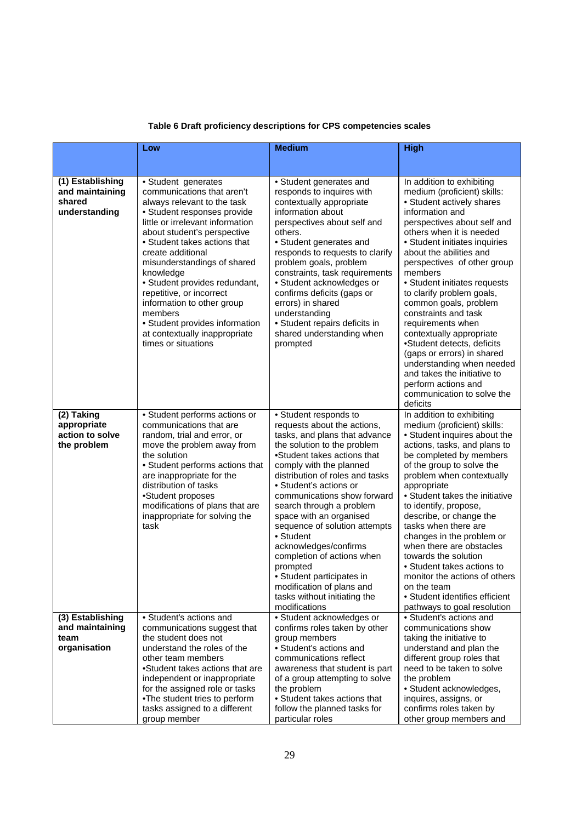|                                                                | Low                                                                                                                                                                                                                                                                                                                                                                                                                                                                                 | <b>Medium</b>                                                                                                                                                                                                                                                                                                                                                                                                                                                                                                                                                 | <b>High</b>                                                                                                                                                                                                                                                                                                                                                                                                                                                                                                                                                                                                                       |
|----------------------------------------------------------------|-------------------------------------------------------------------------------------------------------------------------------------------------------------------------------------------------------------------------------------------------------------------------------------------------------------------------------------------------------------------------------------------------------------------------------------------------------------------------------------|---------------------------------------------------------------------------------------------------------------------------------------------------------------------------------------------------------------------------------------------------------------------------------------------------------------------------------------------------------------------------------------------------------------------------------------------------------------------------------------------------------------------------------------------------------------|-----------------------------------------------------------------------------------------------------------------------------------------------------------------------------------------------------------------------------------------------------------------------------------------------------------------------------------------------------------------------------------------------------------------------------------------------------------------------------------------------------------------------------------------------------------------------------------------------------------------------------------|
|                                                                |                                                                                                                                                                                                                                                                                                                                                                                                                                                                                     |                                                                                                                                                                                                                                                                                                                                                                                                                                                                                                                                                               |                                                                                                                                                                                                                                                                                                                                                                                                                                                                                                                                                                                                                                   |
|                                                                |                                                                                                                                                                                                                                                                                                                                                                                                                                                                                     |                                                                                                                                                                                                                                                                                                                                                                                                                                                                                                                                                               |                                                                                                                                                                                                                                                                                                                                                                                                                                                                                                                                                                                                                                   |
| (1) Establishing<br>and maintaining<br>shared<br>understanding | • Student generates<br>communications that aren't<br>always relevant to the task<br>• Student responses provide<br>little or irrelevant information<br>about student's perspective<br>• Student takes actions that<br>create additional<br>misunderstandings of shared<br>knowledge<br>· Student provides redundant,<br>repetitive, or incorrect<br>information to other group<br>members<br>• Student provides information<br>at contextually inappropriate<br>times or situations | • Student generates and<br>responds to inquires with<br>contextually appropriate<br>information about<br>perspectives about self and<br>others.<br>• Student generates and<br>responds to requests to clarify<br>problem goals, problem<br>constraints, task requirements<br>• Student acknowledges or<br>confirms deficits (gaps or<br>errors) in shared<br>understanding<br>· Student repairs deficits in<br>shared understanding when<br>prompted                                                                                                          | In addition to exhibiting<br>medium (proficient) skills:<br>• Student actively shares<br>information and<br>perspectives about self and<br>others when it is needed<br>• Student initiates inquiries<br>about the abilities and<br>perspectives of other group<br>members<br>• Student initiates requests<br>to clarify problem goals,<br>common goals, problem<br>constraints and task<br>requirements when<br>contextually appropriate<br>•Student detects, deficits<br>(gaps or errors) in shared<br>understanding when needed<br>and takes the initiative to<br>perform actions and<br>communication to solve the<br>deficits |
| (2) Taking<br>appropriate<br>action to solve<br>the problem    | • Student performs actions or<br>communications that are<br>random, trial and error, or<br>move the problem away from<br>the solution<br>• Student performs actions that<br>are inappropriate for the<br>distribution of tasks<br>•Student proposes<br>modifications of plans that are<br>inappropriate for solving the<br>task                                                                                                                                                     | • Student responds to<br>requests about the actions,<br>tasks, and plans that advance<br>the solution to the problem<br>•Student takes actions that<br>comply with the planned<br>distribution of roles and tasks<br>· Student's actions or<br>communications show forward<br>search through a problem<br>space with an organised<br>sequence of solution attempts<br>• Student<br>acknowledges/confirms<br>completion of actions when<br>prompted<br>· Student participates in<br>modification of plans and<br>tasks without initiating the<br>modifications | In addition to exhibiting<br>medium (proficient) skills:<br>• Student inquires about the<br>actions, tasks, and plans to<br>be completed by members<br>of the group to solve the<br>problem when contextually<br>appropriate<br>• Student takes the initiative<br>to identify, propose,<br>describe, or change the<br>tasks when there are<br>changes in the problem or<br>when there are obstacles<br>towards the solution<br>• Student takes actions to<br>monitor the actions of others<br>on the team<br>• Student identifies efficient<br>pathways to goal resolution                                                        |
| (3) Establishing                                               | • Student's actions and                                                                                                                                                                                                                                                                                                                                                                                                                                                             | · Student acknowledges or                                                                                                                                                                                                                                                                                                                                                                                                                                                                                                                                     | · Student's actions and                                                                                                                                                                                                                                                                                                                                                                                                                                                                                                                                                                                                           |
| and maintaining                                                | communications suggest that                                                                                                                                                                                                                                                                                                                                                                                                                                                         | confirms roles taken by other                                                                                                                                                                                                                                                                                                                                                                                                                                                                                                                                 | communications show                                                                                                                                                                                                                                                                                                                                                                                                                                                                                                                                                                                                               |
| team<br>organisation                                           | the student does not<br>understand the roles of the                                                                                                                                                                                                                                                                                                                                                                                                                                 | group members<br>• Student's actions and                                                                                                                                                                                                                                                                                                                                                                                                                                                                                                                      | taking the initiative to<br>understand and plan the                                                                                                                                                                                                                                                                                                                                                                                                                                                                                                                                                                               |
|                                                                | other team members                                                                                                                                                                                                                                                                                                                                                                                                                                                                  | communications reflect                                                                                                                                                                                                                                                                                                                                                                                                                                                                                                                                        | different group roles that                                                                                                                                                                                                                                                                                                                                                                                                                                                                                                                                                                                                        |
|                                                                | •Student takes actions that are                                                                                                                                                                                                                                                                                                                                                                                                                                                     | awareness that student is part                                                                                                                                                                                                                                                                                                                                                                                                                                                                                                                                | need to be taken to solve                                                                                                                                                                                                                                                                                                                                                                                                                                                                                                                                                                                                         |
|                                                                | independent or inappropriate                                                                                                                                                                                                                                                                                                                                                                                                                                                        | of a group attempting to solve                                                                                                                                                                                                                                                                                                                                                                                                                                                                                                                                | the problem                                                                                                                                                                                                                                                                                                                                                                                                                                                                                                                                                                                                                       |
|                                                                | for the assigned role or tasks<br>•The student tries to perform                                                                                                                                                                                                                                                                                                                                                                                                                     | the problem<br>• Student takes actions that                                                                                                                                                                                                                                                                                                                                                                                                                                                                                                                   | · Student acknowledges,<br>inquires, assigns, or                                                                                                                                                                                                                                                                                                                                                                                                                                                                                                                                                                                  |
|                                                                | tasks assigned to a different                                                                                                                                                                                                                                                                                                                                                                                                                                                       | follow the planned tasks for                                                                                                                                                                                                                                                                                                                                                                                                                                                                                                                                  | confirms roles taken by                                                                                                                                                                                                                                                                                                                                                                                                                                                                                                                                                                                                           |
|                                                                | group member                                                                                                                                                                                                                                                                                                                                                                                                                                                                        | particular roles                                                                                                                                                                                                                                                                                                                                                                                                                                                                                                                                              | other group members and                                                                                                                                                                                                                                                                                                                                                                                                                                                                                                                                                                                                           |

# **Table 6 Draft proficiency descriptions for CPS competencies scales**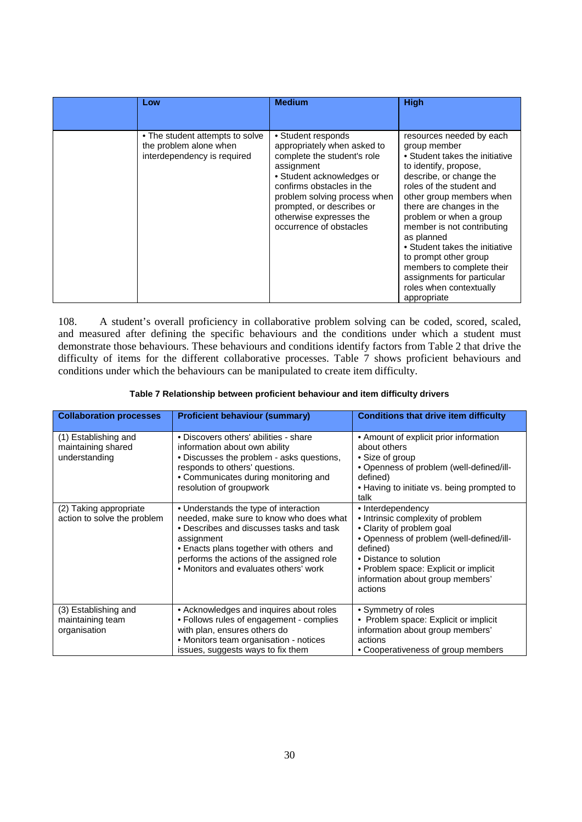| Low                                                                                      | <b>Medium</b>                                                                                                                                                                                                                                                               | <b>High</b>                                                                                                                                                                                                                                                                                                                                                                                                                                               |
|------------------------------------------------------------------------------------------|-----------------------------------------------------------------------------------------------------------------------------------------------------------------------------------------------------------------------------------------------------------------------------|-----------------------------------------------------------------------------------------------------------------------------------------------------------------------------------------------------------------------------------------------------------------------------------------------------------------------------------------------------------------------------------------------------------------------------------------------------------|
| • The student attempts to solve<br>the problem alone when<br>interdependency is required | • Student responds<br>appropriately when asked to<br>complete the student's role<br>assignment<br>• Student acknowledges or<br>confirms obstacles in the<br>problem solving process when<br>prompted, or describes or<br>otherwise expresses the<br>occurrence of obstacles | resources needed by each<br>group member<br>• Student takes the initiative<br>to identify, propose,<br>describe, or change the<br>roles of the student and<br>other group members when<br>there are changes in the<br>problem or when a group<br>member is not contributing<br>as planned<br>• Student takes the initiative<br>to prompt other group<br>members to complete their<br>assignments for particular<br>roles when contextually<br>appropriate |

108. A student's overall proficiency in collaborative problem solving can be coded, scored, scaled, and measured after defining the specific behaviours and the conditions under which a student must demonstrate those behaviours. These behaviours and conditions identify factors from Table 2 that drive the difficulty of items for the different collaborative processes. Table 7 shows proficient behaviours and conditions under which the behaviours can be manipulated to create item difficulty.

#### **Table 7 Relationship between proficient behaviour and item difficulty drivers**

| <b>Collaboration processes</b>                              | <b>Proficient behaviour (summary)</b>                                                                                                                                                                                                                                       | <b>Conditions that drive item difficulty</b>                                                                                                                                                                                                                  |
|-------------------------------------------------------------|-----------------------------------------------------------------------------------------------------------------------------------------------------------------------------------------------------------------------------------------------------------------------------|---------------------------------------------------------------------------------------------------------------------------------------------------------------------------------------------------------------------------------------------------------------|
| (1) Establishing and<br>maintaining shared<br>understanding | • Discovers others' abilities - share<br>information about own ability<br>• Discusses the problem - asks questions,<br>responds to others' questions.<br>• Communicates during monitoring and<br>resolution of groupwork                                                    | • Amount of explicit prior information<br>about others<br>• Size of group<br>• Openness of problem (well-defined/ill-<br>defined)<br>• Having to initiate vs. being prompted to<br>talk                                                                       |
| (2) Taking appropriate<br>action to solve the problem       | • Understands the type of interaction<br>needed, make sure to know who does what<br>• Describes and discusses tasks and task<br>assignment<br>• Enacts plans together with others and<br>performs the actions of the assigned role<br>• Monitors and evaluates others' work | • Interdependency<br>• Intrinsic complexity of problem<br>• Clarity of problem goal<br>• Openness of problem (well-defined/ill-<br>defined)<br>• Distance to solution<br>• Problem space: Explicit or implicit<br>information about group members'<br>actions |
| (3) Establishing and<br>maintaining team<br>organisation    | • Acknowledges and inquires about roles<br>· Follows rules of engagement - complies<br>with plan, ensures others do<br>• Monitors team organisation - notices<br>issues, suggests ways to fix them                                                                          | • Symmetry of roles<br>• Problem space: Explicit or implicit<br>information about group members'<br>actions<br>• Cooperativeness of group members                                                                                                             |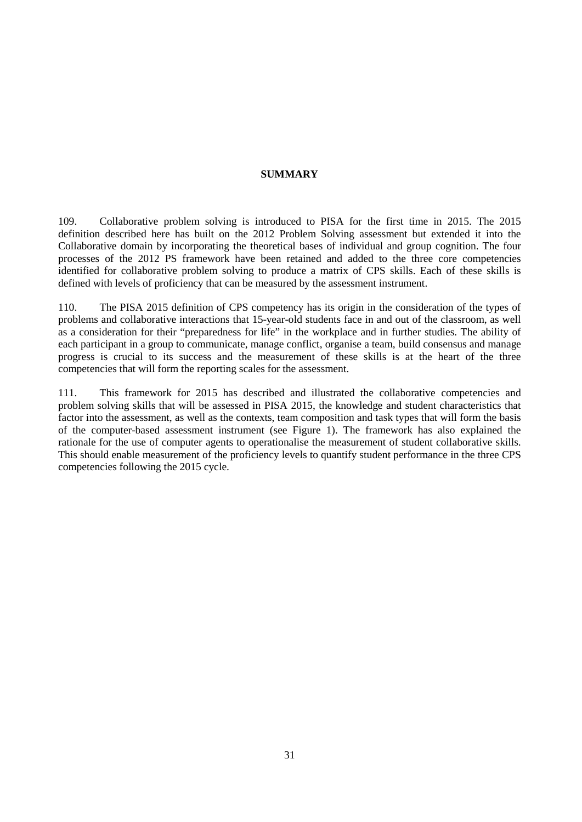#### **SUMMARY**

109. Collaborative problem solving is introduced to PISA for the first time in 2015. The 2015 definition described here has built on the 2012 Problem Solving assessment but extended it into the Collaborative domain by incorporating the theoretical bases of individual and group cognition. The four processes of the 2012 PS framework have been retained and added to the three core competencies identified for collaborative problem solving to produce a matrix of CPS skills. Each of these skills is defined with levels of proficiency that can be measured by the assessment instrument.

110. The PISA 2015 definition of CPS competency has its origin in the consideration of the types of problems and collaborative interactions that 15-year-old students face in and out of the classroom, as well as a consideration for their "preparedness for life" in the workplace and in further studies. The ability of each participant in a group to communicate, manage conflict, organise a team, build consensus and manage progress is crucial to its success and the measurement of these skills is at the heart of the three competencies that will form the reporting scales for the assessment.

111. This framework for 2015 has described and illustrated the collaborative competencies and problem solving skills that will be assessed in PISA 2015, the knowledge and student characteristics that factor into the assessment, as well as the contexts, team composition and task types that will form the basis of the computer-based assessment instrument (see Figure 1). The framework has also explained the rationale for the use of computer agents to operationalise the measurement of student collaborative skills. This should enable measurement of the proficiency levels to quantify student performance in the three CPS competencies following the 2015 cycle.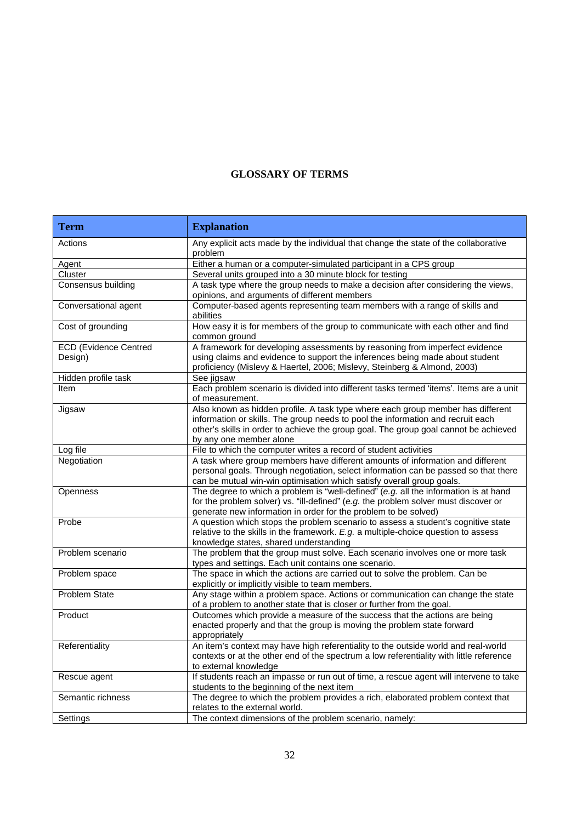## **GLOSSARY OF TERMS**

| <b>Term</b>                             | <b>Explanation</b>                                                                                                                                                                                                                                                                    |
|-----------------------------------------|---------------------------------------------------------------------------------------------------------------------------------------------------------------------------------------------------------------------------------------------------------------------------------------|
| Actions                                 | Any explicit acts made by the individual that change the state of the collaborative<br>problem                                                                                                                                                                                        |
| Agent                                   | Either a human or a computer-simulated participant in a CPS group                                                                                                                                                                                                                     |
| Cluster                                 | Several units grouped into a 30 minute block for testing                                                                                                                                                                                                                              |
| Consensus building                      | A task type where the group needs to make a decision after considering the views,<br>opinions, and arguments of different members                                                                                                                                                     |
| Conversational agent                    | Computer-based agents representing team members with a range of skills and<br>abilities                                                                                                                                                                                               |
| Cost of grounding                       | How easy it is for members of the group to communicate with each other and find<br>common ground                                                                                                                                                                                      |
| <b>ECD (Evidence Centred</b><br>Design) | A framework for developing assessments by reasoning from imperfect evidence<br>using claims and evidence to support the inferences being made about student<br>proficiency (Mislevy & Haertel, 2006; Mislevy, Steinberg & Almond, 2003)                                               |
| Hidden profile task                     | See jigsaw                                                                                                                                                                                                                                                                            |
| <b>Item</b>                             | Each problem scenario is divided into different tasks termed 'items'. Items are a unit<br>of measurement.                                                                                                                                                                             |
| Jigsaw                                  | Also known as hidden profile. A task type where each group member has different<br>information or skills. The group needs to pool the information and recruit each<br>other's skills in order to achieve the group goal. The group goal cannot be achieved<br>by any one member alone |
| Log file                                | File to which the computer writes a record of student activities                                                                                                                                                                                                                      |
| Negotiation                             | A task where group members have different amounts of information and different<br>personal goals. Through negotiation, select information can be passed so that there<br>can be mutual win-win optimisation which satisfy overall group goals.                                        |
| Openness                                | The degree to which a problem is "well-defined" (e.g. all the information is at hand<br>for the problem solver) vs. "ill-defined" (e.g. the problem solver must discover or<br>generate new information in order for the problem to be solved)                                        |
| Probe                                   | A question which stops the problem scenario to assess a student's cognitive state<br>relative to the skills in the framework. E.g. a multiple-choice question to assess<br>knowledge states, shared understanding                                                                     |
| Problem scenario                        | The problem that the group must solve. Each scenario involves one or more task<br>types and settings. Each unit contains one scenario.                                                                                                                                                |
| Problem space                           | The space in which the actions are carried out to solve the problem. Can be<br>explicitly or implicitly visible to team members.                                                                                                                                                      |
| <b>Problem State</b>                    | Any stage within a problem space. Actions or communication can change the state<br>of a problem to another state that is closer or further from the goal.                                                                                                                             |
| Product                                 | Outcomes which provide a measure of the success that the actions are being<br>enacted properly and that the group is moving the problem state forward<br>appropriately                                                                                                                |
| Referentiality                          | An item's context may have high referentiality to the outside world and real-world<br>contexts or at the other end of the spectrum a low referentiality with little reference<br>to external knowledge                                                                                |
| Rescue agent                            | If students reach an impasse or run out of time, a rescue agent will intervene to take<br>students to the beginning of the next item                                                                                                                                                  |
| Semantic richness                       | The degree to which the problem provides a rich, elaborated problem context that<br>relates to the external world.                                                                                                                                                                    |
| Settings                                | The context dimensions of the problem scenario, namely:                                                                                                                                                                                                                               |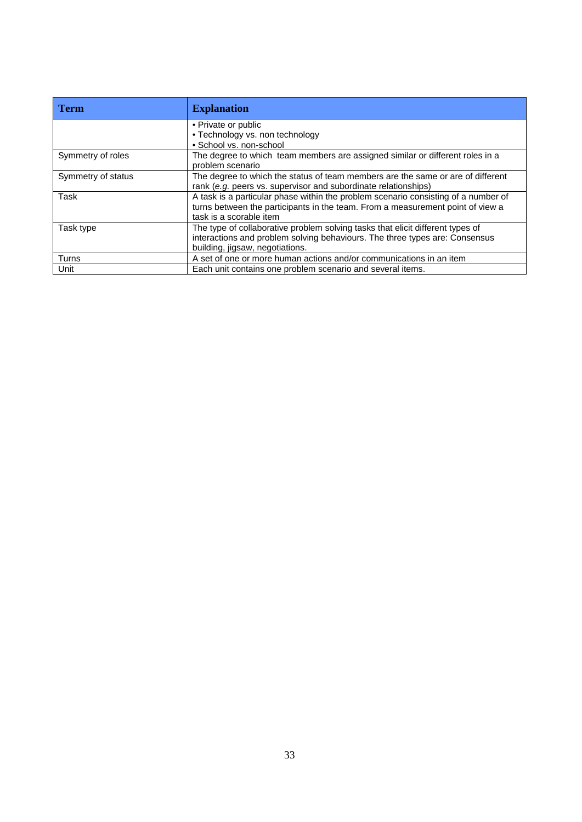| <b>Term</b>        | <b>Explanation</b>                                                                                                                                                                               |
|--------------------|--------------------------------------------------------------------------------------------------------------------------------------------------------------------------------------------------|
|                    | • Private or public<br>• Technology vs. non technology                                                                                                                                           |
|                    | · School vs. non-school                                                                                                                                                                          |
| Symmetry of roles  | The degree to which team members are assigned similar or different roles in a<br>problem scenario                                                                                                |
| Symmetry of status | The degree to which the status of team members are the same or are of different<br>rank (e.g. peers vs. supervisor and subordinate relationships)                                                |
| Task               | A task is a particular phase within the problem scenario consisting of a number of<br>turns between the participants in the team. From a measurement point of view a<br>task is a scorable item  |
| Task type          | The type of collaborative problem solving tasks that elicit different types of<br>interactions and problem solving behaviours. The three types are: Consensus<br>building, jigsaw, negotiations. |
| Turns              | A set of one or more human actions and/or communications in an item                                                                                                                              |
| Unit               | Each unit contains one problem scenario and several items.                                                                                                                                       |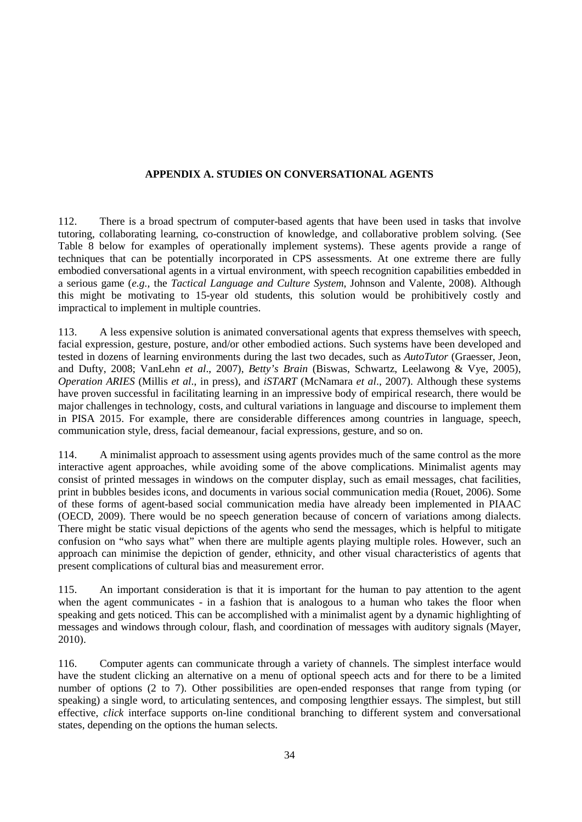#### **APPENDIX A. STUDIES ON CONVERSATIONAL AGENTS**

112. There is a broad spectrum of computer-based agents that have been used in tasks that involve tutoring, collaborating learning, co-construction of knowledge, and collaborative problem solving. (See Table 8 below for examples of operationally implement systems). These agents provide a range of techniques that can be potentially incorporated in CPS assessments. At one extreme there are fully embodied conversational agents in a virtual environment, with speech recognition capabilities embedded in a serious game (*e.g.,* the *Tactical Language and Culture System*, Johnson and Valente, 2008). Although this might be motivating to 15-year old students, this solution would be prohibitively costly and impractical to implement in multiple countries.

113. A less expensive solution is animated conversational agents that express themselves with speech, facial expression, gesture, posture, and/or other embodied actions. Such systems have been developed and tested in dozens of learning environments during the last two decades, such as *AutoTutor* (Graesser, Jeon, and Dufty, 2008; VanLehn *et al*., 2007), *Betty's Brain* (Biswas, Schwartz, Leelawong & Vye, 2005), *Operation ARIES* (Millis *et al*., in press), and *iSTART* (McNamara *et al*., 2007). Although these systems have proven successful in facilitating learning in an impressive body of empirical research, there would be major challenges in technology, costs, and cultural variations in language and discourse to implement them in PISA 2015. For example, there are considerable differences among countries in language, speech, communication style, dress, facial demeanour, facial expressions, gesture, and so on.

114. A minimalist approach to assessment using agents provides much of the same control as the more interactive agent approaches, while avoiding some of the above complications. Minimalist agents may consist of printed messages in windows on the computer display, such as email messages, chat facilities, print in bubbles besides icons, and documents in various social communication media (Rouet, 2006). Some of these forms of agent-based social communication media have already been implemented in PIAAC (OECD, 2009). There would be no speech generation because of concern of variations among dialects. There might be static visual depictions of the agents who send the messages, which is helpful to mitigate confusion on "who says what" when there are multiple agents playing multiple roles. However, such an approach can minimise the depiction of gender, ethnicity, and other visual characteristics of agents that present complications of cultural bias and measurement error.

115. An important consideration is that it is important for the human to pay attention to the agent when the agent communicates - in a fashion that is analogous to a human who takes the floor when speaking and gets noticed. This can be accomplished with a minimalist agent by a dynamic highlighting of messages and windows through colour, flash, and coordination of messages with auditory signals (Mayer, 2010).

116. Computer agents can communicate through a variety of channels. The simplest interface would have the student clicking an alternative on a menu of optional speech acts and for there to be a limited number of options (2 to 7). Other possibilities are open-ended responses that range from typing (or speaking) a single word, to articulating sentences, and composing lengthier essays. The simplest, but still effective, *click* interface supports on-line conditional branching to different system and conversational states, depending on the options the human selects.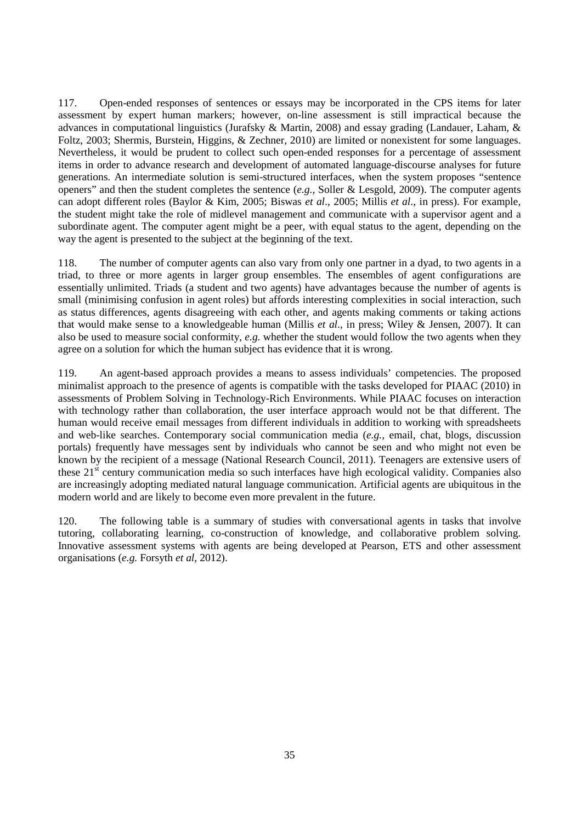117. Open-ended responses of sentences or essays may be incorporated in the CPS items for later assessment by expert human markers; however, on-line assessment is still impractical because the advances in computational linguistics (Jurafsky & Martin, 2008) and essay grading (Landauer, Laham, & Foltz, 2003; Shermis, Burstein, Higgins, & Zechner, 2010) are limited or nonexistent for some languages. Nevertheless, it would be prudent to collect such open-ended responses for a percentage of assessment items in order to advance research and development of automated language-discourse analyses for future generations. An intermediate solution is semi-structured interfaces, when the system proposes "sentence openers" and then the student completes the sentence (*e.g.,* Soller & Lesgold, 2009). The computer agents can adopt different roles (Baylor & Kim, 2005; Biswas *et al*., 2005; Millis *et al*., in press). For example, the student might take the role of midlevel management and communicate with a supervisor agent and a subordinate agent. The computer agent might be a peer, with equal status to the agent, depending on the way the agent is presented to the subject at the beginning of the text.

118. The number of computer agents can also vary from only one partner in a dyad, to two agents in a triad, to three or more agents in larger group ensembles. The ensembles of agent configurations are essentially unlimited. Triads (a student and two agents) have advantages because the number of agents is small (minimising confusion in agent roles) but affords interesting complexities in social interaction, such as status differences, agents disagreeing with each other, and agents making comments or taking actions that would make sense to a knowledgeable human (Millis *et al*., in press; Wiley & Jensen, 2007). It can also be used to measure social conformity, *e.g.* whether the student would follow the two agents when they agree on a solution for which the human subject has evidence that it is wrong.

119. An agent-based approach provides a means to assess individuals' competencies. The proposed minimalist approach to the presence of agents is compatible with the tasks developed for PIAAC (2010) in assessments of Problem Solving in Technology-Rich Environments. While PIAAC focuses on interaction with technology rather than collaboration, the user interface approach would not be that different. The human would receive email messages from different individuals in addition to working with spreadsheets and web-like searches. Contemporary social communication media (*e.g.,* email, chat, blogs, discussion portals) frequently have messages sent by individuals who cannot be seen and who might not even be known by the recipient of a message (National Research Council, 2011). Teenagers are extensive users of these 21st century communication media so such interfaces have high ecological validity. Companies also are increasingly adopting mediated natural language communication. Artificial agents are ubiquitous in the modern world and are likely to become even more prevalent in the future.

120. The following table is a summary of studies with conversational agents in tasks that involve tutoring, collaborating learning, co-construction of knowledge, and collaborative problem solving. Innovative assessment systems with agents are being developed at Pearson, ETS and other assessment organisations (*e.g.* Forsyth *et al*, 2012).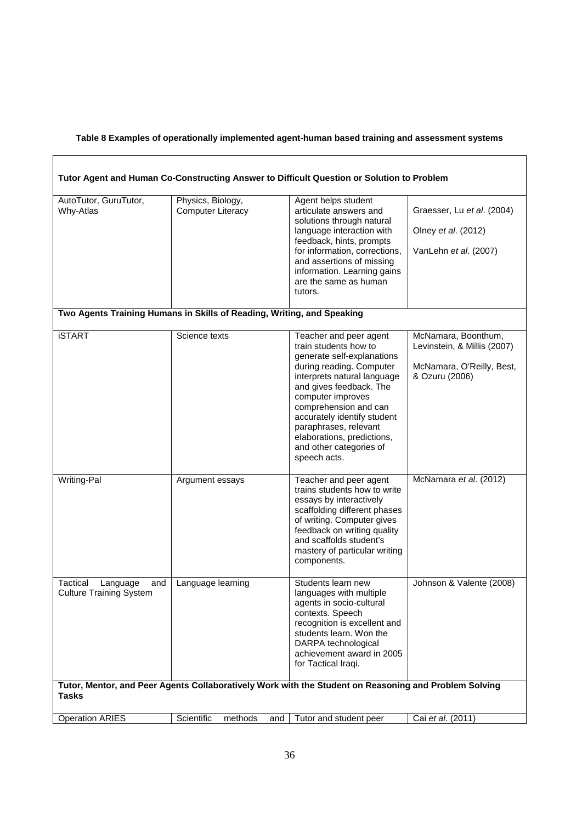## **Table 8 Examples of operationally implemented agent-human based training and assessment systems**

 $\lceil$ 

| Tutor Agent and Human Co-Constructing Answer to Difficult Question or Solution to Problem                             |                                               |     |                                                                                                                                                                                                                                                                                                                                                    |                                                                                                   |  |
|-----------------------------------------------------------------------------------------------------------------------|-----------------------------------------------|-----|----------------------------------------------------------------------------------------------------------------------------------------------------------------------------------------------------------------------------------------------------------------------------------------------------------------------------------------------------|---------------------------------------------------------------------------------------------------|--|
| AutoTutor, GuruTutor,<br>Why-Atlas                                                                                    | Physics, Biology,<br><b>Computer Literacy</b> |     | Agent helps student<br>articulate answers and<br>solutions through natural<br>language interaction with<br>feedback, hints, prompts<br>for information, corrections,<br>and assertions of missing<br>information. Learning gains<br>are the same as human<br>tutors.                                                                               | Graesser, Lu et al. (2004)<br>Olney et al. (2012)<br>VanLehn et al. (2007)                        |  |
| Two Agents Training Humans in Skills of Reading, Writing, and Speaking                                                |                                               |     |                                                                                                                                                                                                                                                                                                                                                    |                                                                                                   |  |
| <b>iSTART</b>                                                                                                         | Science texts                                 |     | Teacher and peer agent<br>train students how to<br>generate self-explanations<br>during reading. Computer<br>interprets natural language<br>and gives feedback. The<br>computer improves<br>comprehension and can<br>accurately identify student<br>paraphrases, relevant<br>elaborations, predictions,<br>and other categories of<br>speech acts. | McNamara, Boonthum,<br>Levinstein, & Millis (2007)<br>McNamara, O'Reilly, Best,<br>& Ozuru (2006) |  |
| Writing-Pal                                                                                                           | Argument essays                               |     | Teacher and peer agent<br>trains students how to write<br>essays by interactively<br>scaffolding different phases<br>of writing. Computer gives<br>feedback on writing quality<br>and scaffolds student's<br>mastery of particular writing<br>components.                                                                                          | McNamara et al. (2012)                                                                            |  |
| Tactical<br>Language<br>and<br><b>Culture Training System</b>                                                         | Language learning                             |     | Students learn new<br>languages with multiple<br>agents in socio-cultural<br>contexts. Speech<br>recognition is excellent and<br>students learn. Won the<br>DARPA technological<br>achievement award in 2005<br>for Tactical Iraqi.                                                                                                                | Johnson & Valente (2008)                                                                          |  |
| Tutor, Mentor, and Peer Agents Collaboratively Work with the Student on Reasoning and Problem Solving<br><b>Tasks</b> |                                               |     |                                                                                                                                                                                                                                                                                                                                                    |                                                                                                   |  |
| <b>Operation ARIES</b>                                                                                                | Scientific<br>methods                         | and | Tutor and student peer                                                                                                                                                                                                                                                                                                                             | Cai et al. (2011)                                                                                 |  |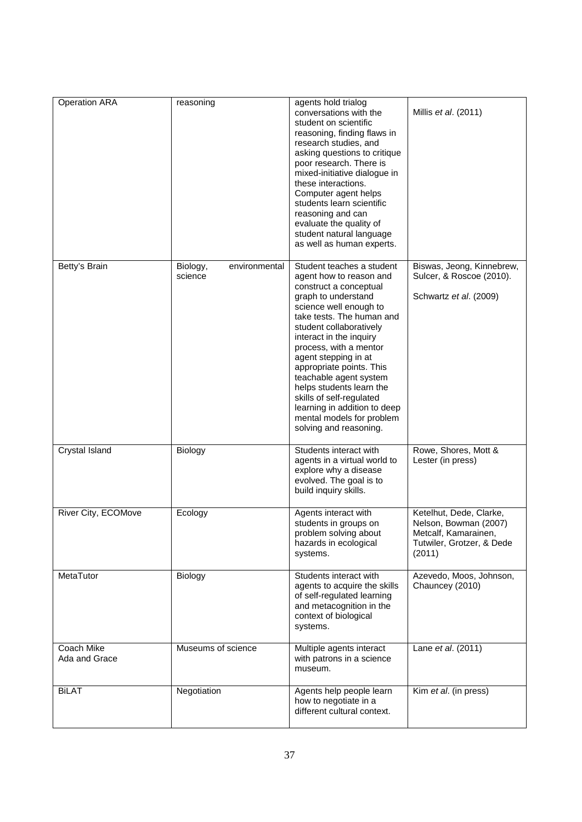| <b>Operation ARA</b>        | reasoning                            | agents hold trialog<br>conversations with the<br>student on scientific<br>reasoning, finding flaws in<br>research studies, and<br>asking questions to critique<br>poor research. There is<br>mixed-initiative dialogue in<br>these interactions.<br>Computer agent helps<br>students learn scientific<br>reasoning and can<br>evaluate the quality of<br>student natural language<br>as well as human experts.                                                            | Millis et al. (2011)                                                                                            |
|-----------------------------|--------------------------------------|---------------------------------------------------------------------------------------------------------------------------------------------------------------------------------------------------------------------------------------------------------------------------------------------------------------------------------------------------------------------------------------------------------------------------------------------------------------------------|-----------------------------------------------------------------------------------------------------------------|
| Betty's Brain               | Biology,<br>environmental<br>science | Student teaches a student<br>agent how to reason and<br>construct a conceptual<br>graph to understand<br>science well enough to<br>take tests. The human and<br>student collaboratively<br>interact in the inquiry<br>process, with a mentor<br>agent stepping in at<br>appropriate points. This<br>teachable agent system<br>helps students learn the<br>skills of self-regulated<br>learning in addition to deep<br>mental models for problem<br>solving and reasoning. | Biswas, Jeong, Kinnebrew,<br>Sulcer, & Roscoe (2010).<br>Schwartz et al. (2009)                                 |
| Crystal Island              | Biology                              | Students interact with<br>agents in a virtual world to<br>explore why a disease<br>evolved. The goal is to<br>build inquiry skills.                                                                                                                                                                                                                                                                                                                                       | Rowe, Shores, Mott &<br>Lester (in press)                                                                       |
| River City, ECOMove         | Ecology                              | Agents interact with<br>students in groups on<br>problem solving about<br>hazards in ecological<br>systems.                                                                                                                                                                                                                                                                                                                                                               | Ketelhut, Dede, Clarke,<br>Nelson, Bowman (2007)<br>Metcalf, Kamarainen,<br>Tutwiler, Grotzer, & Dede<br>(2011) |
| MetaTutor                   | Biology                              | Students interact with<br>agents to acquire the skills<br>of self-regulated learning<br>and metacognition in the<br>context of biological<br>systems.                                                                                                                                                                                                                                                                                                                     | Azevedo, Moos, Johnson,<br>Chauncey (2010)                                                                      |
| Coach Mike<br>Ada and Grace | Museums of science                   | Multiple agents interact<br>with patrons in a science<br>museum.                                                                                                                                                                                                                                                                                                                                                                                                          | Lane et al. (2011)                                                                                              |
| <b>BiLAT</b>                | Negotiation                          | Agents help people learn<br>how to negotiate in a<br>different cultural context.                                                                                                                                                                                                                                                                                                                                                                                          | Kim et al. (in press)                                                                                           |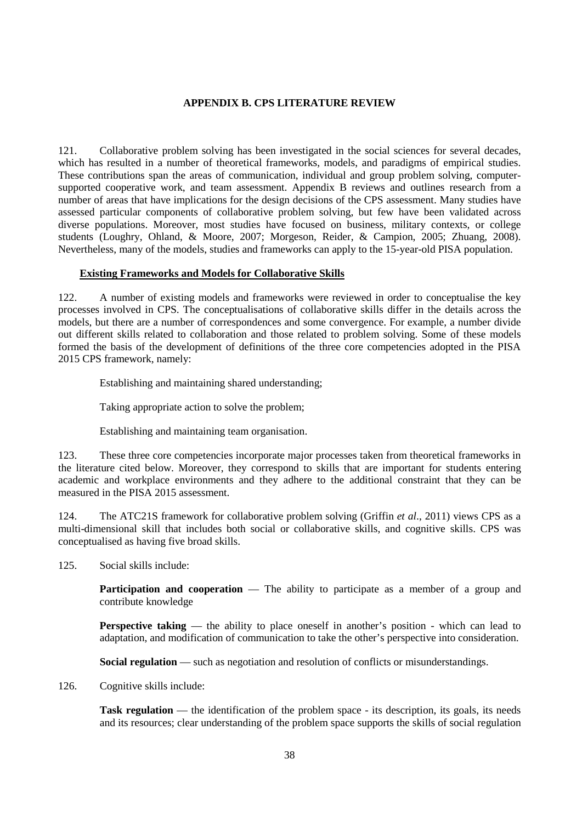#### **APPENDIX B. CPS LITERATURE REVIEW**

121. Collaborative problem solving has been investigated in the social sciences for several decades, which has resulted in a number of theoretical frameworks, models, and paradigms of empirical studies. These contributions span the areas of communication, individual and group problem solving, computersupported cooperative work, and team assessment. Appendix B reviews and outlines research from a number of areas that have implications for the design decisions of the CPS assessment. Many studies have assessed particular components of collaborative problem solving, but few have been validated across diverse populations. Moreover, most studies have focused on business, military contexts, or college students (Loughry, Ohland, & Moore, 2007; Morgeson, Reider, & Campion, 2005; Zhuang, 2008). Nevertheless, many of the models, studies and frameworks can apply to the 15-year-old PISA population.

#### **Existing Frameworks and Models for Collaborative Skills**

122. A number of existing models and frameworks were reviewed in order to conceptualise the key processes involved in CPS. The conceptualisations of collaborative skills differ in the details across the models, but there are a number of correspondences and some convergence. For example, a number divide out different skills related to collaboration and those related to problem solving. Some of these models formed the basis of the development of definitions of the three core competencies adopted in the PISA 2015 CPS framework, namely:

Establishing and maintaining shared understanding;

Taking appropriate action to solve the problem;

Establishing and maintaining team organisation.

123. These three core competencies incorporate major processes taken from theoretical frameworks in the literature cited below. Moreover, they correspond to skills that are important for students entering academic and workplace environments and they adhere to the additional constraint that they can be measured in the PISA 2015 assessment.

124. The ATC21S framework for collaborative problem solving (Griffin *et al*., 2011) views CPS as a multi-dimensional skill that includes both social or collaborative skills, and cognitive skills. CPS was conceptualised as having five broad skills.

125. Social skills include:

**Participation and cooperation** — The ability to participate as a member of a group and contribute knowledge

**Perspective taking** — the ability to place oneself in another's position - which can lead to adaptation, and modification of communication to take the other's perspective into consideration.

**Social regulation** — such as negotiation and resolution of conflicts or misunderstandings.

126. Cognitive skills include:

**Task regulation** — the identification of the problem space - its description, its goals, its needs and its resources; clear understanding of the problem space supports the skills of social regulation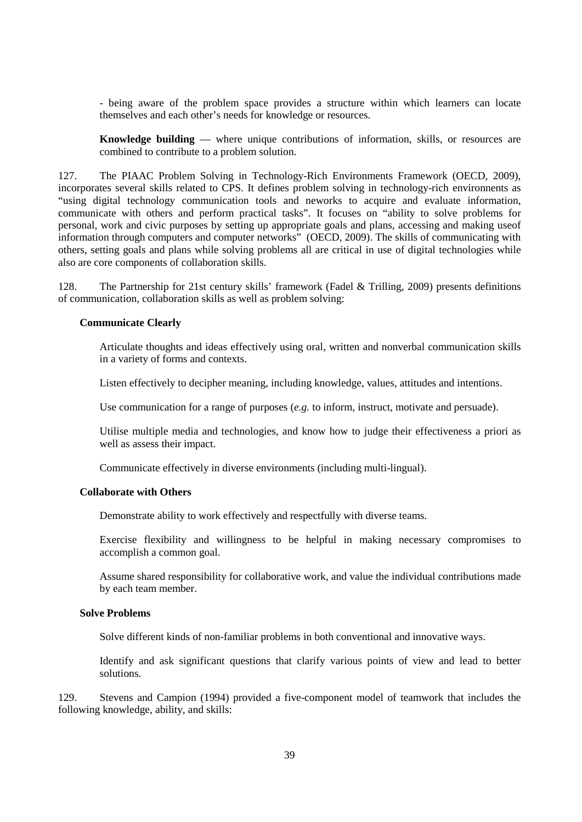- being aware of the problem space provides a structure within which learners can locate themselves and each other's needs for knowledge or resources.

**Knowledge building** — where unique contributions of information, skills, or resources are combined to contribute to a problem solution.

127. The PIAAC Problem Solving in Technology-Rich Environments Framework (OECD, 2009), incorporates several skills related to CPS. It defines problem solving in technology-rich environnents as "using digital technology communication tools and neworks to acquire and evaluate information, communicate with others and perform practical tasks". It focuses on "ability to solve problems for personal, work and civic purposes by setting up appropriate goals and plans, accessing and making useof information through computers and computer networks" (OECD, 2009). The skills of communicating with others, setting goals and plans while solving problems all are critical in use of digital technologies while also are core components of collaboration skills.

128. The Partnership for 21st century skills' framework (Fadel & Trilling, 2009) presents definitions of communication, collaboration skills as well as problem solving:

#### **Communicate Clearly**

Articulate thoughts and ideas effectively using oral, written and nonverbal communication skills in a variety of forms and contexts.

Listen effectively to decipher meaning, including knowledge, values, attitudes and intentions.

Use communication for a range of purposes (*e.g.* to inform, instruct, motivate and persuade).

Utilise multiple media and technologies, and know how to judge their effectiveness a priori as well as assess their impact.

Communicate effectively in diverse environments (including multi-lingual).

#### **Collaborate with Others**

Demonstrate ability to work effectively and respectfully with diverse teams.

Exercise flexibility and willingness to be helpful in making necessary compromises to accomplish a common goal.

Assume shared responsibility for collaborative work, and value the individual contributions made by each team member.

#### **Solve Problems**

Solve different kinds of non-familiar problems in both conventional and innovative ways.

Identify and ask significant questions that clarify various points of view and lead to better solutions.

129. Stevens and Campion (1994) provided a five-component model of teamwork that includes the following knowledge, ability, and skills: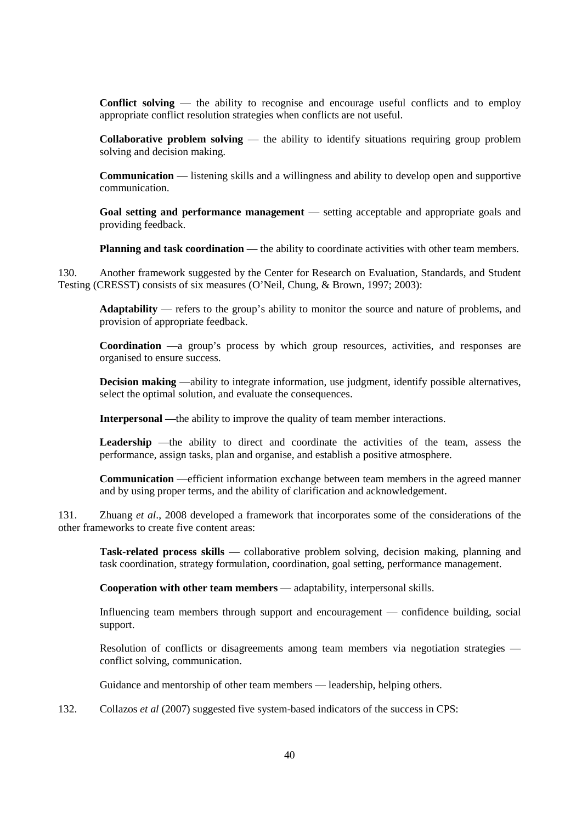**Conflict solving** — the ability to recognise and encourage useful conflicts and to employ appropriate conflict resolution strategies when conflicts are not useful.

**Collaborative problem solving** — the ability to identify situations requiring group problem solving and decision making.

**Communication** — listening skills and a willingness and ability to develop open and supportive communication.

**Goal setting and performance management** — setting acceptable and appropriate goals and providing feedback.

**Planning and task coordination** — the ability to coordinate activities with other team members.

130. Another framework suggested by the Center for Research on Evaluation, Standards, and Student Testing (CRESST) consists of six measures (O'Neil, Chung, & Brown, 1997; 2003):

**Adaptability** — refers to the group's ability to monitor the source and nature of problems, and provision of appropriate feedback.

**Coordination** —a group's process by which group resources, activities, and responses are organised to ensure success.

**Decision making** —ability to integrate information, use judgment, identify possible alternatives, select the optimal solution, and evaluate the consequences.

**Interpersonal** —the ability to improve the quality of team member interactions.

**Leadership** —the ability to direct and coordinate the activities of the team, assess the performance, assign tasks, plan and organise, and establish a positive atmosphere.

**Communication** —efficient information exchange between team members in the agreed manner and by using proper terms, and the ability of clarification and acknowledgement.

131. Zhuang *et al*., 2008 developed a framework that incorporates some of the considerations of the other frameworks to create five content areas:

**Task-related process skills** — collaborative problem solving, decision making, planning and task coordination, strategy formulation, coordination, goal setting, performance management.

**Cooperation with other team members** — adaptability, interpersonal skills.

Influencing team members through support and encouragement — confidence building, social support.

Resolution of conflicts or disagreements among team members via negotiation strategies conflict solving, communication.

Guidance and mentorship of other team members — leadership, helping others.

132. Collazos *et al* (2007) suggested five system-based indicators of the success in CPS: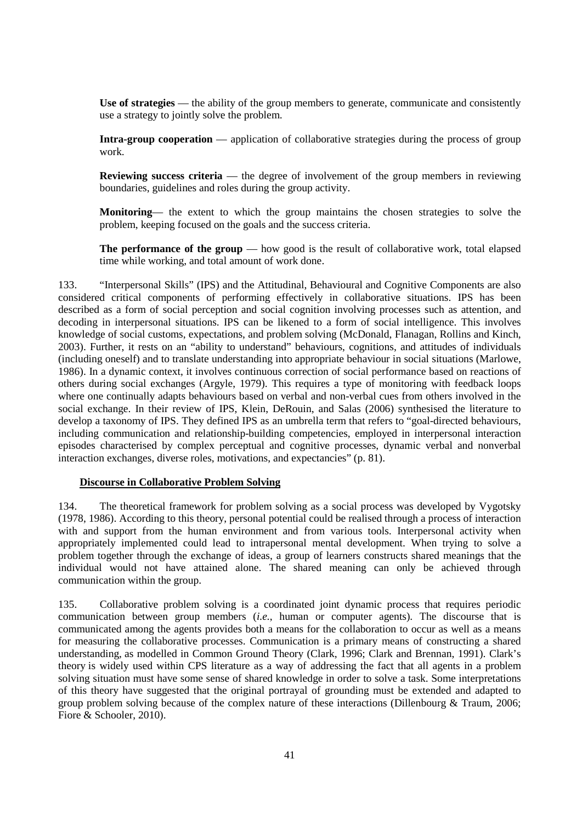**Use of strategies** — the ability of the group members to generate, communicate and consistently use a strategy to jointly solve the problem.

**Intra-group cooperation** — application of collaborative strategies during the process of group work.

**Reviewing success criteria** — the degree of involvement of the group members in reviewing boundaries, guidelines and roles during the group activity.

**Monitoring**— the extent to which the group maintains the chosen strategies to solve the problem, keeping focused on the goals and the success criteria.

**The performance of the group** — how good is the result of collaborative work, total elapsed time while working, and total amount of work done.

133. "Interpersonal Skills" (IPS) and the Attitudinal, Behavioural and Cognitive Components are also considered critical components of performing effectively in collaborative situations. IPS has been described as a form of social perception and social cognition involving processes such as attention, and decoding in interpersonal situations. IPS can be likened to a form of social intelligence. This involves knowledge of social customs, expectations, and problem solving (McDonald, Flanagan, Rollins and Kinch, 2003). Further, it rests on an "ability to understand" behaviours, cognitions, and attitudes of individuals (including oneself) and to translate understanding into appropriate behaviour in social situations (Marlowe, 1986). In a dynamic context, it involves continuous correction of social performance based on reactions of others during social exchanges (Argyle, 1979). This requires a type of monitoring with feedback loops where one continually adapts behaviours based on verbal and non-verbal cues from others involved in the social exchange. In their review of IPS, Klein, DeRouin, and Salas (2006) synthesised the literature to develop a taxonomy of IPS. They defined IPS as an umbrella term that refers to "goal-directed behaviours, including communication and relationship-building competencies, employed in interpersonal interaction episodes characterised by complex perceptual and cognitive processes, dynamic verbal and nonverbal interaction exchanges, diverse roles, motivations, and expectancies" (p. 81).

#### **Discourse in Collaborative Problem Solving**

134. The theoretical framework for problem solving as a social process was developed by Vygotsky (1978, 1986). According to this theory, personal potential could be realised through a process of interaction with and support from the human environment and from various tools. Interpersonal activity when appropriately implemented could lead to intrapersonal mental development. When trying to solve a problem together through the exchange of ideas, a group of learners constructs shared meanings that the individual would not have attained alone. The shared meaning can only be achieved through communication within the group.

135. Collaborative problem solving is a coordinated joint dynamic process that requires periodic communication between group members (*i.e.*, human or computer agents). The discourse that is communicated among the agents provides both a means for the collaboration to occur as well as a means for measuring the collaborative processes. Communication is a primary means of constructing a shared understanding, as modelled in Common Ground Theory (Clark, 1996; Clark and Brennan, 1991). Clark's theory is widely used within CPS literature as a way of addressing the fact that all agents in a problem solving situation must have some sense of shared knowledge in order to solve a task. Some interpretations of this theory have suggested that the original portrayal of grounding must be extended and adapted to group problem solving because of the complex nature of these interactions (Dillenbourg & Traum, 2006; Fiore & Schooler, 2010).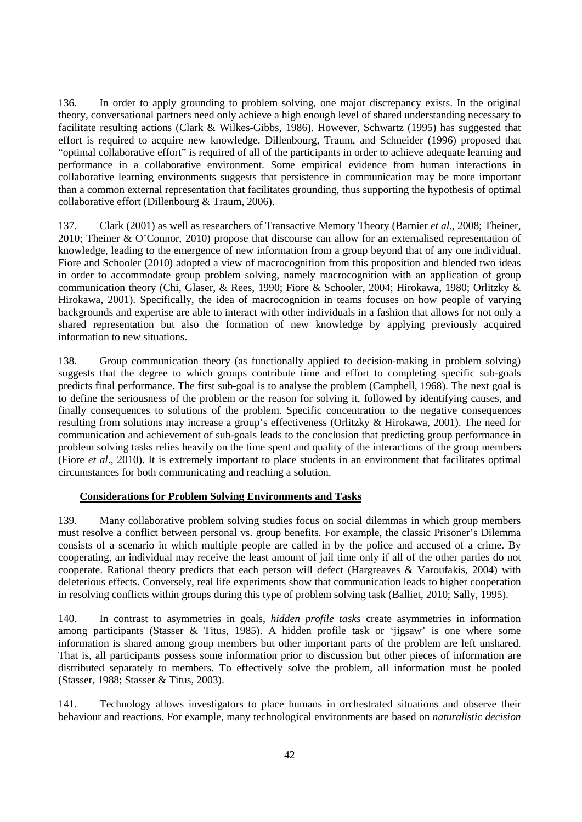136. In order to apply grounding to problem solving, one major discrepancy exists. In the original theory, conversational partners need only achieve a high enough level of shared understanding necessary to facilitate resulting actions (Clark & Wilkes-Gibbs, 1986). However, Schwartz (1995) has suggested that effort is required to acquire new knowledge. Dillenbourg, Traum, and Schneider (1996) proposed that "optimal collaborative effort" is required of all of the participants in order to achieve adequate learning and performance in a collaborative environment. Some empirical evidence from human interactions in collaborative learning environments suggests that persistence in communication may be more important than a common external representation that facilitates grounding, thus supporting the hypothesis of optimal collaborative effort (Dillenbourg & Traum, 2006).

137. Clark (2001) as well as researchers of Transactive Memory Theory (Barnier *et al*., 2008; Theiner, 2010; Theiner & O'Connor, 2010) propose that discourse can allow for an externalised representation of knowledge, leading to the emergence of new information from a group beyond that of any one individual. Fiore and Schooler (2010) adopted a view of macrocognition from this proposition and blended two ideas in order to accommodate group problem solving, namely macrocognition with an application of group communication theory (Chi, Glaser, & Rees, 1990; Fiore & Schooler, 2004; Hirokawa, 1980; Orlitzky & Hirokawa, 2001). Specifically, the idea of macrocognition in teams focuses on how people of varying backgrounds and expertise are able to interact with other individuals in a fashion that allows for not only a shared representation but also the formation of new knowledge by applying previously acquired information to new situations.

138. Group communication theory (as functionally applied to decision-making in problem solving) suggests that the degree to which groups contribute time and effort to completing specific sub-goals predicts final performance. The first sub-goal is to analyse the problem (Campbell, 1968). The next goal is to define the seriousness of the problem or the reason for solving it, followed by identifying causes, and finally consequences to solutions of the problem. Specific concentration to the negative consequences resulting from solutions may increase a group's effectiveness (Orlitzky & Hirokawa, 2001). The need for communication and achievement of sub-goals leads to the conclusion that predicting group performance in problem solving tasks relies heavily on the time spent and quality of the interactions of the group members (Fiore *et al*., 2010). It is extremely important to place students in an environment that facilitates optimal circumstances for both communicating and reaching a solution.

#### **Considerations for Problem Solving Environments and Tasks**

139. Many collaborative problem solving studies focus on social dilemmas in which group members must resolve a conflict between personal vs. group benefits. For example, the classic Prisoner's Dilemma consists of a scenario in which multiple people are called in by the police and accused of a crime. By cooperating, an individual may receive the least amount of jail time only if all of the other parties do not cooperate. Rational theory predicts that each person will defect (Hargreaves & Varoufakis, 2004) with deleterious effects. Conversely, real life experiments show that communication leads to higher cooperation in resolving conflicts within groups during this type of problem solving task (Balliet, 2010; Sally, 1995).

140. In contrast to asymmetries in goals, *hidden profile tasks* create asymmetries in information among participants (Stasser & Titus, 1985). A hidden profile task or 'jigsaw' is one where some information is shared among group members but other important parts of the problem are left unshared. That is, all participants possess some information prior to discussion but other pieces of information are distributed separately to members. To effectively solve the problem, all information must be pooled (Stasser, 1988; Stasser & Titus, 2003).

141. Technology allows investigators to place humans in orchestrated situations and observe their behaviour and reactions. For example, many technological environments are based on *naturalistic decision*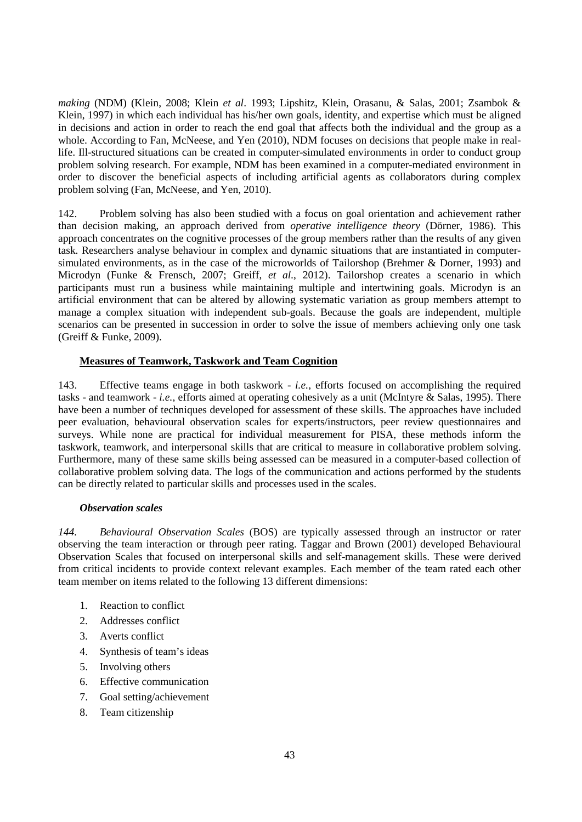*making* (NDM) (Klein, 2008; Klein *et al*. 1993; Lipshitz, Klein, Orasanu, & Salas, 2001; Zsambok & Klein, 1997) in which each individual has his/her own goals, identity, and expertise which must be aligned in decisions and action in order to reach the end goal that affects both the individual and the group as a whole. According to Fan, McNeese, and Yen (2010), NDM focuses on decisions that people make in reallife. Ill-structured situations can be created in computer-simulated environments in order to conduct group problem solving research. For example, NDM has been examined in a computer-mediated environment in order to discover the beneficial aspects of including artificial agents as collaborators during complex problem solving (Fan, McNeese, and Yen, 2010).

142. Problem solving has also been studied with a focus on goal orientation and achievement rather than decision making, an approach derived from *operative intelligence theory* (Dörner, 1986). This approach concentrates on the cognitive processes of the group members rather than the results of any given task. Researchers analyse behaviour in complex and dynamic situations that are instantiated in computersimulated environments, as in the case of the microworlds of Tailorshop (Brehmer & Dorner, 1993) and Microdyn (Funke & Frensch, 2007; Greiff, *et al*., 2012). Tailorshop creates a scenario in which participants must run a business while maintaining multiple and intertwining goals. Microdyn is an artificial environment that can be altered by allowing systematic variation as group members attempt to manage a complex situation with independent sub-goals. Because the goals are independent, multiple scenarios can be presented in succession in order to solve the issue of members achieving only one task (Greiff & Funke, 2009).

### **Measures of Teamwork, Taskwork and Team Cognition**

143. Effective teams engage in both taskwork - *i.e.*, efforts focused on accomplishing the required tasks - and teamwork - *i.e.*, efforts aimed at operating cohesively as a unit (McIntyre & Salas, 1995). There have been a number of techniques developed for assessment of these skills. The approaches have included peer evaluation, behavioural observation scales for experts/instructors, peer review questionnaires and surveys. While none are practical for individual measurement for PISA, these methods inform the taskwork, teamwork, and interpersonal skills that are critical to measure in collaborative problem solving. Furthermore, many of these same skills being assessed can be measured in a computer-based collection of collaborative problem solving data. The logs of the communication and actions performed by the students can be directly related to particular skills and processes used in the scales.

#### *Observation scales*

*144. Behavioural Observation Scales* (BOS) are typically assessed through an instructor or rater observing the team interaction or through peer rating. Taggar and Brown (2001) developed Behavioural Observation Scales that focused on interpersonal skills and self-management skills. These were derived from critical incidents to provide context relevant examples. Each member of the team rated each other team member on items related to the following 13 different dimensions:

- 1. Reaction to conflict
- 2. Addresses conflict
- 3. Averts conflict
- 4. Synthesis of team's ideas
- 5. Involving others
- 6. Effective communication
- 7. Goal setting/achievement
- 8. Team citizenship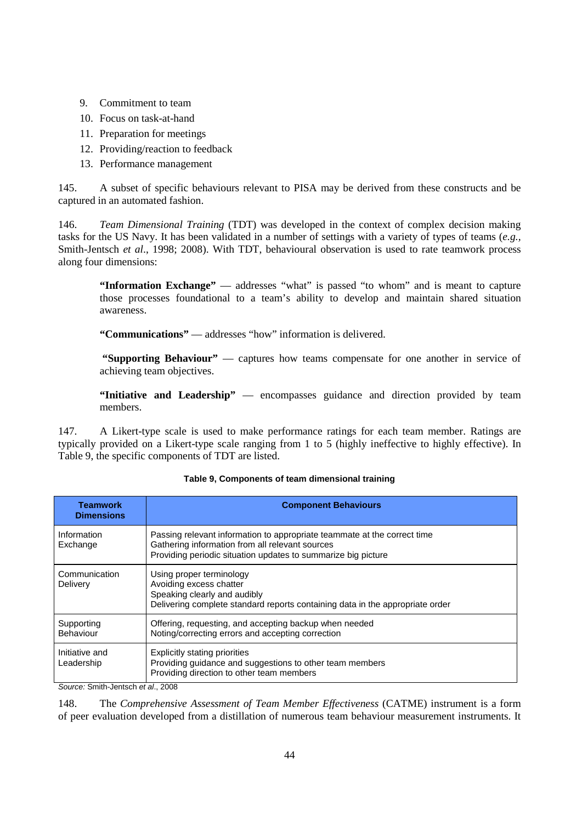- 9. Commitment to team
- 10. Focus on task-at-hand
- 11. Preparation for meetings
- 12. Providing/reaction to feedback
- 13. Performance management

145. A subset of specific behaviours relevant to PISA may be derived from these constructs and be captured in an automated fashion.

146. *Team Dimensional Training* (TDT) was developed in the context of complex decision making tasks for the US Navy. It has been validated in a number of settings with a variety of types of teams (*e.g.,*  Smith-Jentsch *et al*., 1998; 2008). With TDT, behavioural observation is used to rate teamwork process along four dimensions:

**"Information Exchange"** — addresses "what" is passed "to whom" and is meant to capture those processes foundational to a team's ability to develop and maintain shared situation awareness.

**"Communications"** — addresses "how" information is delivered.

**"Supporting Behaviour"** — captures how teams compensate for one another in service of achieving team objectives.

**"Initiative and Leadership"** — encompasses guidance and direction provided by team members.

147. A Likert-type scale is used to make performance ratings for each team member. Ratings are typically provided on a Likert-type scale ranging from 1 to 5 (highly ineffective to highly effective). In Table 9, the specific components of TDT are listed.

| <b>Teamwork</b><br><b>Dimensions</b> | <b>Component Behaviours</b>                                                                                                                                                                  |
|--------------------------------------|----------------------------------------------------------------------------------------------------------------------------------------------------------------------------------------------|
| Information<br>Exchange              | Passing relevant information to appropriate teammate at the correct time<br>Gathering information from all relevant sources<br>Providing periodic situation updates to summarize big picture |
| Communication<br>Delivery            | Using proper terminology<br>Avoiding excess chatter<br>Speaking clearly and audibly<br>Delivering complete standard reports containing data in the appropriate order                         |
| Supporting<br>Behaviour              | Offering, requesting, and accepting backup when needed<br>Noting/correcting errors and accepting correction                                                                                  |
| Initiative and<br>Leadership         | Explicitly stating priorities<br>Providing guidance and suggestions to other team members<br>Providing direction to other team members                                                       |

#### **Table 9, Components of team dimensional training**

*Source:* Smith-Jentsch *et al*., 2008

148. The *Comprehensive Assessment of Team Member Effectiveness* (CATME) instrument is a form of peer evaluation developed from a distillation of numerous team behaviour measurement instruments. It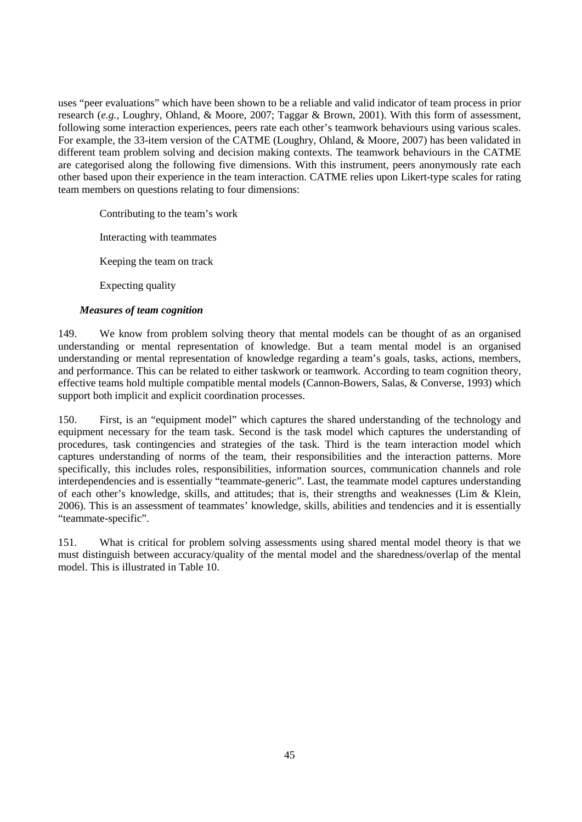uses "peer evaluations" which have been shown to be a reliable and valid indicator of team process in prior research (*e.g.,* Loughry, Ohland, & Moore, 2007; Taggar & Brown, 2001). With this form of assessment, following some interaction experiences, peers rate each other's teamwork behaviours using various scales. For example, the 33-item version of the CATME (Loughry, Ohland, & Moore, 2007) has been validated in different team problem solving and decision making contexts. The teamwork behaviours in the CATME are categorised along the following five dimensions. With this instrument, peers anonymously rate each other based upon their experience in the team interaction. CATME relies upon Likert-type scales for rating team members on questions relating to four dimensions:

Contributing to the team's work

Interacting with teammates

Keeping the team on track

Expecting quality

#### *Measures of team cognition*

149. We know from problem solving theory that mental models can be thought of as an organised understanding or mental representation of knowledge. But a team mental model is an organised understanding or mental representation of knowledge regarding a team's goals, tasks, actions, members, and performance. This can be related to either taskwork or teamwork. According to team cognition theory, effective teams hold multiple compatible mental models (Cannon-Bowers, Salas, & Converse, 1993) which support both implicit and explicit coordination processes.

150. First, is an "equipment model" which captures the shared understanding of the technology and equipment necessary for the team task. Second is the task model which captures the understanding of procedures, task contingencies and strategies of the task. Third is the team interaction model which captures understanding of norms of the team, their responsibilities and the interaction patterns. More specifically, this includes roles, responsibilities, information sources, communication channels and role interdependencies and is essentially "teammate-generic". Last, the teammate model captures understanding of each other's knowledge, skills, and attitudes; that is, their strengths and weaknesses (Lim & Klein, 2006). This is an assessment of teammates' knowledge, skills, abilities and tendencies and it is essentially "teammate-specific".

151. What is critical for problem solving assessments using shared mental model theory is that we must distinguish between accuracy/quality of the mental model and the sharedness/overlap of the mental model. This is illustrated in Table 10.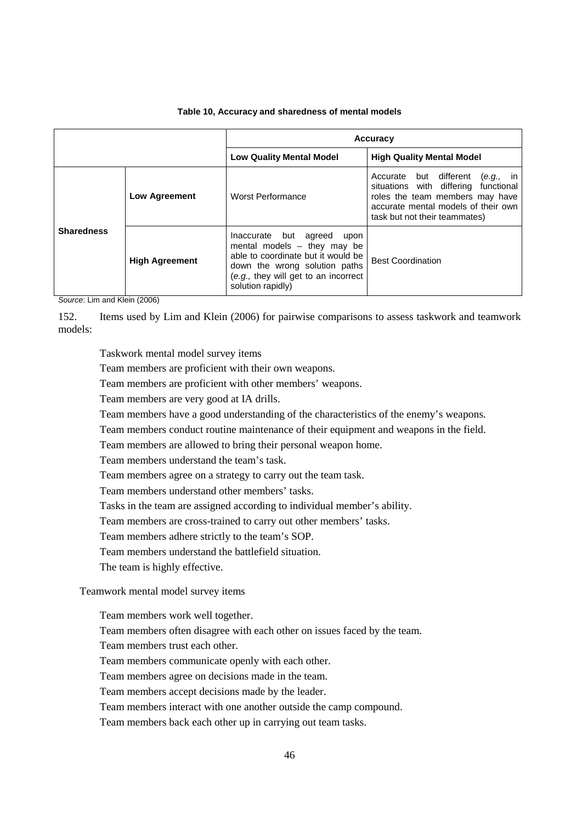#### **Table 10, Accuracy and sharedness of mental models**

|                   |                       | Accuracy                                                                                                                                                                                           |                                                                                                                                                                                          |
|-------------------|-----------------------|----------------------------------------------------------------------------------------------------------------------------------------------------------------------------------------------------|------------------------------------------------------------------------------------------------------------------------------------------------------------------------------------------|
|                   |                       | <b>Low Quality Mental Model</b>                                                                                                                                                                    | <b>High Quality Mental Model</b>                                                                                                                                                         |
| <b>Sharedness</b> | <b>Low Agreement</b>  | Worst Performance                                                                                                                                                                                  | Accurate but different<br>$(e.g.,$ in<br>situations with differing functional<br>roles the team members may have<br>accurate mental models of their own<br>task but not their teammates) |
|                   | <b>High Agreement</b> | Inaccurate but agreed<br>upon<br>mental models $-$ they may be<br>able to coordinate but it would be<br>down the wrong solution paths<br>(e.g., they will get to an incorrect<br>solution rapidly) | <b>Best Coordination</b>                                                                                                                                                                 |

*Source*: Lim and Klein (2006)

152. Items used by Lim and Klein (2006) for pairwise comparisons to assess taskwork and teamwork models:

Taskwork mental model survey items

Team members are proficient with their own weapons.

Team members are proficient with other members' weapons.

Team members are very good at IA drills.

Team members have a good understanding of the characteristics of the enemy's weapons.

Team members conduct routine maintenance of their equipment and weapons in the field.

Team members are allowed to bring their personal weapon home.

Team members understand the team's task.

Team members agree on a strategy to carry out the team task.

Team members understand other members' tasks.

Tasks in the team are assigned according to individual member's ability.

Team members are cross-trained to carry out other members' tasks.

Team members adhere strictly to the team's SOP.

Team members understand the battlefield situation.

The team is highly effective.

Teamwork mental model survey items

Team members work well together. Team members often disagree with each other on issues faced by the team. Team members trust each other. Team members communicate openly with each other. Team members agree on decisions made in the team. Team members accept decisions made by the leader. Team members interact with one another outside the camp compound. Team members back each other up in carrying out team tasks.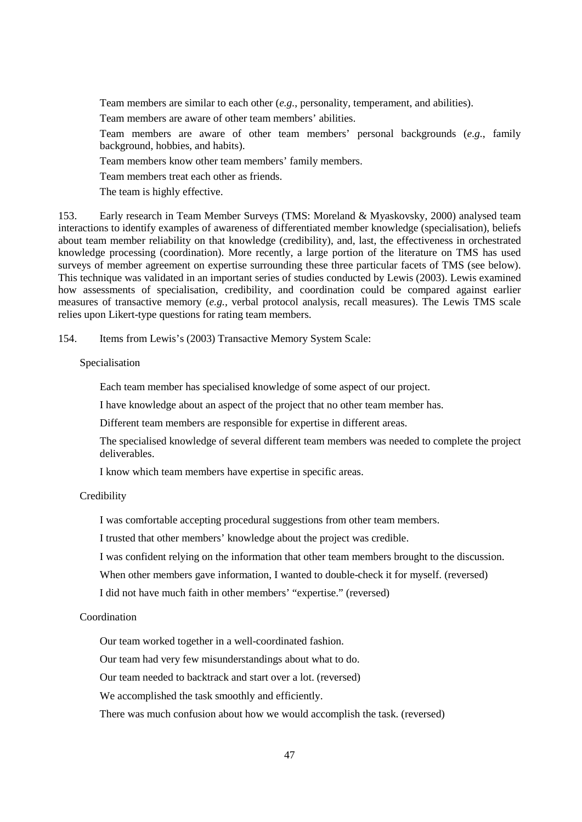Team members are similar to each other (*e.g.*, personality, temperament, and abilities).

Team members are aware of other team members' abilities.

Team members are aware of other team members' personal backgrounds (*e.g.*, family background, hobbies, and habits).

Team members know other team members' family members.

Team members treat each other as friends.

The team is highly effective.

153. Early research in Team Member Surveys (TMS: Moreland & Myaskovsky, 2000) analysed team interactions to identify examples of awareness of differentiated member knowledge (specialisation), beliefs about team member reliability on that knowledge (credibility), and, last, the effectiveness in orchestrated knowledge processing (coordination). More recently, a large portion of the literature on TMS has used surveys of member agreement on expertise surrounding these three particular facets of TMS (see below). This technique was validated in an important series of studies conducted by Lewis (2003). Lewis examined how assessments of specialisation, credibility, and coordination could be compared against earlier measures of transactive memory (*e.g.,* verbal protocol analysis, recall measures). The Lewis TMS scale relies upon Likert-type questions for rating team members.

154. Items from Lewis's (2003) Transactive Memory System Scale:

#### Specialisation

Each team member has specialised knowledge of some aspect of our project.

I have knowledge about an aspect of the project that no other team member has.

Different team members are responsible for expertise in different areas.

The specialised knowledge of several different team members was needed to complete the project deliverables.

I know which team members have expertise in specific areas.

#### **Credibility**

I was comfortable accepting procedural suggestions from other team members.

I trusted that other members' knowledge about the project was credible.

I was confident relying on the information that other team members brought to the discussion.

When other members gave information, I wanted to double-check it for myself. (reversed)

I did not have much faith in other members' "expertise." (reversed)

#### Coordination

Our team worked together in a well-coordinated fashion.

Our team had very few misunderstandings about what to do.

Our team needed to backtrack and start over a lot. (reversed)

We accomplished the task smoothly and efficiently.

There was much confusion about how we would accomplish the task. (reversed)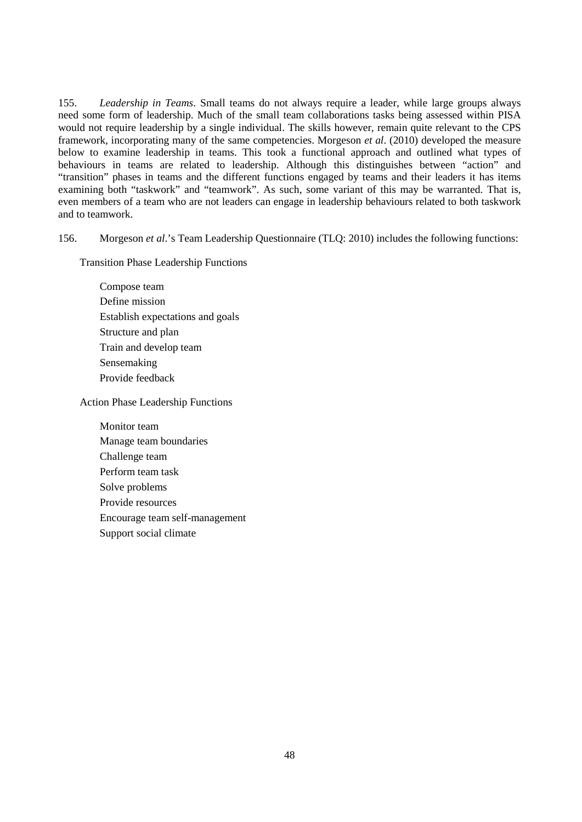155. *Leadership in Teams*. Small teams do not always require a leader, while large groups always need some form of leadership. Much of the small team collaborations tasks being assessed within PISA would not require leadership by a single individual. The skills however, remain quite relevant to the CPS framework, incorporating many of the same competencies. Morgeson *et al*. (2010) developed the measure below to examine leadership in teams. This took a functional approach and outlined what types of behaviours in teams are related to leadership. Although this distinguishes between "action" and "transition" phases in teams and the different functions engaged by teams and their leaders it has items examining both "taskwork" and "teamwork". As such, some variant of this may be warranted. That is, even members of a team who are not leaders can engage in leadership behaviours related to both taskwork and to teamwork.

156. Morgeson *et al*.'s Team Leadership Questionnaire (TLQ: 2010) includes the following functions:

Transition Phase Leadership Functions

Compose team Define mission Establish expectations and goals Structure and plan Train and develop team Sensemaking Provide feedback

Action Phase Leadership Functions

Monitor team Manage team boundaries Challenge team Perform team task Solve problems Provide resources Encourage team self-management Support social climate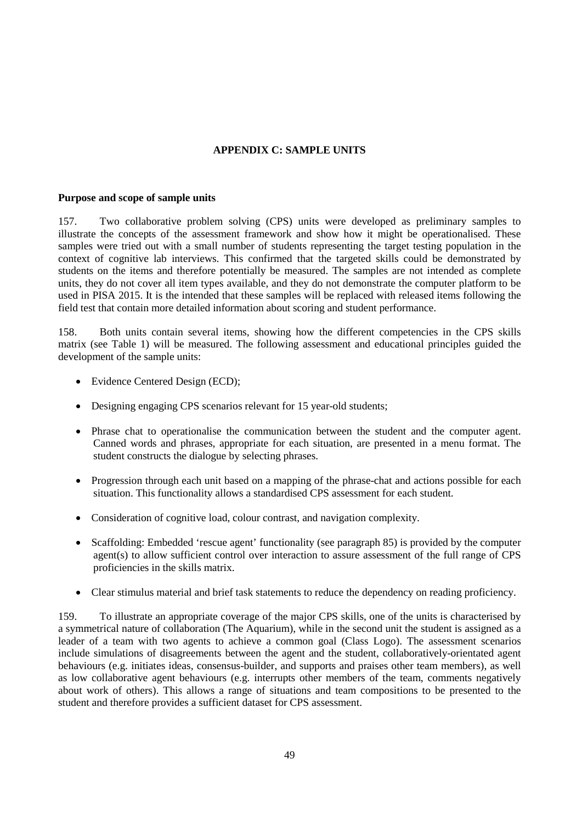#### **APPENDIX C: SAMPLE UNITS**

#### **Purpose and scope of sample units**

157. Two collaborative problem solving (CPS) units were developed as preliminary samples to illustrate the concepts of the assessment framework and show how it might be operationalised. These samples were tried out with a small number of students representing the target testing population in the context of cognitive lab interviews. This confirmed that the targeted skills could be demonstrated by students on the items and therefore potentially be measured. The samples are not intended as complete units, they do not cover all item types available, and they do not demonstrate the computer platform to be used in PISA 2015. It is the intended that these samples will be replaced with released items following the field test that contain more detailed information about scoring and student performance.

158. Both units contain several items, showing how the different competencies in the CPS skills matrix (see Table 1) will be measured. The following assessment and educational principles guided the development of the sample units:

- Evidence Centered Design (ECD);
- Designing engaging CPS scenarios relevant for 15 year-old students;
- Phrase chat to operationalise the communication between the student and the computer agent. Canned words and phrases, appropriate for each situation, are presented in a menu format. The student constructs the dialogue by selecting phrases.
- Progression through each unit based on a mapping of the phrase-chat and actions possible for each situation. This functionality allows a standardised CPS assessment for each student.
- Consideration of cognitive load, colour contrast, and navigation complexity.
- Scaffolding: Embedded 'rescue agent' functionality (see paragraph 85) is provided by the computer agent(s) to allow sufficient control over interaction to assure assessment of the full range of CPS proficiencies in the skills matrix.
- Clear stimulus material and brief task statements to reduce the dependency on reading proficiency.

159. To illustrate an appropriate coverage of the major CPS skills, one of the units is characterised by a symmetrical nature of collaboration (The Aquarium), while in the second unit the student is assigned as a leader of a team with two agents to achieve a common goal (Class Logo). The assessment scenarios include simulations of disagreements between the agent and the student, collaboratively-orientated agent behaviours (e.g. initiates ideas, consensus-builder, and supports and praises other team members), as well as low collaborative agent behaviours (e.g. interrupts other members of the team, comments negatively about work of others). This allows a range of situations and team compositions to be presented to the student and therefore provides a sufficient dataset for CPS assessment.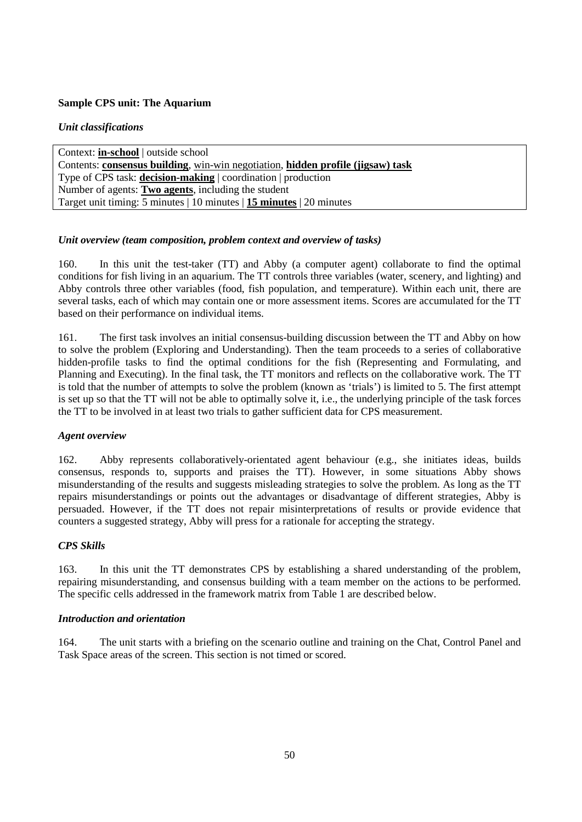#### **Sample CPS unit: The Aquarium**

#### *Unit classifications*

Context: **in-school** | outside school Contents: **consensus building**, win-win negotiation, **hidden profile (jigsaw) task** Type of CPS task: **decision-making** | coordination | production Number of agents: **Two agents**, including the student Target unit timing: 5 minutes | 10 minutes | **15 minutes** | 20 minutes

#### *Unit overview (team composition, problem context and overview of tasks)*

160. In this unit the test-taker (TT) and Abby (a computer agent) collaborate to find the optimal conditions for fish living in an aquarium. The TT controls three variables (water, scenery, and lighting) and Abby controls three other variables (food, fish population, and temperature). Within each unit, there are several tasks, each of which may contain one or more assessment items. Scores are accumulated for the TT based on their performance on individual items.

161. The first task involves an initial consensus-building discussion between the TT and Abby on how to solve the problem (Exploring and Understanding). Then the team proceeds to a series of collaborative hidden-profile tasks to find the optimal conditions for the fish (Representing and Formulating, and Planning and Executing). In the final task, the TT monitors and reflects on the collaborative work. The TT is told that the number of attempts to solve the problem (known as 'trials') is limited to 5. The first attempt is set up so that the TT will not be able to optimally solve it, i.e., the underlying principle of the task forces the TT to be involved in at least two trials to gather sufficient data for CPS measurement.

#### *Agent overview*

162. Abby represents collaboratively-orientated agent behaviour (e.g., she initiates ideas, builds consensus, responds to, supports and praises the TT). However, in some situations Abby shows misunderstanding of the results and suggests misleading strategies to solve the problem. As long as the TT repairs misunderstandings or points out the advantages or disadvantage of different strategies, Abby is persuaded. However, if the TT does not repair misinterpretations of results or provide evidence that counters a suggested strategy, Abby will press for a rationale for accepting the strategy.

#### *CPS Skills*

163. In this unit the TT demonstrates CPS by establishing a shared understanding of the problem, repairing misunderstanding, and consensus building with a team member on the actions to be performed. The specific cells addressed in the framework matrix from Table 1 are described below.

#### *Introduction and orientation*

164. The unit starts with a briefing on the scenario outline and training on the Chat, Control Panel and Task Space areas of the screen. This section is not timed or scored.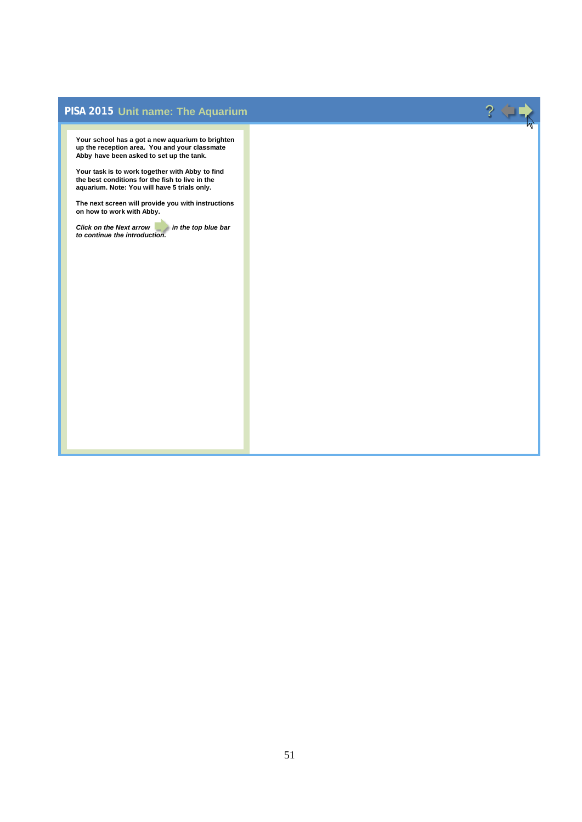# **PISA 2015** Unit name: The Aquarium<br> **PISA 2015** Unit name: The Aquarium

**Your school has a got a new aquarium to brighten up the reception area. You and your classmate Abby have been asked to set up the tank.**

**Your task is to work together with Abby to find the best conditions for the fish to live in the aquarium. Note: You will have 5 trials only.** 

**The next screen will provide you with instructions on how to work with Abby.** 

*Click on the Next arrow in the top blue bar to continue the introduction.*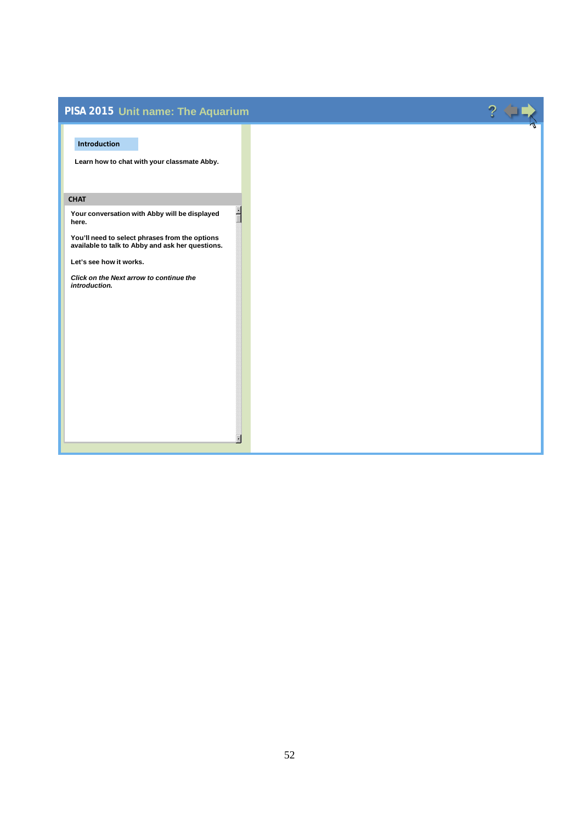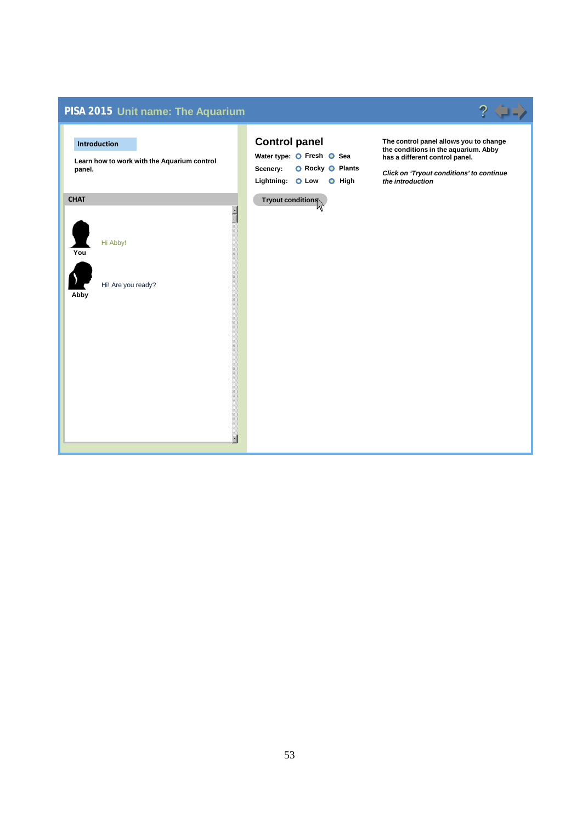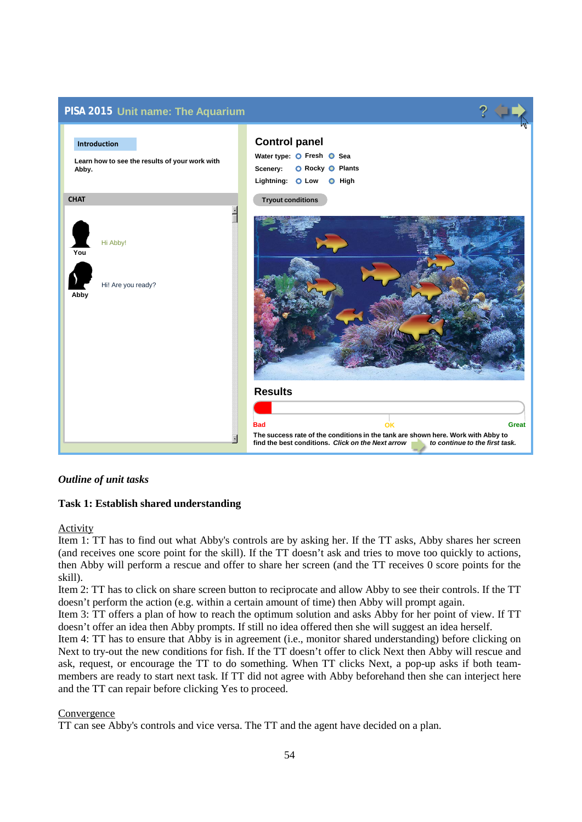

### *Outline of unit tasks*

#### **Task 1: Establish shared understanding**

Activity

Item 1: TT has to find out what Abby's controls are by asking her. If the TT asks, Abby shares her screen (and receives one score point for the skill). If the TT doesn't ask and tries to move too quickly to actions, then Abby will perform a rescue and offer to share her screen (and the TT receives 0 score points for the skill).

Item 2: TT has to click on share screen button to reciprocate and allow Abby to see their controls. If the TT doesn't perform the action (e.g. within a certain amount of time) then Abby will prompt again.

Item 3: TT offers a plan of how to reach the optimum solution and asks Abby for her point of view. If TT doesn't offer an idea then Abby prompts. If still no idea offered then she will suggest an idea herself.

Item 4: TT has to ensure that Abby is in agreement (i.e., monitor shared understanding) before clicking on Next to try-out the new conditions for fish. If the TT doesn't offer to click Next then Abby will rescue and ask, request, or encourage the TT to do something. When TT clicks Next, a pop-up asks if both teammembers are ready to start next task. If TT did not agree with Abby beforehand then she can interject here and the TT can repair before clicking Yes to proceed.

#### Convergence

TT can see Abby's controls and vice versa. The TT and the agent have decided on a plan.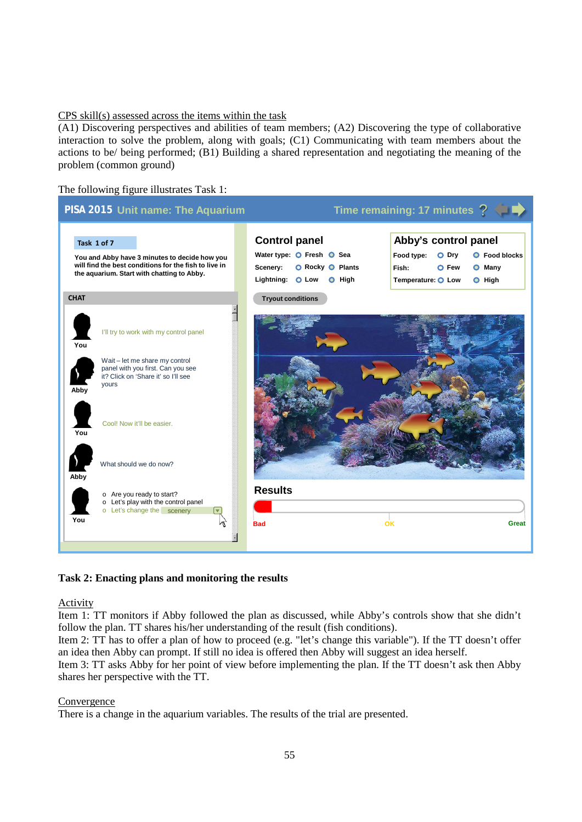#### CPS skill(s) assessed across the items within the task

(A1) Discovering perspectives and abilities of team members; (A2) Discovering the type of collaborative interaction to solve the problem, along with goals; (C1) Communicating with team members about the actions to be/ being performed; (B1) Building a shared representation and negotiating the meaning of the problem (common ground)

The following figure illustrates Task 1:



#### **Task 2: Enacting plans and monitoring the results**

#### Activity

Item 1: TT monitors if Abby followed the plan as discussed, while Abby's controls show that she didn't follow the plan. TT shares his/her understanding of the result (fish conditions).

Item 2: TT has to offer a plan of how to proceed (e.g. "let's change this variable"). If the TT doesn't offer an idea then Abby can prompt. If still no idea is offered then Abby will suggest an idea herself.

Item 3: TT asks Abby for her point of view before implementing the plan. If the TT doesn't ask then Abby shares her perspective with the TT.

#### **Convergence**

There is a change in the aquarium variables. The results of the trial are presented.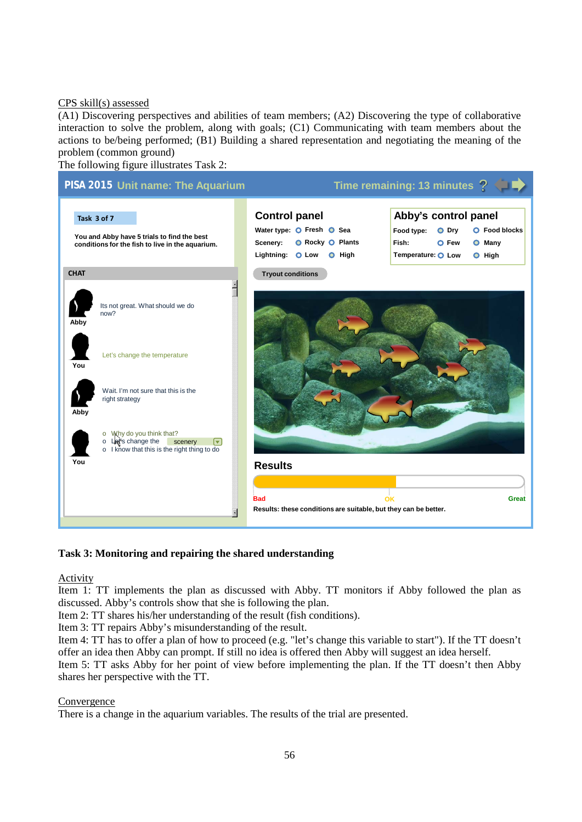#### CPS skill(s) assessed

(A1) Discovering perspectives and abilities of team members; (A2) Discovering the type of collaborative interaction to solve the problem, along with goals; (C1) Communicating with team members about the actions to be/being performed; (B1) Building a shared representation and negotiating the meaning of the problem (common ground)

The following figure illustrates Task 2:



### **Task 3: Monitoring and repairing the shared understanding**

**Activity** 

Item 1: TT implements the plan as discussed with Abby. TT monitors if Abby followed the plan as discussed. Abby's controls show that she is following the plan.

Item 2: TT shares his/her understanding of the result (fish conditions).

Item 3: TT repairs Abby's misunderstanding of the result.

Item 4: TT has to offer a plan of how to proceed (e.g. "let's change this variable to start"). If the TT doesn't offer an idea then Abby can prompt. If still no idea is offered then Abby will suggest an idea herself.

Item 5: TT asks Abby for her point of view before implementing the plan. If the TT doesn't then Abby shares her perspective with the TT.

#### **Convergence**

There is a change in the aquarium variables. The results of the trial are presented.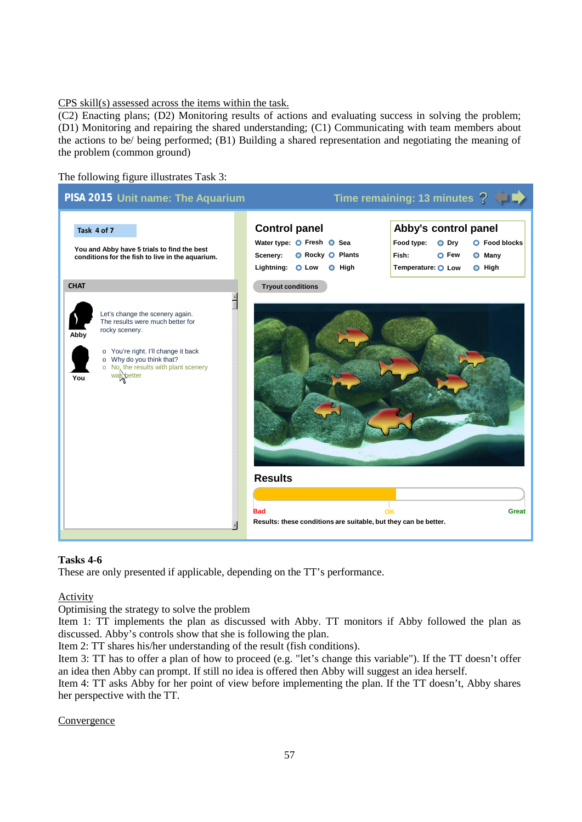#### CPS skill(s) assessed across the items within the task.

(C2) Enacting plans; (D2) Monitoring results of actions and evaluating success in solving the problem; (D1) Monitoring and repairing the shared understanding; (C1) Communicating with team members about the actions to be/ being performed; (B1) Building a shared representation and negotiating the meaning of the problem (common ground)

#### The following figure illustrates Task 3:

| PISA 2015 Unit name: The Aquarium                                                                                                                                                                                             | Time remaining: 13 minutes $?$                                                                                                                                                                                                                                    |               |
|-------------------------------------------------------------------------------------------------------------------------------------------------------------------------------------------------------------------------------|-------------------------------------------------------------------------------------------------------------------------------------------------------------------------------------------------------------------------------------------------------------------|---------------|
| Task 4 of 7<br>You and Abby have 5 trials to find the best<br>conditions for the fish to live in the aquarium.<br><b>CHAT</b>                                                                                                 | <b>Control panel</b><br>Abby's control panel<br>Water type: O Fresh O Sea<br>Food type:<br>O Dry<br>Scenery:<br>O Rocky O Plants<br>O Few<br>Fish:<br><b>O</b> Many<br>Lightning: O Low<br>Temperature: O Low<br>$O$ High<br>$O$ High<br><b>Tryout conditions</b> | O Food blocks |
| Let's change the scenery again.<br>The results were much better for<br>rocky scenery.<br>Abby<br>o You're right. I'll change it back<br>o Why do you think that?<br>o No, the results with plant scenery<br>was better<br>You | <b>Results</b>                                                                                                                                                                                                                                                    |               |
|                                                                                                                                                                                                                               | OK<br><b>Bad</b><br>Results: these conditions are suitable, but they can be better.                                                                                                                                                                               | <b>Great</b>  |

#### **Tasks 4-6**

These are only presented if applicable, depending on the TT's performance.

#### Activity

Optimising the strategy to solve the problem

Item 1: TT implements the plan as discussed with Abby. TT monitors if Abby followed the plan as discussed. Abby's controls show that she is following the plan.

Item 2: TT shares his/her understanding of the result (fish conditions).

Item 3: TT has to offer a plan of how to proceed (e.g. "let's change this variable"). If the TT doesn't offer an idea then Abby can prompt. If still no idea is offered then Abby will suggest an idea herself.

Item 4: TT asks Abby for her point of view before implementing the plan. If the TT doesn't, Abby shares her perspective with the TT.

#### Convergence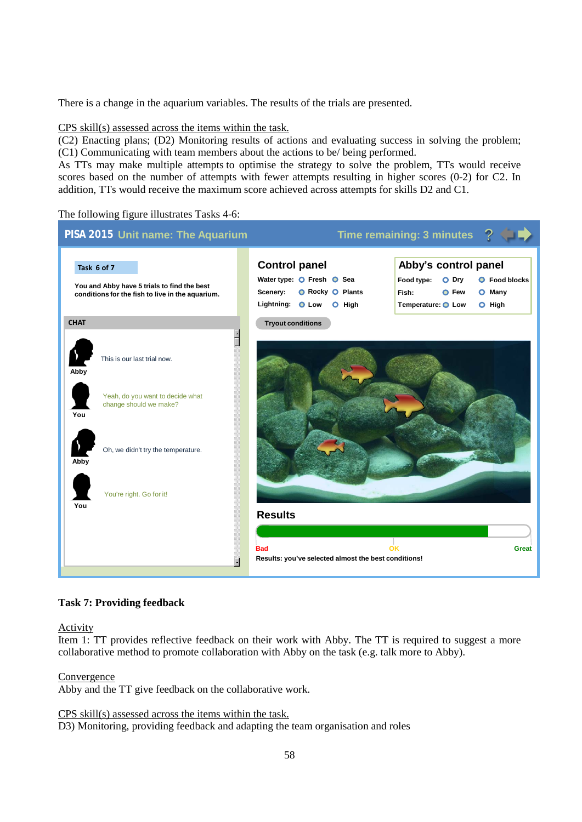There is a change in the aquarium variables. The results of the trials are presented.

CPS skill(s) assessed across the items within the task.

(C2) Enacting plans; (D2) Monitoring results of actions and evaluating success in solving the problem; (C1) Communicating with team members about the actions to be/ being performed.

As TTs may make multiple attempts to optimise the strategy to solve the problem, TTs would receive scores based on the number of attempts with fewer attempts resulting in higher scores (0-2) for C2. In addition, TTs would receive the maximum score achieved across attempts for skills D2 and C1.

The following figure illustrates Tasks 4-6:



### **Task 7: Providing feedback**

Activity

Item 1: TT provides reflective feedback on their work with Abby. The TT is required to suggest a more collaborative method to promote collaboration with Abby on the task (e.g. talk more to Abby).

#### **Convergence**

Abby and the TT give feedback on the collaborative work.

CPS skill(s) assessed across the items within the task.

D3) Monitoring, providing feedback and adapting the team organisation and roles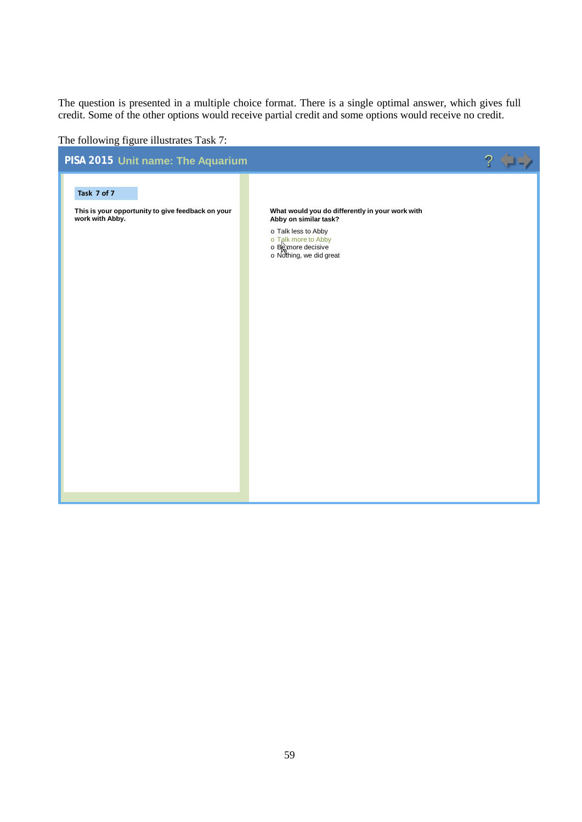The question is presented in a multiple choice format. There is a single optimal answer, which gives full credit. Some of the other options would receive partial credit and some options would receive no credit.

The following figure illustrates Task 7:

| PISA 2015 Unit name: The Aquarium                                                   | $\overline{?}$                                                                                                                                                          |
|-------------------------------------------------------------------------------------|-------------------------------------------------------------------------------------------------------------------------------------------------------------------------|
| Task 7 of 7<br>This is your opportunity to give feedback on your<br>work with Abby. | What would you do differently in your work with<br>Abby on similar task?<br>o Talk less to Abby<br>o Talk more to Abby<br>o Be more decisive<br>o Nothing, we did great |
|                                                                                     |                                                                                                                                                                         |
|                                                                                     |                                                                                                                                                                         |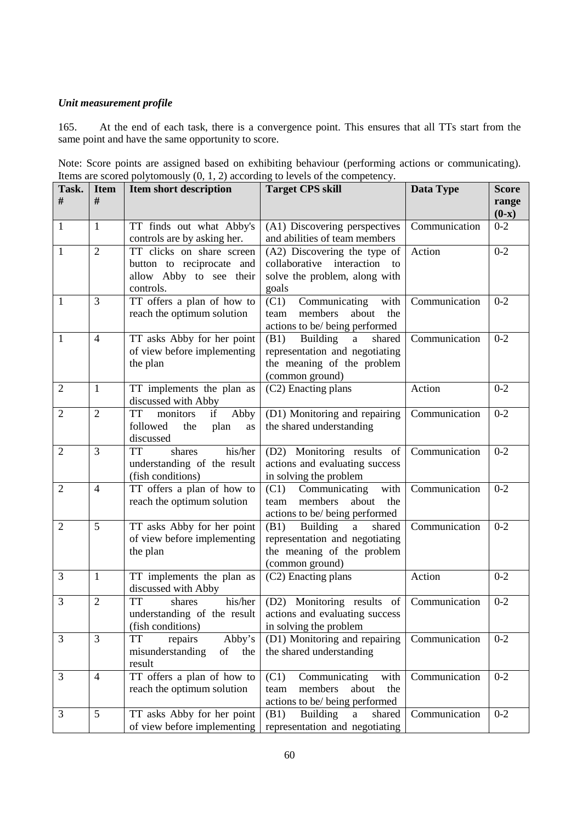#### *Unit measurement profile*

165. At the end of each task, there is a convergence point. This ensures that all TTs start from the same point and have the same opportunity to score.

Note: Score points are assigned based on exhibiting behaviour (performing actions or communicating). Items are scored polytomously (0, 1, 2) according to levels of the competency.

| Task.          | <b>Item</b>    | <b>Item short description</b>                             | <b>Target CPS skill</b>                                                  | Data Type     | <b>Score</b>       |
|----------------|----------------|-----------------------------------------------------------|--------------------------------------------------------------------------|---------------|--------------------|
| #              | #              |                                                           |                                                                          |               | range              |
| $\mathbf{1}$   | $\mathbf{1}$   |                                                           |                                                                          | Communication | $(0-x)$<br>$0 - 2$ |
|                |                | TT finds out what Abby's<br>controls are by asking her.   | (A1) Discovering perspectives<br>and abilities of team members           |               |                    |
| $\mathbf{1}$   | $\overline{2}$ | TT clicks on share screen                                 | (A2) Discovering the type of                                             | Action        | $0 - 2$            |
|                |                | button to reciprocate and                                 | collaborative interaction to                                             |               |                    |
|                |                | allow Abby to see their                                   | solve the problem, along with                                            |               |                    |
|                |                | controls.                                                 | goals                                                                    |               |                    |
| $\mathbf{1}$   | 3              | TT offers a plan of how to                                | (C1)<br>Communicating<br>with                                            | Communication | $0 - 2$            |
|                |                | reach the optimum solution                                | members<br>about<br>team<br>the                                          |               |                    |
|                |                |                                                           | actions to be/ being performed                                           |               |                    |
| 1              | $\overline{4}$ | TT asks Abby for her point                                | <b>Building</b><br>(B1)<br>shared<br>a                                   | Communication | $0 - 2$            |
|                |                | of view before implementing                               | representation and negotiating                                           |               |                    |
|                |                | the plan                                                  | the meaning of the problem                                               |               |                    |
| $\overline{2}$ | $\mathbf{1}$   | TT implements the plan as                                 | (common ground)<br>(C2) Enacting plans                                   | Action        | $0 - 2$            |
|                |                | discussed with Abby                                       |                                                                          |               |                    |
| $\overline{2}$ | $\overline{2}$ | <b>TT</b><br>Abby<br>monitors<br>if                       | (D1) Monitoring and repairing                                            | Communication | $0 - 2$            |
|                |                | followed<br>the<br>plan<br>as                             | the shared understanding                                                 |               |                    |
|                |                | discussed                                                 |                                                                          |               |                    |
| $\overline{2}$ | 3              | his/her<br><b>TT</b><br>shares                            | (D2) Monitoring results of                                               | Communication | $0 - 2$            |
|                |                | understanding of the result                               | actions and evaluating success                                           |               |                    |
|                |                | (fish conditions)                                         | in solving the problem                                                   |               |                    |
| $\overline{2}$ | $\overline{4}$ | TT offers a plan of how to                                | Communicating<br>with<br>(C1)                                            | Communication | $0 - 2$            |
|                |                | reach the optimum solution                                | members<br>about<br>the<br>team                                          |               |                    |
| $\overline{2}$ | 5              |                                                           | actions to be/ being performed                                           | Communication | $0 - 2$            |
|                |                | TT asks Abby for her point<br>of view before implementing | (B1)<br><b>Building</b><br>shared<br>a<br>representation and negotiating |               |                    |
|                |                | the plan                                                  | the meaning of the problem                                               |               |                    |
|                |                |                                                           | (common ground)                                                          |               |                    |
| 3              | $\mathbf{1}$   | TT implements the plan as                                 | (C2) Enacting plans                                                      | Action        | $0 - 2$            |
|                |                | discussed with Abby                                       |                                                                          |               |                    |
| 3              | $\overline{2}$ | his/her<br><b>TT</b><br>shares                            | (D2) Monitoring results of                                               | Communication | $0 - 2$            |
|                |                | understanding of the result                               | actions and evaluating success                                           |               |                    |
|                |                | (fish conditions)                                         | in solving the problem                                                   |               |                    |
| 3              | 3              | Abby's<br><b>TT</b><br>repairs                            | (D1) Monitoring and repairing                                            | Communication | $0 - 2$            |
|                |                | misunderstanding<br>of<br>the<br>result                   | the shared understanding                                                 |               |                    |
| 3              | $\overline{4}$ | TT offers a plan of how to                                | (C1)<br>Communicating<br>with                                            | Communication | $0 - 2$            |
|                |                | reach the optimum solution                                | team<br>members<br>about<br>the                                          |               |                    |
|                |                |                                                           | actions to be/ being performed                                           |               |                    |
| 3              | 5              | TT asks Abby for her point                                | (B1)<br><b>Building</b><br>shared<br>a                                   | Communication | $0 - 2$            |
|                |                | of view before implementing                               | representation and negotiating                                           |               |                    |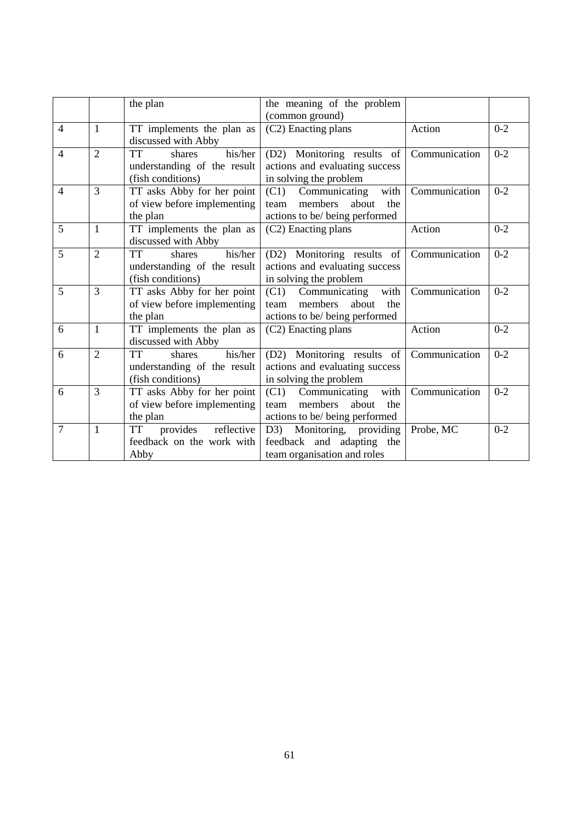|                |                | the plan                                                                           | the meaning of the problem<br>(common ground)                                                      |               |         |
|----------------|----------------|------------------------------------------------------------------------------------|----------------------------------------------------------------------------------------------------|---------------|---------|
| $\overline{4}$ | $\mathbf{1}$   | TT implements the plan as<br>discussed with Abby                                   | (C2) Enacting plans                                                                                | Action        | $0 - 2$ |
| $\overline{4}$ | $\overline{2}$ | his/her<br><b>TT</b><br>shares<br>understanding of the result<br>(fish conditions) | (D2) Monitoring results of<br>actions and evaluating success<br>in solving the problem             | Communication | $0 - 2$ |
| $\overline{4}$ | 3              | TT asks Abby for her point<br>of view before implementing<br>the plan              | (C1)<br>Communicating<br>with<br>members<br>team<br>about<br>the<br>actions to be/ being performed | Communication | $0 - 2$ |
| 5              | 1              | TT implements the plan as<br>discussed with Abby                                   | (C2) Enacting plans                                                                                | Action        | $0 - 2$ |
| 5              | $\overline{2}$ | his/her<br><b>TT</b><br>shares<br>understanding of the result<br>(fish conditions) | (D2) Monitoring results of<br>actions and evaluating success<br>in solving the problem             | Communication | $0 - 2$ |
| 5              | 3              | TT asks Abby for her point<br>of view before implementing<br>the plan              | (C1)<br>Communicating<br>with<br>members<br>about<br>the<br>team<br>actions to be/ being performed | Communication | $0 - 2$ |
| 6              | $\mathbf{1}$   | TT implements the plan as<br>discussed with Abby                                   | (C2) Enacting plans                                                                                | Action        | $0 - 2$ |
| 6              | $\overline{2}$ | his/her<br><b>TT</b><br>shares<br>understanding of the result<br>(fish conditions) | (D2) Monitoring results of<br>actions and evaluating success<br>in solving the problem             | Communication | $0 - 2$ |
| 6              | 3              | TT asks Abby for her point<br>of view before implementing<br>the plan              | (C1)<br>Communicating<br>with<br>members<br>about<br>team<br>the<br>actions to be/ being performed | Communication | $0 - 2$ |
| 7              | 1              | provides<br>TT<br>reflective<br>feedback on the work with<br>Abby                  | Monitoring, providing<br>D3<br>feedback and adapting the<br>team organisation and roles            | Probe, MC     | $0 - 2$ |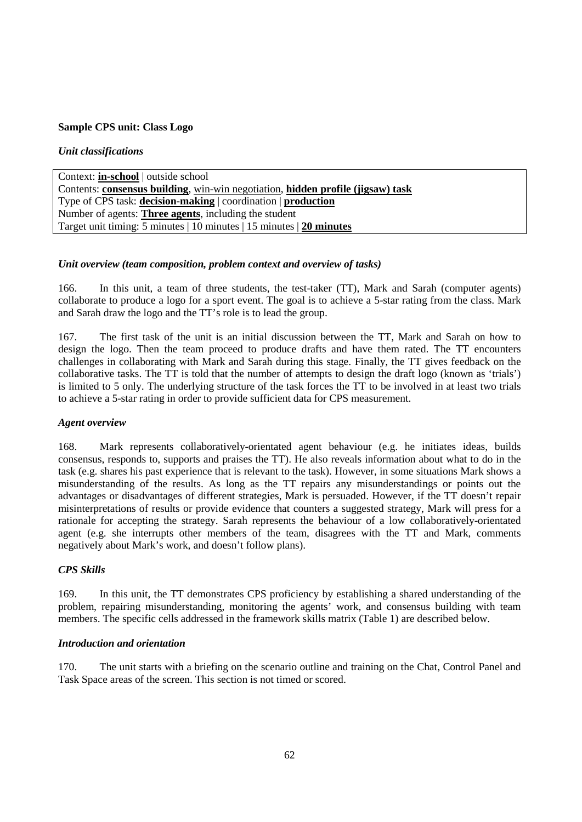#### **Sample CPS unit: Class Logo**

#### *Unit classifications*

#### *Unit overview (team composition, problem context and overview of tasks)*

166. In this unit, a team of three students, the test-taker (TT), Mark and Sarah (computer agents) collaborate to produce a logo for a sport event. The goal is to achieve a 5-star rating from the class. Mark and Sarah draw the logo and the TT's role is to lead the group.

167. The first task of the unit is an initial discussion between the TT, Mark and Sarah on how to design the logo. Then the team proceed to produce drafts and have them rated. The TT encounters challenges in collaborating with Mark and Sarah during this stage. Finally, the TT gives feedback on the collaborative tasks. The TT is told that the number of attempts to design the draft logo (known as 'trials') is limited to 5 only. The underlying structure of the task forces the TT to be involved in at least two trials to achieve a 5-star rating in order to provide sufficient data for CPS measurement.

#### *Agent overview*

168. Mark represents collaboratively-orientated agent behaviour (e.g. he initiates ideas, builds consensus, responds to, supports and praises the TT). He also reveals information about what to do in the task (e.g. shares his past experience that is relevant to the task). However, in some situations Mark shows a misunderstanding of the results. As long as the TT repairs any misunderstandings or points out the advantages or disadvantages of different strategies, Mark is persuaded. However, if the TT doesn't repair misinterpretations of results or provide evidence that counters a suggested strategy, Mark will press for a rationale for accepting the strategy. Sarah represents the behaviour of a low collaboratively-orientated agent (e.g. she interrupts other members of the team, disagrees with the TT and Mark, comments negatively about Mark's work, and doesn't follow plans).

#### *CPS Skills*

169. In this unit, the TT demonstrates CPS proficiency by establishing a shared understanding of the problem, repairing misunderstanding, monitoring the agents' work, and consensus building with team members. The specific cells addressed in the framework skills matrix (Table 1) are described below.

#### *Introduction and orientation*

170. The unit starts with a briefing on the scenario outline and training on the Chat, Control Panel and Task Space areas of the screen. This section is not timed or scored.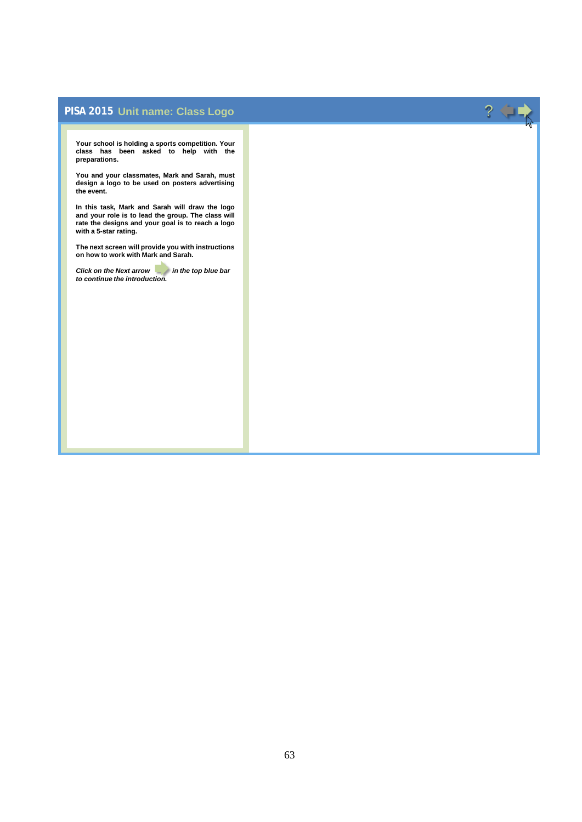## **PISA 2015 Unit name: Class Logo** ?

**Your school is holding a sports competition. Your class has been asked to help with the preparations.**

**You and your classmates, Mark and Sarah, must design a logo to be used on posters advertising the event.**

**In this task, Mark and Sarah will draw the logo and your role is to lead the group. The class will rate the designs and your goal is to reach a logo with a 5-star rating.**

**The next screen will provide you with instructions on how to work with Mark and Sarah.** 

*Click on the Next arrow in the top blue bar to continue the introduction.*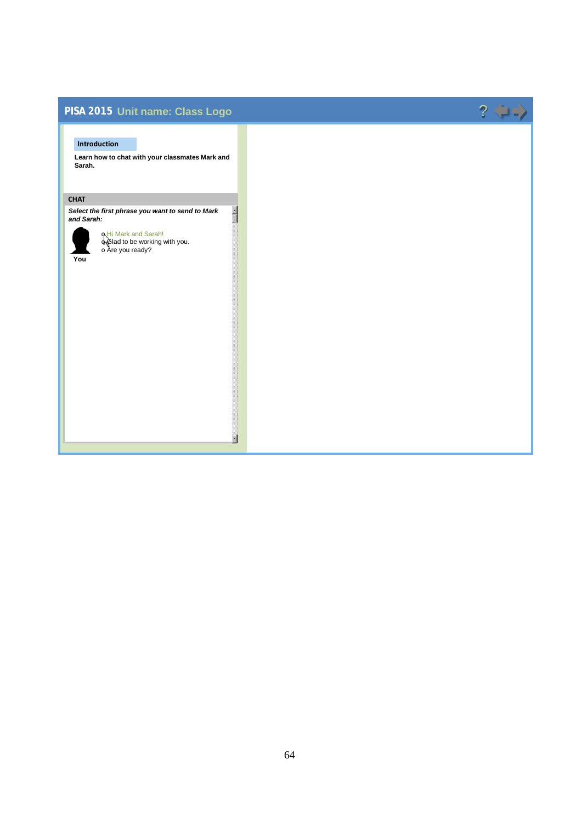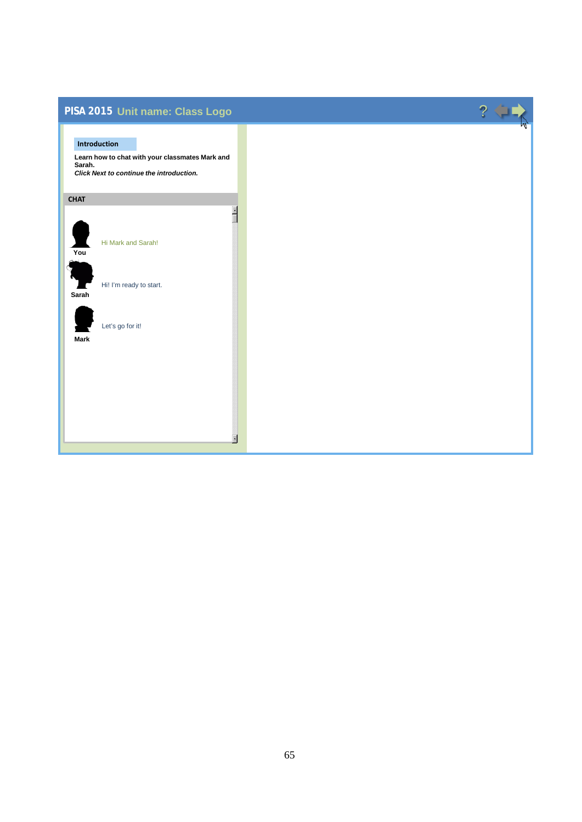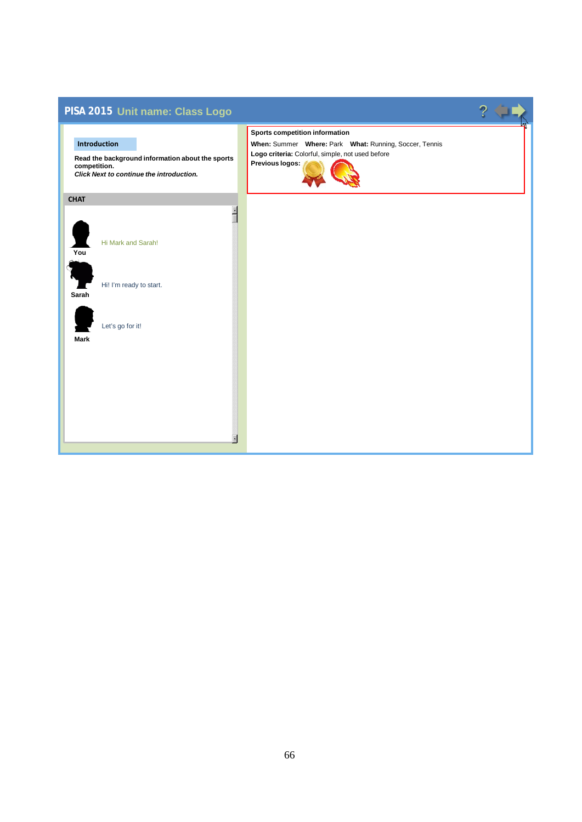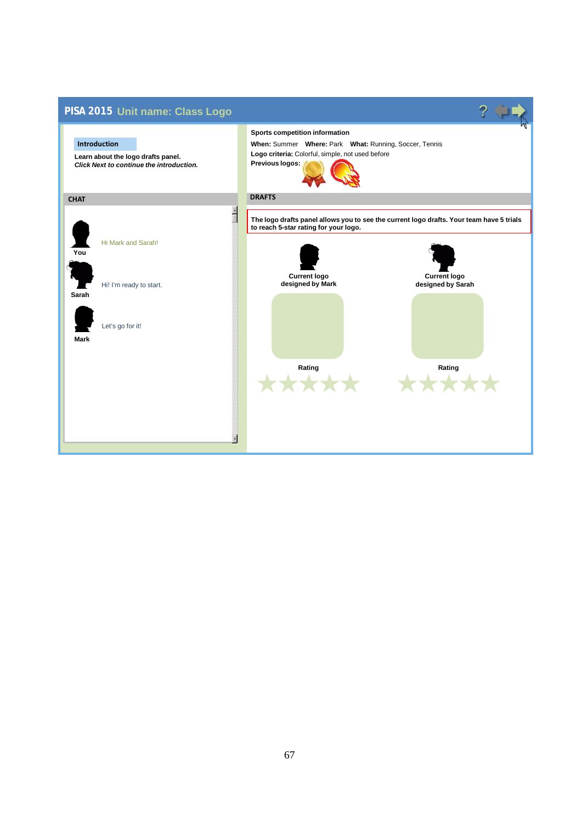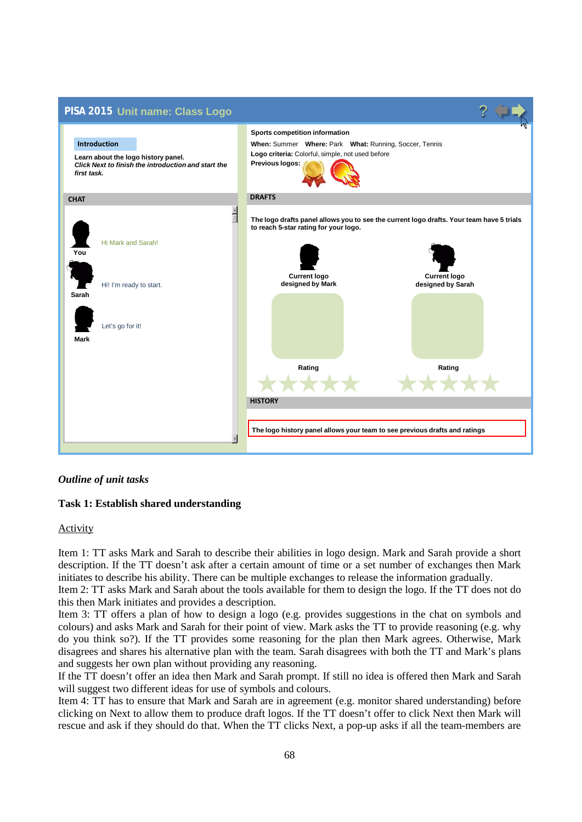

#### *Outline of unit tasks*

#### **Task 1: Establish shared understanding**

#### Activity

Item 1: TT asks Mark and Sarah to describe their abilities in logo design. Mark and Sarah provide a short description. If the TT doesn't ask after a certain amount of time or a set number of exchanges then Mark initiates to describe his ability. There can be multiple exchanges to release the information gradually.

Item 2: TT asks Mark and Sarah about the tools available for them to design the logo. If the TT does not do this then Mark initiates and provides a description.

Item 3: TT offers a plan of how to design a logo (e.g. provides suggestions in the chat on symbols and colours) and asks Mark and Sarah for their point of view. Mark asks the TT to provide reasoning (e.g. why do you think so?). If the TT provides some reasoning for the plan then Mark agrees. Otherwise, Mark disagrees and shares his alternative plan with the team. Sarah disagrees with both the TT and Mark's plans and suggests her own plan without providing any reasoning.

If the TT doesn't offer an idea then Mark and Sarah prompt. If still no idea is offered then Mark and Sarah will suggest two different ideas for use of symbols and colours.

Item 4: TT has to ensure that Mark and Sarah are in agreement (e.g. monitor shared understanding) before clicking on Next to allow them to produce draft logos. If the TT doesn't offer to click Next then Mark will rescue and ask if they should do that. When the TT clicks Next, a pop-up asks if all the team-members are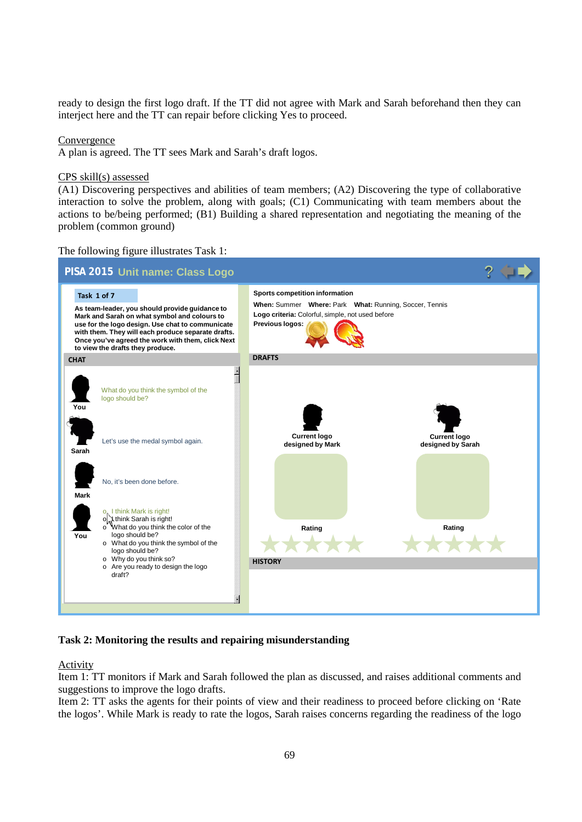ready to design the first logo draft. If the TT did not agree with Mark and Sarah beforehand then they can interject here and the TT can repair before clicking Yes to proceed.

#### Convergence

A plan is agreed. The TT sees Mark and Sarah's draft logos.

#### CPS skill(s) assessed

(A1) Discovering perspectives and abilities of team members; (A2) Discovering the type of collaborative interaction to solve the problem, along with goals; (C1) Communicating with team members about the actions to be/being performed; (B1) Building a shared representation and negotiating the meaning of the problem (common ground)

The following figure illustrates Task 1:



#### **Task 2: Monitoring the results and repairing misunderstanding**

#### Activity

Item 1: TT monitors if Mark and Sarah followed the plan as discussed, and raises additional comments and suggestions to improve the logo drafts.

Item 2: TT asks the agents for their points of view and their readiness to proceed before clicking on 'Rate the logos'. While Mark is ready to rate the logos, Sarah raises concerns regarding the readiness of the logo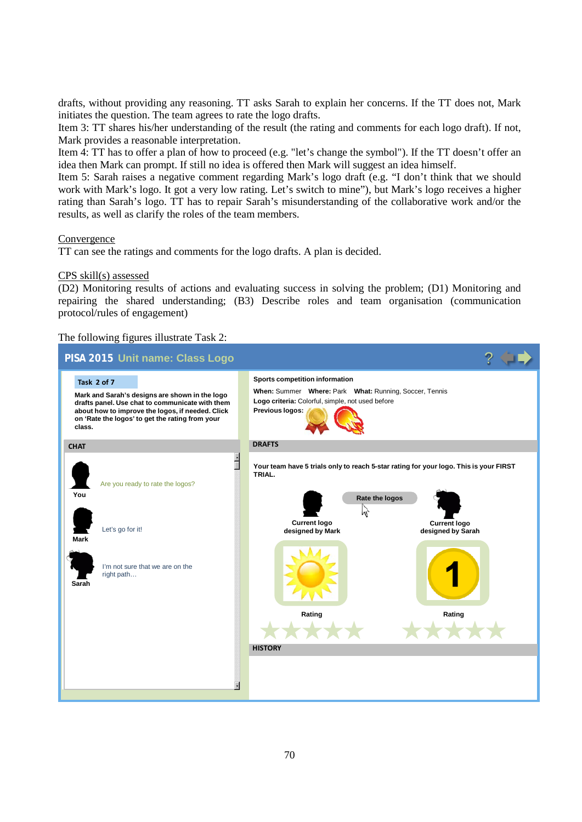drafts, without providing any reasoning. TT asks Sarah to explain her concerns. If the TT does not, Mark initiates the question. The team agrees to rate the logo drafts.

Item 3: TT shares his/her understanding of the result (the rating and comments for each logo draft). If not, Mark provides a reasonable interpretation.

Item 4: TT has to offer a plan of how to proceed (e.g. "let's change the symbol"). If the TT doesn't offer an idea then Mark can prompt. If still no idea is offered then Mark will suggest an idea himself.

Item 5: Sarah raises a negative comment regarding Mark's logo draft (e.g. "I don't think that we should work with Mark's logo. It got a very low rating. Let's switch to mine"), but Mark's logo receives a higher rating than Sarah's logo. TT has to repair Sarah's misunderstanding of the collaborative work and/or the results, as well as clarify the roles of the team members.

#### Convergence

TT can see the ratings and comments for the logo drafts. A plan is decided.

#### CPS skill(s) assessed

(D2) Monitoring results of actions and evaluating success in solving the problem; (D1) Monitoring and repairing the shared understanding; (B3) Describe roles and team organisation (communication protocol/rules of engagement)

#### The following figures illustrate Task 2:

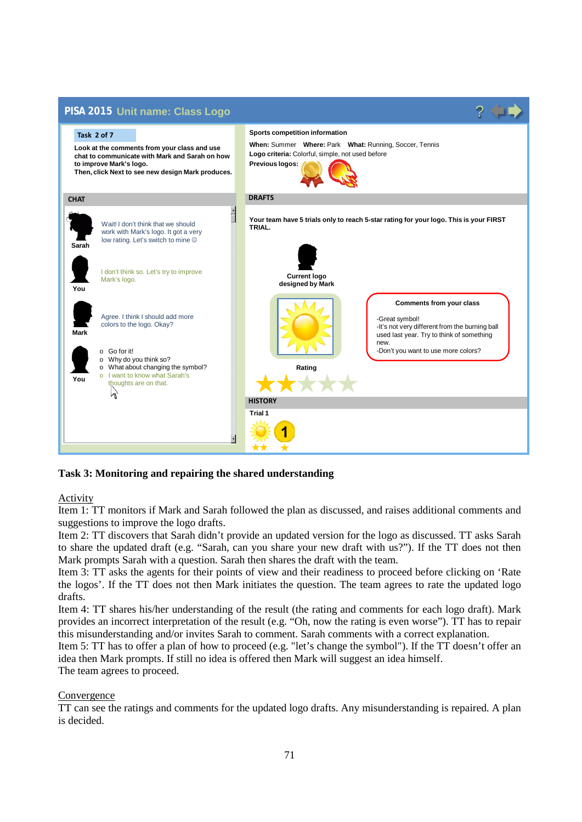

### **Task 3: Monitoring and repairing the shared understanding**

#### Activity

Item 1: TT monitors if Mark and Sarah followed the plan as discussed, and raises additional comments and suggestions to improve the logo drafts.

Item 2: TT discovers that Sarah didn't provide an updated version for the logo as discussed. TT asks Sarah to share the updated draft (e.g. "Sarah, can you share your new draft with us?"). If the TT does not then Mark prompts Sarah with a question. Sarah then shares the draft with the team.

Item 3: TT asks the agents for their points of view and their readiness to proceed before clicking on 'Rate the logos'. If the TT does not then Mark initiates the question. The team agrees to rate the updated logo drafts.

Item 4: TT shares his/her understanding of the result (the rating and comments for each logo draft). Mark provides an incorrect interpretation of the result (e.g. "Oh, now the rating is even worse"). TT has to repair this misunderstanding and/or invites Sarah to comment. Sarah comments with a correct explanation.

Item 5: TT has to offer a plan of how to proceed (e.g. "let's change the symbol"). If the TT doesn't offer an idea then Mark prompts. If still no idea is offered then Mark will suggest an idea himself.

The team agrees to proceed.

#### Convergence

TT can see the ratings and comments for the updated logo drafts. Any misunderstanding is repaired. A plan is decided.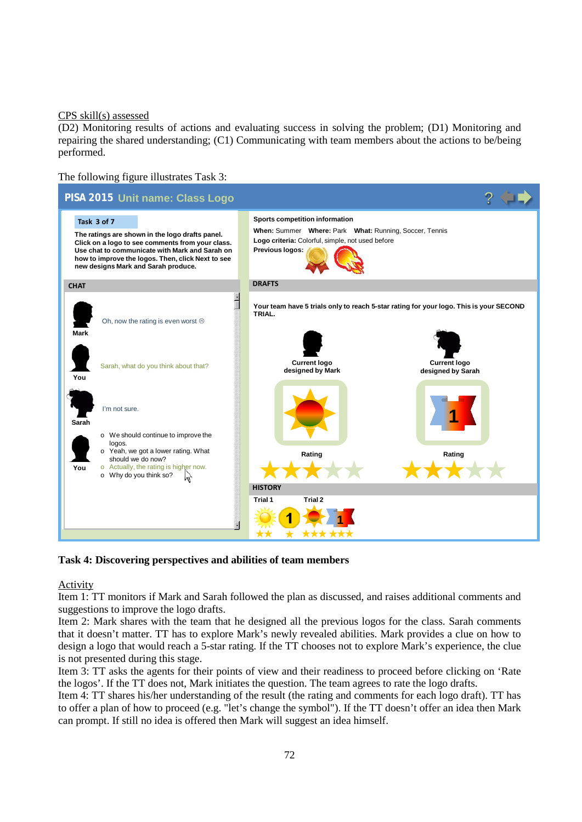#### CPS skill(s) assessed

(D2) Monitoring results of actions and evaluating success in solving the problem; (D1) Monitoring and repairing the shared understanding; (C1) Communicating with team members about the actions to be/being performed.

#### The following figure illustrates Task 3:



**Task 4: Discovering perspectives and abilities of team members** 

#### Activity

Item 1: TT monitors if Mark and Sarah followed the plan as discussed, and raises additional comments and suggestions to improve the logo drafts.

Item 2: Mark shares with the team that he designed all the previous logos for the class. Sarah comments that it doesn't matter. TT has to explore Mark's newly revealed abilities. Mark provides a clue on how to design a logo that would reach a 5-star rating. If the TT chooses not to explore Mark's experience, the clue is not presented during this stage.

Item 3: TT asks the agents for their points of view and their readiness to proceed before clicking on 'Rate the logos'. If the TT does not, Mark initiates the question. The team agrees to rate the logo drafts.

Item 4: TT shares his/her understanding of the result (the rating and comments for each logo draft). TT has to offer a plan of how to proceed (e.g. "let's change the symbol"). If the TT doesn't offer an idea then Mark can prompt. If still no idea is offered then Mark will suggest an idea himself.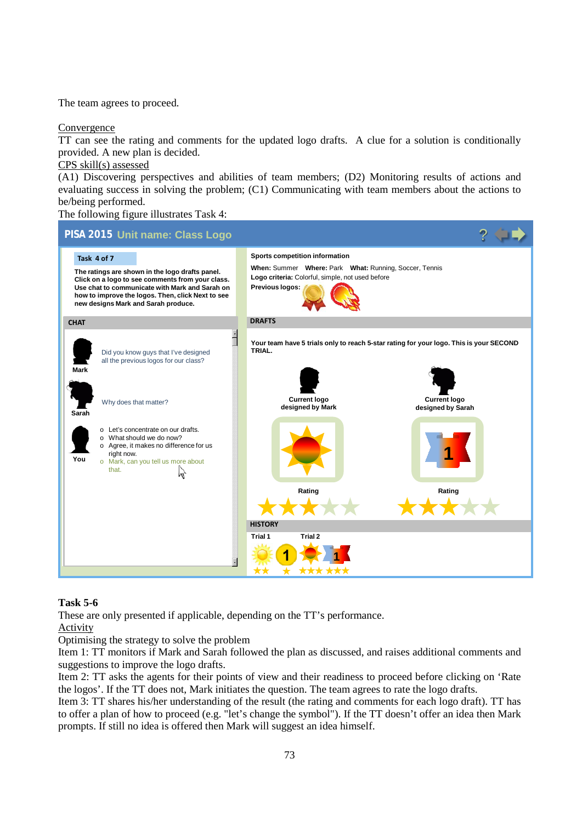The team agrees to proceed.

**Convergence** 

TT can see the rating and comments for the updated logo drafts. A clue for a solution is conditionally provided. A new plan is decided.

CPS skill(s) assessed

(A1) Discovering perspectives and abilities of team members; (D2) Monitoring results of actions and evaluating success in solving the problem; (C1) Communicating with team members about the actions to be/being performed.

The following figure illustrates Task 4:



# **Task 5-6**

These are only presented if applicable, depending on the TT's performance.

Activity

Optimising the strategy to solve the problem

Item 1: TT monitors if Mark and Sarah followed the plan as discussed, and raises additional comments and suggestions to improve the logo drafts.

Item 2: TT asks the agents for their points of view and their readiness to proceed before clicking on 'Rate the logos'. If the TT does not, Mark initiates the question. The team agrees to rate the logo drafts.

Item 3: TT shares his/her understanding of the result (the rating and comments for each logo draft). TT has to offer a plan of how to proceed (e.g. "let's change the symbol"). If the TT doesn't offer an idea then Mark prompts. If still no idea is offered then Mark will suggest an idea himself.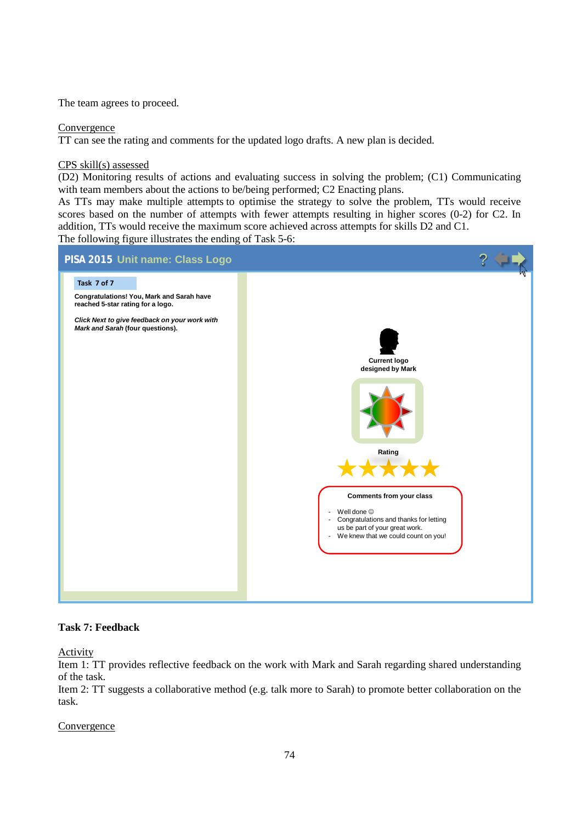## The team agrees to proceed.

### Convergence

TT can see the rating and comments for the updated logo drafts. A new plan is decided.

### CPS skill(s) assessed

(D2) Monitoring results of actions and evaluating success in solving the problem; (C1) Communicating with team members about the actions to be/being performed; C2 Enacting plans.

As TTs may make multiple attempts to optimise the strategy to solve the problem, TTs would receive scores based on the number of attempts with fewer attempts resulting in higher scores (0-2) for C2. In addition, TTs would receive the maximum score achieved across attempts for skills D2 and C1. The following figure illustrates the ending of Task 5-6:



#### **Task 7: Feedback**

Activity

Item 1: TT provides reflective feedback on the work with Mark and Sarah regarding shared understanding of the task.

Item 2: TT suggests a collaborative method (e.g. talk more to Sarah) to promote better collaboration on the task.

#### Convergence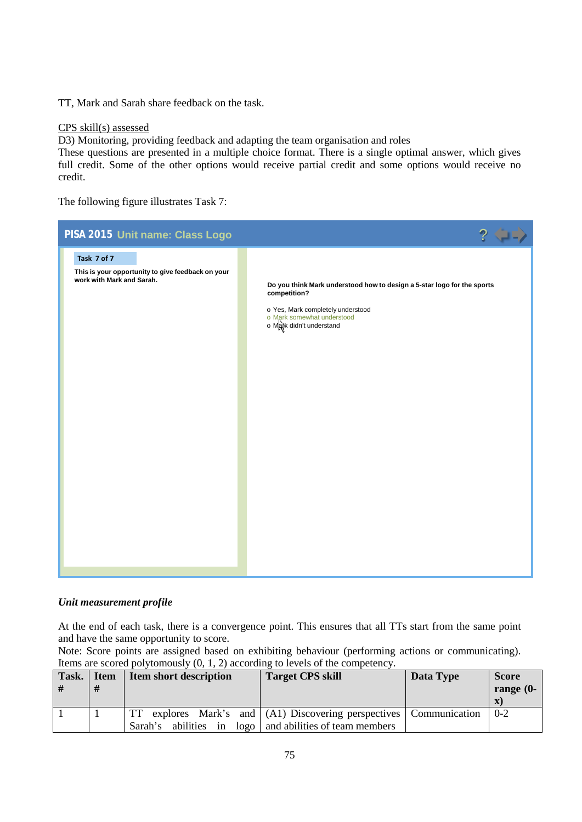TT, Mark and Sarah share feedback on the task.

# CPS skill(s) assessed

D3) Monitoring, providing feedback and adapting the team organisation and roles

These questions are presented in a multiple choice format. There is a single optimal answer, which gives full credit. Some of the other options would receive partial credit and some options would receive no credit.

The following figure illustrates Task 7:

| PISA 2015 Unit name: Class Logo                                                               |                                                                                                                                                                                        |
|-----------------------------------------------------------------------------------------------|----------------------------------------------------------------------------------------------------------------------------------------------------------------------------------------|
| Task 7 of 7<br>This is your opportunity to give feedback on your<br>work with Mark and Sarah. | Do you think Mark understood how to design a 5-star logo for the sports<br>competition?<br>o Yes, Mark completely understood<br>o Mark somewhat understood<br>o Mark didn't understand |

# *Unit measurement profile*

At the end of each task, there is a convergence point. This ensures that all TTs start from the same point and have the same opportunity to score.

Note: Score points are assigned based on exhibiting behaviour (performing actions or communicating). Items are scored polytomously (0, 1, 2) according to levels of the competency.

| Task. | <b>Item</b><br># | <b>Item short description</b> | <b>Target CPS skill</b>                                                                                            | Data Type | <b>Score</b><br>range $(0-$<br>X) |
|-------|------------------|-------------------------------|--------------------------------------------------------------------------------------------------------------------|-----------|-----------------------------------|
|       |                  | TT<br>Sarah's                 | explores Mark's and (A1) Discovering perspectives Communication<br>abilities in logo and abilities of team members |           | $10-2$                            |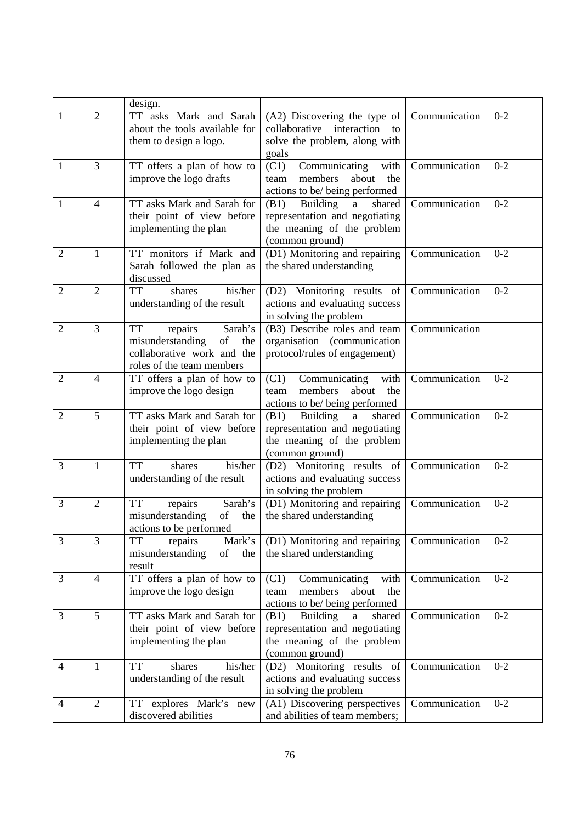|                |                | design.                         |                                               |               |         |
|----------------|----------------|---------------------------------|-----------------------------------------------|---------------|---------|
| 1              | $\overline{2}$ | TT asks Mark and Sarah          | $(A2)$ Discovering the type of                | Communication | $0 - 2$ |
|                |                | about the tools available for   | collaborative interaction<br>to               |               |         |
|                |                | them to design a logo.          | solve the problem, along with                 |               |         |
|                |                |                                 | goals                                         |               |         |
| 1              | 3              | TT offers a plan of how to      | with<br>(C1)<br>Communicating                 | Communication | $0 - 2$ |
|                |                | improve the logo drafts         | members<br>about<br>the<br>team               |               |         |
|                |                |                                 | actions to be/ being performed                |               |         |
| 1              | $\overline{4}$ | TT asks Mark and Sarah for      | (B1)<br>Building<br>shared<br>a               | Communication | $0 - 2$ |
|                |                | their point of view before      | representation and negotiating                |               |         |
|                |                | implementing the plan           | the meaning of the problem                    |               |         |
|                |                |                                 | (common ground)                               |               |         |
| $\mathfrak{2}$ | $\mathbf{1}$   | TT monitors if Mark and         | (D1) Monitoring and repairing                 | Communication | $0 - 2$ |
|                |                | Sarah followed the plan as      | the shared understanding                      |               |         |
|                |                | discussed                       |                                               |               |         |
| $\overline{2}$ | $\overline{2}$ | <b>TT</b><br>his/her<br>shares  | (D2) Monitoring results of                    | Communication | $0 - 2$ |
|                |                | understanding of the result     | actions and evaluating success                |               |         |
|                |                |                                 | in solving the problem                        |               |         |
| $\overline{2}$ | 3              | repairs<br>Sarah's<br><b>TT</b> | (B3) Describe roles and team                  | Communication |         |
|                |                | misunderstanding<br>of<br>the   | organisation (communication                   |               |         |
|                |                | collaborative work and the      | protocol/rules of engagement)                 |               |         |
|                |                | roles of the team members       |                                               |               |         |
| $\mathfrak{2}$ | $\overline{4}$ | TT offers a plan of how to      | Communicating<br>with<br>(C1)                 | Communication | $0 - 2$ |
|                |                | improve the logo design         | members<br>about<br>team<br>the               |               |         |
|                |                |                                 | actions to be/ being performed                |               |         |
| $\overline{2}$ | 5              | TT asks Mark and Sarah for      | (B1)<br>Building<br>shared<br>$\mathbf{a}$    | Communication | $0 - 2$ |
|                |                | their point of view before      | representation and negotiating                |               |         |
|                |                | implementing the plan           | the meaning of the problem                    |               |         |
|                |                |                                 | (common ground)                               |               |         |
| 3              | 1              | his/her<br><b>TT</b><br>shares  | (D2) Monitoring results of                    | Communication | $0 - 2$ |
|                |                | understanding of the result     | actions and evaluating success                |               |         |
|                |                |                                 | in solving the problem                        |               |         |
| 3              | $\overline{2}$ | repairs<br>Sarah's<br><b>TT</b> | (D1) Monitoring and repairing                 | Communication | $0 - 2$ |
|                |                | misunderstanding<br>of<br>the   | the shared understanding                      |               |         |
|                |                | actions to be performed         |                                               |               |         |
| 3              | $\overline{3}$ | Mark's<br><b>TT</b><br>repairs  | (D1) Monitoring and repairing                 | Communication | $0 - 2$ |
|                |                | misunderstanding<br>of<br>the   | the shared understanding                      |               |         |
|                |                | result                          |                                               |               |         |
| 3              | $\overline{4}$ | TT offers a plan of how to      | (C1)<br>Communicating<br>with                 | Communication | $0 - 2$ |
|                |                | improve the logo design         | members<br>about<br>the<br>team               |               |         |
|                |                |                                 | actions to be/ being performed                |               |         |
| 3              | 5              | TT asks Mark and Sarah for      | (B1)<br><b>Building</b><br>shared<br>$\rm{a}$ | Communication | $0 - 2$ |
|                |                | their point of view before      | representation and negotiating                |               |         |
|                |                | implementing the plan           | the meaning of the problem                    |               |         |
|                |                |                                 | (common ground)                               |               |         |
| $\overline{4}$ | $\mathbf{1}$   | his/her<br><b>TT</b><br>shares  | (D2) Monitoring results of                    | Communication | $0 - 2$ |
|                |                | understanding of the result     | actions and evaluating success                |               |         |
|                |                |                                 | in solving the problem                        |               |         |
| $\overline{4}$ | $\sqrt{2}$     | TT explores Mark's new          | (A1) Discovering perspectives                 | Communication | $0 - 2$ |
|                |                | discovered abilities            | and abilities of team members;                |               |         |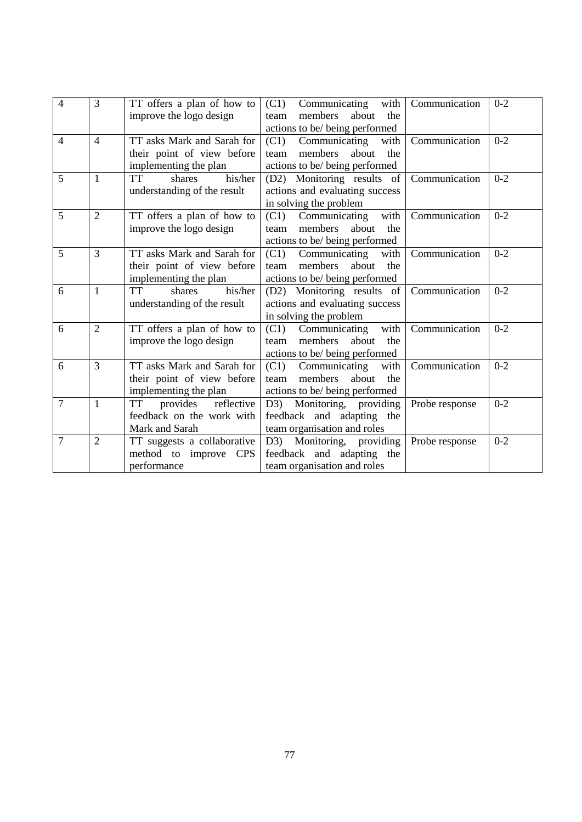| $\overline{4}$ | 3              | TT offers a plan of how to<br>improve the logo design                              | Communicating<br>(C1)<br>with  <br>members<br>about<br>the<br>team<br>actions to be/ being performed | Communication  | $0 - 2$ |
|----------------|----------------|------------------------------------------------------------------------------------|------------------------------------------------------------------------------------------------------|----------------|---------|
| $\overline{4}$ | $\overline{4}$ | TT asks Mark and Sarah for<br>their point of view before<br>implementing the plan  | (C1)<br>Communicating<br>with<br>members<br>about<br>the<br>team<br>actions to be/ being performed   | Communication  | $0 - 2$ |
| 5              | 1              | his/her<br><b>TT</b><br>shares<br>understanding of the result                      | (D2) Monitoring results of<br>actions and evaluating success<br>in solving the problem               | Communication  | $0 - 2$ |
| 5              | $\overline{2}$ | TT offers a plan of how to<br>improve the logo design                              | with<br>(C1)<br>Communicating<br>members<br>about<br>the<br>team<br>actions to be/ being performed   | Communication  | $0 - 2$ |
| 5              | 3              | TT asks Mark and Sarah for<br>their point of view before<br>implementing the plan  | Communicating<br>with<br>(C1)<br>members<br>about<br>the<br>team<br>actions to be/ being performed   | Communication  | $0 - 2$ |
| 6              | 1              | his/her<br><b>TT</b><br>shares<br>understanding of the result                      | (D2) Monitoring results of<br>actions and evaluating success<br>in solving the problem               | Communication  | $0 - 2$ |
| 6              | $\overline{2}$ | TT offers a plan of how to<br>improve the logo design                              | with<br>(C1)<br>Communicating<br>members<br>about<br>team<br>the<br>actions to be/ being performed   | Communication  | $0 - 2$ |
| 6              | 3              | TT asks Mark and Sarah for<br>their point of view before<br>implementing the plan  | (C1)<br>Communicating with<br>members<br>about<br>the<br>team<br>actions to be/ being performed      | Communication  | $0 - 2$ |
| $\overline{7}$ | $\mathbf{1}$   | reflective<br><b>TT</b><br>provides<br>feedback on the work with<br>Mark and Sarah | D3) Monitoring, providing<br>feedback and adapting the<br>team organisation and roles                | Probe response | $0 - 2$ |
| 7              | $\overline{2}$ | TT suggests a collaborative<br>method to improve CPS<br>performance                | D3) Monitoring, providing<br>feedback and adapting the<br>team organisation and roles                | Probe response | $0 - 2$ |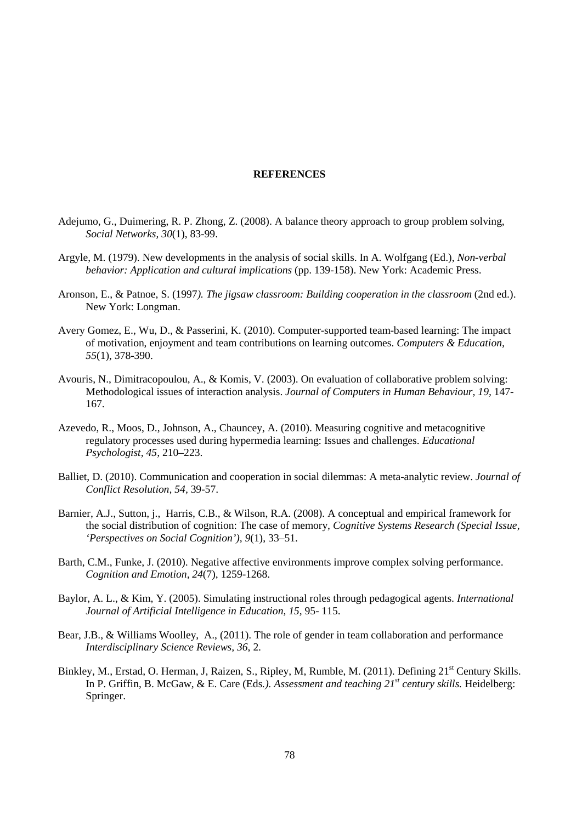#### **REFERENCES**

- Adejumo, G., Duimering, R. P. Zhong, Z. (2008). A balance theory approach to group problem solving, *Social Networks, 30*(1), 83-99.
- Argyle, M. (1979). New developments in the analysis of social skills. In A. Wolfgang (Ed.), *Non-verbal behavior: Application and cultural implications* (pp. 139-158). New York: Academic Press.
- Aronson, E., & Patnoe, S. (1997*). The jigsaw classroom: Building cooperation in the classroom* (2nd ed.). New York: Longman.
- Avery Gomez, E., Wu, D., & Passerini, K. (2010). Computer-supported team-based learning: The impact of motivation, enjoyment and team contributions on learning outcomes. *Computers & Education, 55*(1), 378-390.
- Avouris, N., Dimitracopoulou, A., & Komis, V. (2003). On evaluation of collaborative problem solving: Methodological issues of interaction analysis. *Journal of Computers in Human Behaviour, 19,* 147- 167.
- Azevedo, R., Moos, D., Johnson, A., Chauncey, A. (2010). Measuring cognitive and metacognitive regulatory processes used during hypermedia learning: Issues and challenges. *Educational Psychologist, 45,* 210–223.
- Balliet, D. (2010). Communication and cooperation in social dilemmas: A meta-analytic review. *Journal of Conflict Resolution, 54,* 39-57.
- Barnier, A.J., Sutton, j., Harris, C.B., & Wilson, R.A. (2008). A conceptual and empirical framework for the social distribution of cognition: The case of memory, *Cognitive Systems Research (Special Issue, 'Perspectives on Social Cognition'), 9*(1), 33–51.
- Barth, C.M., Funke, J. (2010). Negative affective environments improve complex solving performance. *Cognition and Emotion, 24*(7), 1259-1268.
- Baylor, A. L., & Kim, Y. (2005). Simulating instructional roles through pedagogical agents. *International Journal of Artificial Intelligence in Education, 15,* 95- 115.
- Bear, J.B., & Williams Woolley, A., (2011). The role of gender in team collaboration and performance *Interdisciplinary Science Reviews, 36*, 2.
- Binkley, M., Erstad, O. Herman, J. Raizen, S., Ripley, M. Rumble, M. (2011). Defining 21<sup>st</sup> Century Skills. In P. Griffin, B. McGaw, & E. Care (Eds*.). Assessment and teaching 21st century skills.* Heidelberg: Springer.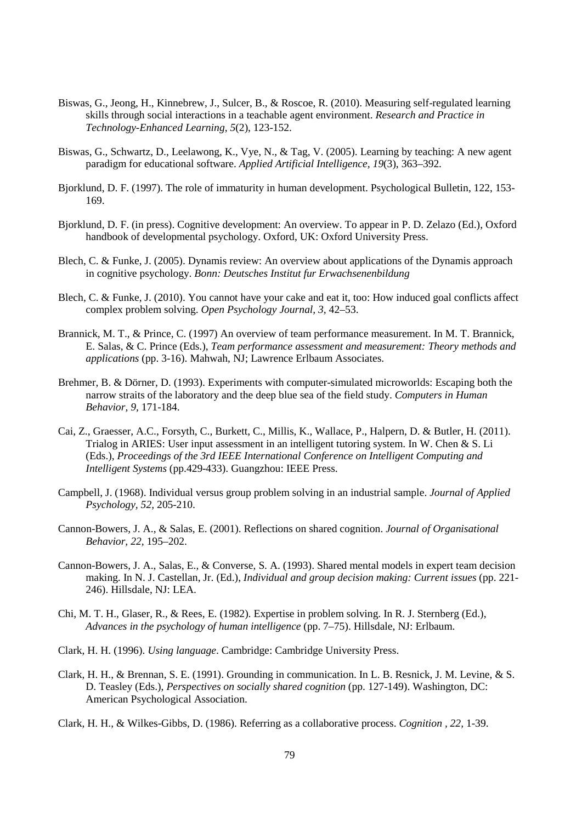- Biswas, G., Jeong, H., Kinnebrew, J., Sulcer, B., & Roscoe, R. (2010). Measuring self-regulated learning skills through social interactions in a teachable agent environment. *Research and Practice in Technology-Enhanced Learning, 5*(2), 123-152.
- Biswas, G., Schwartz, D., Leelawong, K., Vye, N., & Tag, V. (2005). Learning by teaching: A new agent paradigm for educational software. *Applied Artificial Intelligence, 19*(3), 363–392.
- Bjorklund, D. F. (1997). The role of immaturity in human development. Psychological Bulletin, 122, 153- 169.
- Bjorklund, D. F. (in press). Cognitive development: An overview. To appear in P. D. Zelazo (Ed.), Oxford handbook of developmental psychology. Oxford, UK: Oxford University Press.
- Blech, C. & Funke, J. (2005). Dynamis review: An overview about applications of the Dynamis approach in cognitive psychology. *Bonn: Deutsches Institut fur Erwachsenenbildung*
- Blech, C. & Funke, J. (2010). You cannot have your cake and eat it, too: How induced goal conflicts affect complex problem solving. *Open Psychology Journal, 3,* 42–53.
- Brannick, M. T., & Prince, C. (1997) An overview of team performance measurement. In M. T. Brannick, E. Salas, & C. Prince (Eds.), *Team performance assessment and measurement: Theory methods and applications* (pp. 3-16). Mahwah, NJ; Lawrence Erlbaum Associates.
- Brehmer, B. & Dörner, D. (1993). Experiments with computer-simulated microworlds: Escaping both the narrow straits of the laboratory and the deep blue sea of the field study. *Computers in Human Behavior, 9,* 171-184.
- Cai, Z., Graesser, A.C., Forsyth, C., Burkett, C., Millis, K., Wallace, P., Halpern, D. & Butler, H. (2011). Trialog in ARIES: User input assessment in an intelligent tutoring system. In W. Chen & S. Li (Eds.), *Proceedings of the 3rd IEEE International Conference on Intelligent Computing and Intelligent Systems* (pp.429-433). Guangzhou: IEEE Press.
- Campbell, J. (1968). Individual versus group problem solving in an industrial sample. *Journal of Applied Psychology, 52,* 205-210.
- Cannon-Bowers, J. A., & Salas, E. (2001). Reflections on shared cognition. *Journal of Organisational Behavior, 22,* 195–202.
- Cannon-Bowers, J. A., Salas, E., & Converse, S. A. (1993). Shared mental models in expert team decision making. In N. J. Castellan, Jr. (Ed.), *Individual and group decision making: Current issues* (pp. 221- 246). Hillsdale, NJ: LEA.
- Chi, M. T. H., Glaser, R., & Rees, E. (1982). Expertise in problem solving. In R. J. Sternberg (Ed.), *Advances in the psychology of human intelligence* (pp. 7–75). Hillsdale, NJ: Erlbaum.
- Clark, H. H. (1996). *Using language*. Cambridge: Cambridge University Press.
- Clark, H. H., & Brennan, S. E. (1991). Grounding in communication. In L. B. Resnick, J. M. Levine, & S. D. Teasley (Eds.), *Perspectives on socially shared cognition* (pp. 127-149). Washington, DC: American Psychological Association.
- Clark, H. H., & Wilkes-Gibbs, D. (1986). Referring as a collaborative process. *Cognition , 22,* 1-39.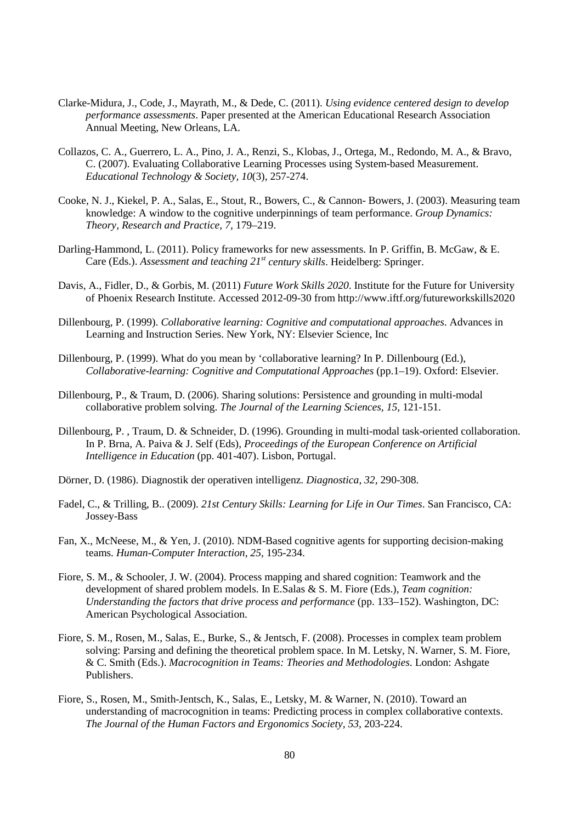- Clarke-Midura, J., Code, J., Mayrath, M., & Dede, C. (2011). *Using evidence centered design to develop performance assessments*. Paper presented at the American Educational Research Association Annual Meeting, New Orleans, LA.
- Collazos, C. A., Guerrero, L. A., Pino, J. A., Renzi, S., Klobas, J., Ortega, M., Redondo, M. A., & Bravo, C. (2007). Evaluating Collaborative Learning Processes using System-based Measurement. *Educational Technology & Society, 10*(3), 257-274.
- Cooke, N. J., Kiekel, P. A., Salas, E., Stout, R., Bowers, C., & Cannon- Bowers, J. (2003). Measuring team knowledge: A window to the cognitive underpinnings of team performance. *Group Dynamics: Theory, Research and Practice, 7,* 179–219.
- Darling-Hammond, L. (2011). Policy frameworks for new assessments. In P. Griffin, B. McGaw, & E. Care (Eds.). *Assessment and teaching 21st century skills*. Heidelberg: Springer.
- Davis, A., Fidler, D., & Gorbis, M. (2011) *Future Work Skills 2020*. Institute for the Future for University of Phoenix Research Institute. Accessed 2012-09-30 from http://www.iftf.org/futureworkskills2020
- Dillenbourg, P. (1999). *Collaborative learning: Cognitive and computational approaches*. Advances in Learning and Instruction Series. New York, NY: Elsevier Science, Inc
- Dillenbourg, P. (1999). What do you mean by 'collaborative learning? In P. Dillenbourg (Ed.), *Collaborative-learning: Cognitive and Computational Approaches* (pp.1–19). Oxford: Elsevier.
- Dillenbourg, P., & Traum, D. (2006). Sharing solutions: Persistence and grounding in multi-modal collaborative problem solving. *The Journal of the Learning Sciences, 15,* 121-151.
- Dillenbourg, P. , Traum, D. & Schneider, D. (1996). Grounding in multi-modal task-oriented collaboration. In P. Brna, A. Paiva & J. Self (Eds), *Proceedings of the European Conference on Artificial Intelligence in Education* (pp. 401-407). Lisbon, Portugal.
- Dörner, D. (1986). Diagnostik der operativen intelligenz. *Diagnostica, 32,* 290-308.
- Fadel, C., & Trilling, B.. (2009). *21st Century Skills: Learning for Life in Our Times*. San Francisco, CA: Jossey-Bass
- Fan, X., McNeese, M., & Yen, J. (2010). NDM-Based cognitive agents for supporting decision-making teams. *Human-Computer Interaction, 25,* 195-234.
- Fiore, S. M., & Schooler, J. W. (2004). Process mapping and shared cognition: Teamwork and the development of shared problem models. In E.Salas & S. M. Fiore (Eds.), *Team cognition: Understanding the factors that drive process and performance* (pp. 133–152). Washington, DC: American Psychological Association.
- Fiore, S. M., Rosen, M., Salas, E., Burke, S., & Jentsch, F. (2008). Processes in complex team problem solving: Parsing and defining the theoretical problem space. In M. Letsky, N. Warner, S. M. Fiore, & C. Smith (Eds.). *Macrocognition in Teams: Theories and Methodologies*. London: Ashgate Publishers.
- Fiore, S., Rosen, M., Smith-Jentsch, K., Salas, E., Letsky, M. & Warner, N. (2010). Toward an understanding of macrocognition in teams: Predicting process in complex collaborative contexts. *The Journal of the Human Factors and Ergonomics Society, 53,* 203-224.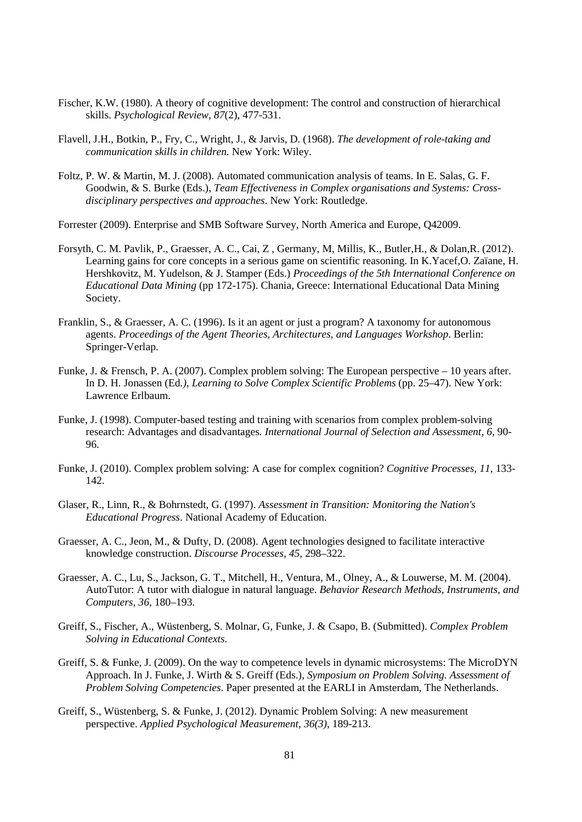- Fischer, K.W. (1980). A theory of cognitive development: The control and construction of hierarchical skills. *Psychological Review*, *87*(2), 477-531.
- Flavell, J.H., Botkin, P., Fry, C., Wright, J., & Jarvis, D. (1968). *The development of role-taking and communication skills in children.* New York: Wiley.
- Foltz, P. W. & Martin, M. J. (2008). Automated communication analysis of teams. In E. Salas, G. F. Goodwin, & S. Burke (Eds.), *Team Effectiveness in Complex organisations and Systems: Crossdisciplinary perspectives and approaches*. New York: Routledge.

Forrester (2009). Enterprise and SMB Software Survey, North America and Europe, Q42009.

- Forsyth, C. M. Pavlik, P., Graesser, A. C., Cai, Z , Germany, M, Millis, K., Butler,H., & Dolan,R. [\(2012\)](tel:%282012). Learning gains for core concepts in a serious game on scientific reasoning. In K.Yacef,O. Zaïane, H. Hershkovitz, M. Yudelson, & J. Stamper (Eds.) *Proceedings of the 5th International Conference on Educational Data Mining* (pp 172-175). Chania, Greece: International Educational Data Mining Society.
- Franklin, S., & Graesser, A. C. (1996). Is it an agent or just a program? A taxonomy for autonomous agents. *Proceedings of the Agent Theories, Architectures, and Languages Workshop*. Berlin: Springer-Verlap.
- Funke, J. & Frensch, P. A. (2007). Complex problem solving: The European perspective 10 years after. In D. H. Jonassen (Ed*.), Learning to Solve Complex Scientific Problems* (pp. 25–47). New York: Lawrence Erlbaum.
- Funke, J. (1998). Computer-based testing and training with scenarios from complex problem-solving research: Advantages and disadvantages*. International Journal of Selection and Assessment, 6,* 90- 96.
- Funke, J. (2010). Complex problem solving: A case for complex cognition? *Cognitive Processes, 11,* 133- 142.
- Glaser, R., Linn, R., & Bohrnstedt, G. (1997). *Assessment in Transition: Monitoring the Nation's Educational Progress*. National Academy of Education.
- Graesser, A. C., Jeon, M., & Dufty, D. (2008). Agent technologies designed to facilitate interactive knowledge construction. *Discourse Processes, 45,* 298–322.
- Graesser, A. C., Lu, S., Jackson, G. T., Mitchell, H., Ventura, M., Olney, A., & Louwerse, M. M. (2004). AutoTutor: A tutor with dialogue in natural language. *Behavior Research Methods, Instruments, and Computers, 36,* 180–193.
- Greiff, S., Fischer, A., Wüstenberg, S. Molnar, G, Funke, J. & Csapo, B. (Submitted). *Complex Problem Solving in Educational Contexts.*
- Greiff, S. & Funke, J. (2009). On the way to competence levels in dynamic microsystems: The MicroDYN Approach. In J. Funke, J. Wirth & S. Greiff (Eds.), *Symposium on Problem Solving. Assessment of Problem Solving Competencies*. Paper presented at the EARLI in Amsterdam, The Netherlands.
- Greiff, S., Wüstenberg, S. & Funke, J. (2012). Dynamic Problem Solving: A new measurement perspective. *Applied Psychological Measurement, 36(3)*, 189-213.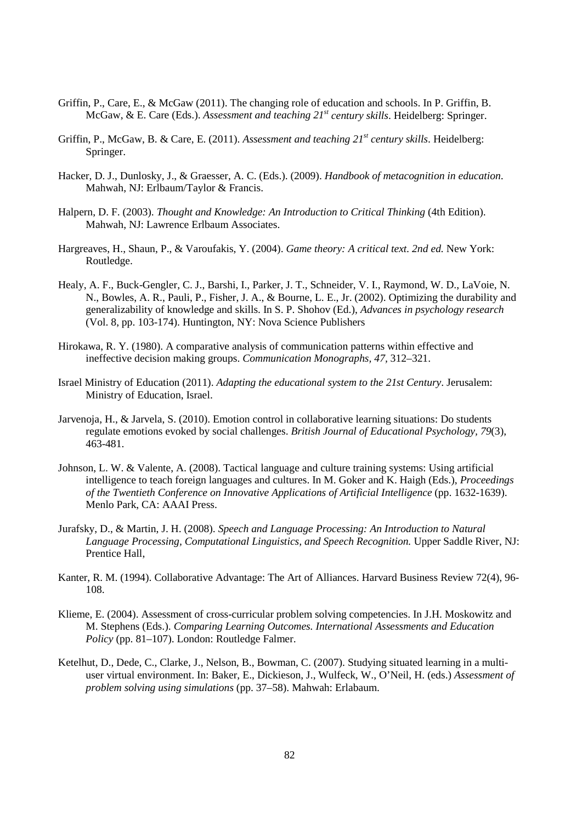- Griffin, P., Care, E., & McGaw (2011). The changing role of education and schools. In P. Griffin, B. McGaw, & E. Care (Eds.). *Assessment and teaching 21st century skills*. Heidelberg: Springer.
- Griffin, P., McGaw, B. & Care, E. (2011). *Assessment and teaching 21st century skills*. Heidelberg: Springer.
- Hacker, D. J., Dunlosky, J., & Graesser, A. C. (Eds.). (2009). *Handbook of metacognition in education*. Mahwah, NJ: Erlbaum/Taylor & Francis.
- Halpern, D. F. (2003). *Thought and Knowledge: An Introduction to Critical Thinking* (4th Edition). Mahwah, NJ: Lawrence Erlbaum Associates.
- Hargreaves, H., Shaun, P., & Varoufakis, Y. (2004). *Game theory: A critical text. 2nd ed.* New York: Routledge.
- Healy, A. F., Buck-Gengler, C. J., Barshi, I., Parker, J. T., Schneider, V. I., Raymond, W. D., LaVoie, N. N., Bowles, A. R., Pauli, P., Fisher, J. A., & Bourne, L. E., Jr. (2002). Optimizing the durability and generalizability of knowledge and skills. In S. P. Shohov (Ed.), *Advances in psychology research* (Vol. 8, pp. 103-174). Huntington, NY: Nova Science Publishers
- Hirokawa, R. Y. (1980). A comparative analysis of communication patterns within effective and ineffective decision making groups. *Communication Monographs, 47,* 312–321.
- Israel Ministry of Education (2011). *Adapting the educational system to the 21st Century*. Jerusalem: Ministry of Education, Israel.
- Jarvenoja, H., & Jarvela, S. (2010). Emotion control in collaborative learning situations: Do students regulate emotions evoked by social challenges. *British Journal of Educational Psychology, 79*(3), 463-481.
- Johnson, L. W. & Valente, A. (2008). Tactical language and culture training systems: Using artificial intelligence to teach foreign languages and cultures. In M. Goker and K. Haigh (Eds.), *Proceedings of the Twentieth Conference on Innovative Applications of Artificial Intelligence* (pp. 1632-1639). Menlo Park, CA: AAAI Press.
- Jurafsky, D., & Martin, J. H. (2008). *Speech and Language Processing: An Introduction to Natural Language Processing, Computational Linguistics, and Speech Recognition.* Upper Saddle River, NJ: Prentice Hall,
- Kanter, R. M. (1994). Collaborative Advantage: The Art of Alliances. Harvard Business Review 72(4), 96- 108.
- Klieme, E. (2004). Assessment of cross-curricular problem solving competencies. In J.H. Moskowitz and M. Stephens (Eds.). *Comparing Learning Outcomes. International Assessments and Education Policy* (pp. 81–107). London: Routledge Falmer.
- Ketelhut, D., Dede, C., Clarke, J., Nelson, B., Bowman, C. (2007). Studying situated learning in a multiuser virtual environment. In: Baker, E., Dickieson, J., Wulfeck, W., O'Neil, H. (eds.) *Assessment of problem solving using simulations* (pp. 37–58). Mahwah: Erlabaum.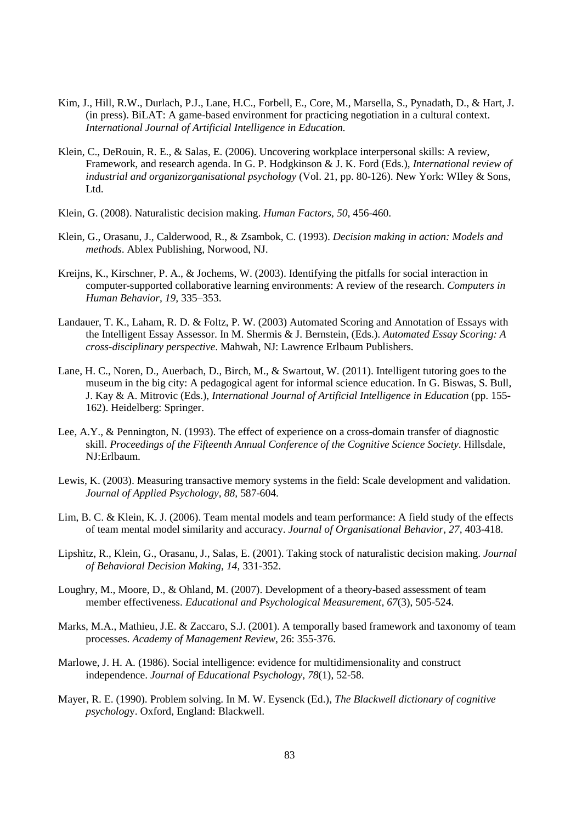- Kim, J., Hill, R.W., Durlach, P.J., Lane, H.C., Forbell, E., Core, M., Marsella, S., Pynadath, D., & Hart, J. (in press). BiLAT: A game-based environment for practicing negotiation in a cultural context. *International Journal of Artificial Intelligence in Education*.
- Klein, C., DeRouin, R. E., & Salas, E. (2006). Uncovering workplace interpersonal skills: A review, Framework, and research agenda. In G. P. Hodgkinson & J. K. Ford (Eds.), *International review of industrial and organizorganisational psychology* (Vol. 21, pp. 80-126). New York: WIley & Sons, Ltd.
- Klein, G. (2008). Naturalistic decision making. *Human Factors, 50,* 456-460.
- Klein, G., Orasanu, J., Calderwood, R., & Zsambok, C. (1993). *Decision making in action: Models and methods*. Ablex Publishing, Norwood, NJ.
- Kreijns, K., Kirschner, P. A., & Jochems, W. (2003). Identifying the pitfalls for social interaction in computer-supported collaborative learning environments: A review of the research. *Computers in Human Behavior, 19,* 335–353.
- Landauer, T. K., Laham, R. D. & Foltz, P. W. (2003) Automated Scoring and Annotation of Essays with the Intelligent Essay Assessor. In M. Shermis & J. Bernstein, (Eds.). *Automated Essay Scoring: A cross-disciplinary perspective*. Mahwah, NJ: Lawrence Erlbaum Publishers.
- Lane, H. C., Noren, D., Auerbach, D., Birch, M., & Swartout, W. (2011). Intelligent tutoring goes to the museum in the big city: A pedagogical agent for informal science education. In G. Biswas, S. Bull, J. Kay & A. Mitrovic (Eds.), *International Journal of Artificial Intelligence in Education* (pp. 155- 162). Heidelberg: Springer.
- Lee, A.Y., & Pennington, N. (1993). The effect of experience on a cross-domain transfer of diagnostic skill. *Proceedings of the Fifteenth Annual Conference of the Cognitive Science Society*. Hillsdale, NJ:Erlbaum.
- Lewis, K. (2003). Measuring transactive memory systems in the field: Scale development and validation. *Journal of Applied Psychology, 88,* 587-604.
- Lim, B. C. & Klein, K. J. (2006). Team mental models and team performance: A field study of the effects of team mental model similarity and accuracy. *Journal of Organisational Behavior, 27,* 403-418.
- Lipshitz, R., Klein, G., Orasanu, J., Salas, E. (2001). Taking stock of naturalistic decision making. *Journal of Behavioral Decision Making, 14,* 331-352.
- Loughry, M., Moore, D., & Ohland, M. (2007). Development of a theory-based assessment of team member effectiveness. *Educational and Psychological Measurement, 67*(3), 505-524.
- Marks, M.A., Mathieu, J.E. & Zaccaro, S.J. (2001). A temporally based framework and taxonomy of team processes. *Academy of Management Review*, 26: 355-376.
- Marlowe, J. H. A. (1986). Social intelligence: evidence for multidimensionality and construct independence. *Journal of Educational Psychology, 78*(1), 52-58.
- Mayer, R. E. (1990). Problem solving. In M. W. Eysenck (Ed.), *The Blackwell dictionary of cognitive psycholog*y. Oxford, England: Blackwell.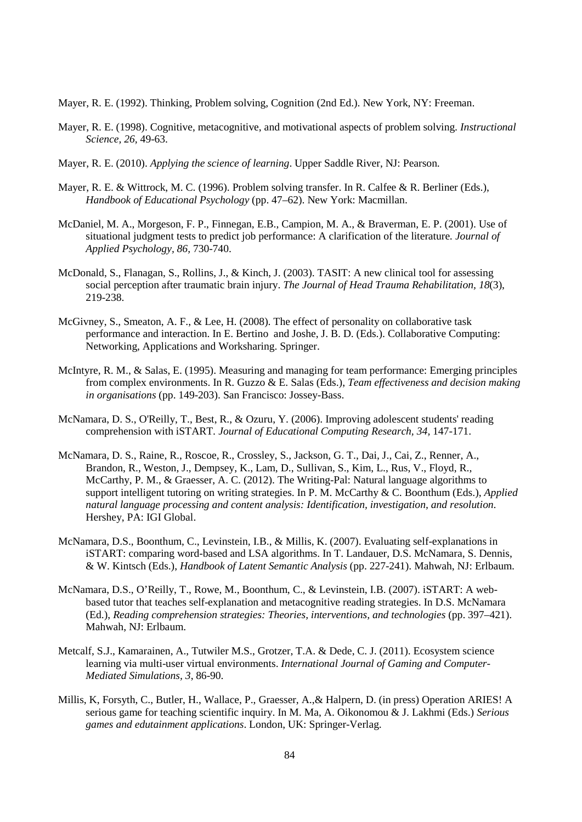- Mayer, R. E. (1992). Thinking, Problem solving, Cognition (2nd Ed.). New York, NY: Freeman.
- Mayer, R. E. (1998). Cognitive, metacognitive, and motivational aspects of problem solving. *Instructional Science, 26,* 49-63.
- Mayer, R. E. (2010). *Applying the science of learning*. Upper Saddle River, NJ: Pearson.
- Mayer, R. E. & Wittrock, M. C. (1996). Problem solving transfer. In R. Calfee & R. Berliner (Eds.), *Handbook of Educational Psychology* (pp. 47–62). New York: Macmillan.
- McDaniel, M. A., Morgeson, F. P., Finnegan, E.B., Campion, M. A., & Braverman, E. P. (2001). Use of situational judgment tests to predict job performance: A clarification of the literature*. Journal of Applied Psychology, 86,* 730-740.
- McDonald, S., Flanagan, S., Rollins, J., & Kinch, J. (2003). TASIT: A new clinical tool for assessing social perception after traumatic brain injury. *The Journal of Head Trauma Rehabilitation, 18*(3), 219-238.
- McGivney, S., Smeaton, A. F., & Lee, H. (2008). The effect of personality on collaborative task performance and interaction. In E. Bertino and Joshe, J. B. D. (Eds.). Collaborative Computing: Networking, Applications and Worksharing. Springer.
- McIntyre, R. M., & Salas, E. (1995). Measuring and managing for team performance: Emerging principles from complex environments. In R. Guzzo & E. Salas (Eds.), *Team effectiveness and decision making in organisations* (pp. 149-203). San Francisco: Jossey-Bass.
- McNamara, D. S., O'Reilly, T., Best, R., & Ozuru, Y. (2006). Improving adolescent students' reading comprehension with iSTART*. Journal of Educational Computing Research, 34,* 147-171.
- McNamara, D. S., Raine, R., Roscoe, R., Crossley, S., Jackson, G. T., Dai, J., Cai, Z., Renner, A., Brandon, R., Weston, J., Dempsey, K., Lam, D., Sullivan, S., Kim, L., Rus, V., Floyd, R., McCarthy, P. M., & Graesser, A. C. (2012). The Writing-Pal: Natural language algorithms to support intelligent tutoring on writing strategies. In P. M. McCarthy & C. Boonthum (Eds.), *Applied natural language processing and content analysis: Identification, investigation, and resolution*. Hershey, PA: IGI Global.
- McNamara, D.S., Boonthum, C., Levinstein, I.B., & Millis, K. (2007). Evaluating self-explanations in iSTART: comparing word-based and LSA algorithms. In T. Landauer, D.S. McNamara, S. Dennis, & W. Kintsch (Eds.), *Handbook of Latent Semantic Analysis* (pp. 227-241). Mahwah, NJ: Erlbaum.
- McNamara, D.S., O'Reilly, T., Rowe, M., Boonthum, C., & Levinstein, I.B. (2007). iSTART: A webbased tutor that teaches self-explanation and metacognitive reading strategies. In D.S. McNamara (Ed.), *Reading comprehension strategies: Theories, interventions, and technologies* (pp. 397–421). Mahwah, NJ: Erlbaum.
- [Metcalf, S.J., Kamarainen, A., Tutwiler M.S., Grotzer, T.A. & Dede, C. J. \(2011\). Ecosystem science](http://ecomuve.gse.harvard.edu/publications/JGCMS_Metcalfetal2011.pdf)  learning via multi-user virtual environments. *[International Journal of Gaming and Computer-](http://ecomuve.gse.harvard.edu/publications/JGCMS_Metcalfetal2011.pdf)[Mediated Simulations, 3](http://ecomuve.gse.harvard.edu/publications/JGCMS_Metcalfetal2011.pdf)*, 86-90.
- Millis, K, Forsyth, C., Butler, H., Wallace, P., Graesser, A.,& Halpern, D. (in press) Operation ARIES! A serious game for teaching scientific inquiry. In M. Ma, A. Oikonomou & J. Lakhmi (Eds.) *Serious games and edutainment applications*. London, UK: Springer-Verlag.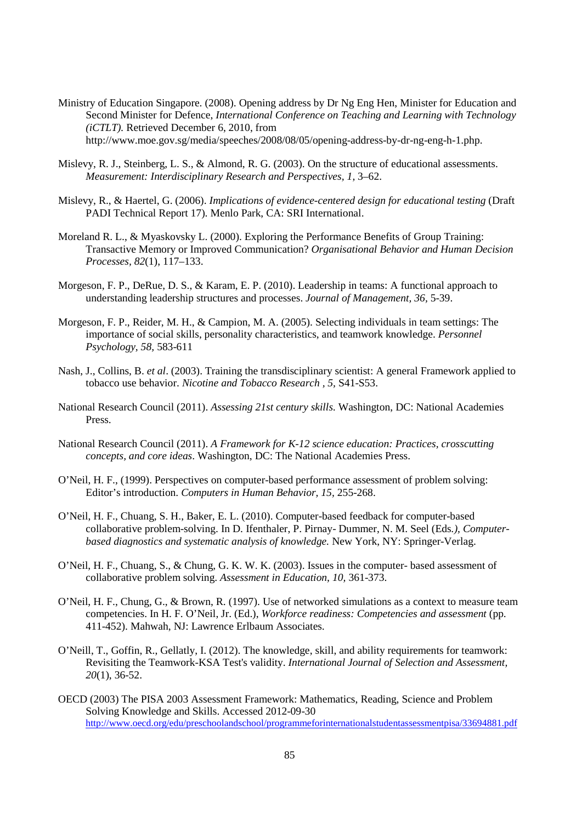- Ministry of Education Singapore. (2008). Opening address by Dr Ng Eng Hen, Minister for Education and Second Minister for Defence, *International Conference on Teaching and Learning with Technology (iCTLT).* Retrieved December 6, 2010, from http://www.moe.gov.sg/media/speeches/2008/08/05/opening-address-by-dr-ng-eng-h-1.php.
- Mislevy, R. J., Steinberg, L. S., & Almond, R. G. (2003). On the structure of educational assessments. *Measurement: Interdisciplinary Research and Perspectives, 1,* 3–62.
- Mislevy, R., & Haertel, G. (2006). *Implications of evidence-centered design for educational testing* (Draft PADI Technical Report 17). Menlo Park, CA: SRI International.
- Moreland R. L., & Myaskovsky L. (2000). Exploring the Performance Benefits of Group Training: Transactive Memory or Improved Communication? *Organisational Behavior and Human Decision Processes, 82*(1), 117–133.
- Morgeson, F. P., DeRue, D. S., & Karam, E. P. (2010). Leadership in teams: A functional approach to understanding leadership structures and processes. *Journal of Management, 36,* 5-39.
- Morgeson, F. P., Reider, M. H., & Campion, M. A. (2005). Selecting individuals in team settings: The importance of social skills, personality characteristics, and teamwork knowledge. *Personnel Psychology, 58,* 583-611
- Nash, J., Collins, B. *et al*. (2003). Training the transdisciplinary scientist: A general Framework applied to tobacco use behavior. *Nicotine and Tobacco Research , 5,* S41-S53.
- National Research Council (2011). *Assessing 21st century skills*. Washington, DC: National Academies Press.
- National Research Council (2011). *A Framework for K-12 science education: Practices, crosscutting concepts, and core ideas*. Washington, DC: The National Academies Press.
- O'Neil, H. F., (1999). Perspectives on computer-based performance assessment of problem solving: Editor's introduction. *Computers in Human Behavior, 15,* 255-268.
- O'Neil, H. F., Chuang, S. H., Baker, E. L. (2010). Computer-based feedback for computer-based collaborative problem-solving. In D. Ifenthaler, P. Pirnay- Dummer, N. M. Seel (Eds*.), Computerbased diagnostics and systematic analysis of knowledge.* New York, NY: Springer-Verlag.
- O'Neil, H. F., Chuang, S., & Chung, G. K. W. K. (2003). Issues in the computer- based assessment of collaborative problem solving. *Assessment in Education, 10,* 361-373.
- O'Neil, H. F., Chung, G., & Brown, R. (1997). Use of networked simulations as a context to measure team competencies. In H. F. O'Neil, Jr. (Ed.), *Workforce readiness: Competencies and assessment* (pp. 411-452). Mahwah, NJ: Lawrence Erlbaum Associates.
- O'Neill, T., Goffin, R., Gellatly, I. (2012). The knowledge, skill, and ability requirements for teamwork: Revisiting the Teamwork-KSA Test's validity. *International Journal of Selection and Assessment, 20*(1), 36-52.
- OECD (2003) The PISA 2003 Assessment Framework: Mathematics, Reading, Science and Problem Solving Knowledge and Skills. Accessed 2012-09-30 <http://www.oecd.org/edu/preschoolandschool/programmeforinternationalstudentassessmentpisa/33694881.pdf>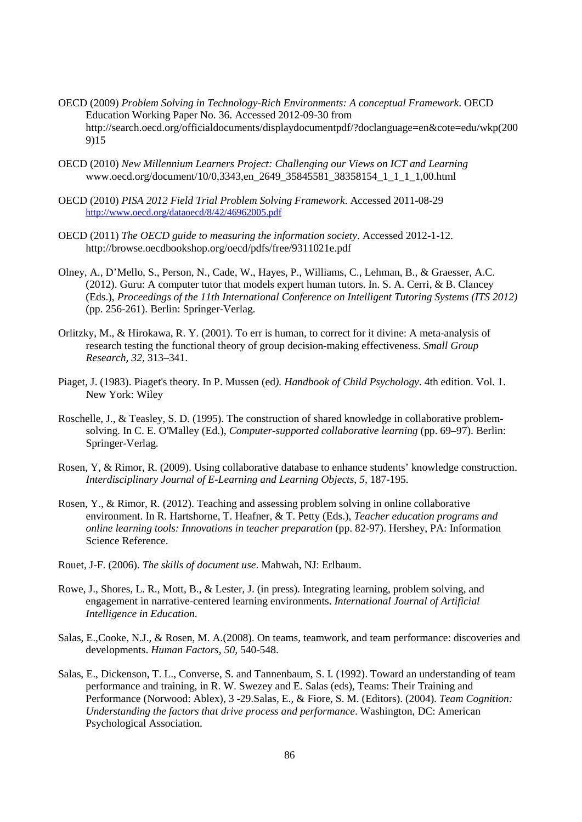- OECD (2009) *Problem Solving in Technology-Rich Environments: A conceptual Framework*. OECD Education Working Paper No. 36. Accessed 2012-09-30 from http://search.oecd.org/officialdocuments/displaydocumentpdf/?doclanguage=en&cote=edu/wkp(200 9)15
- OECD (2010) *New Millennium Learners Project: Challenging our Views on ICT and Learning* www.oecd.org/document/10/0,3343,en\_2649\_35845581\_38358154\_1\_1\_1\_1,00.html
- OECD (2010) *PISA 2012 Field Trial Problem Solving Framework*. Accessed 2011-08-29 <http://www.oecd.org/dataoecd/8/42/46962005.pdf>
- OECD (2011) *The OECD guide to measuring the information society*. Accessed 2012-1-12. http://browse.oecdbookshop.org/oecd/pdfs/free/9311021e.pdf
- Olney, A., D'Mello, S., Person, N., Cade, W., Hayes, P., Williams, C., Lehman, B., & Graesser, A.C. (2012). Guru: A computer tutor that models expert human tutors. In. S. A. Cerri, & B. Clancey (Eds.), *Proceedings of the 11th International Conference on Intelligent Tutoring Systems (ITS 2012)* (pp. 256-261). Berlin: Springer-Verlag.
- Orlitzky, M., & Hirokawa, R. Y. (2001). To err is human, to correct for it divine: A meta-analysis of research testing the functional theory of group decision-making effectiveness. *Small Group Research, 32,* 313–341.
- Piaget, J. (1983). Piaget's theory. In P. Mussen (ed*). Handbook of Child Psychology*. 4th edition. Vol. 1. New York: Wiley
- Roschelle, J., & Teasley, S. D. (1995). The construction of shared knowledge in collaborative problemsolving. In C. E. O'Malley (Ed.), *Computer-supported collaborative learning* (pp. 69–97). Berlin: Springer-Verlag.
- Rosen, Y, & Rimor, R. (2009). Using collaborative database to enhance students' knowledge construction. *Interdisciplinary Journal of E-Learning and Learning Objects, 5,* 187-195.
- Rosen, Y., & Rimor, R. (2012). Teaching and assessing problem solving in online collaborative environment. In R. Hartshorne, T. Heafner, & T. Petty (Eds.), *Teacher education programs and online learning tools: Innovations in teacher preparation* (pp. 82-97). Hershey, PA: Information Science Reference.
- Rouet, J-F. (2006). *The skills of document use*. Mahwah, NJ: Erlbaum.
- Rowe, J., Shores, L. R., Mott, B., & Lester, J. (in press). Integrating learning, problem solving, and engagement in narrative-centered learning environments. *International Journal of Artificial Intelligence in Education*.
- Salas, E.,Cooke, N.J., & Rosen, M. A.(2008). On teams, teamwork, and team performance: discoveries and developments. *Human Factors, 50,* 540-548.
- Salas, E., Dickenson, T. L., Converse, S. and Tannenbaum, S. I. (1992). Toward an understanding of team performance and training, in R. W. Swezey and E. Salas (eds), Teams: Their Training and Performance (Norwood: Ablex), 3 -29.Salas, E., & Fiore, S. M. (Editors). (2004). *Team Cognition: Understanding the factors that drive process and performance*. Washington, DC: American Psychological Association.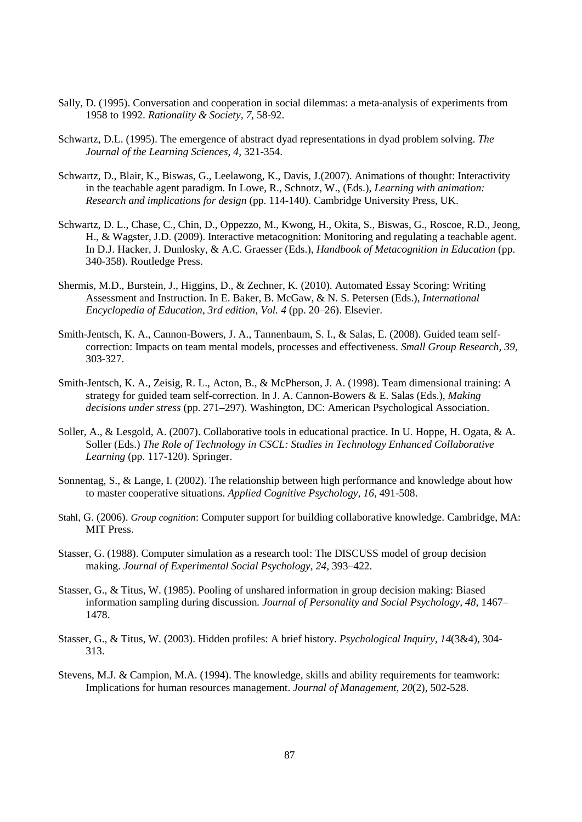- Sally, D. (1995). Conversation and cooperation in social dilemmas: a meta-analysis of experiments from 1958 to 1992. *Rationality & Society, 7,* 58-92.
- Schwartz, D.L. (1995). The emergence of abstract dyad representations in dyad problem solving. *The Journal of the Learning Sciences, 4,* 321-354.
- Schwartz, D., Blair, K., Biswas, G., Leelawong, K., Davis, J.(2007). Animations of thought: Interactivity in the teachable agent paradigm. In Lowe, R., Schnotz, W., (Eds.), *Learning with animation: Research and implications for design* (pp. 114-140). Cambridge University Press, UK.
- Schwartz, D. L., Chase, C., Chin, D., Oppezzo, M., Kwong, H., Okita, S., Biswas, G., Roscoe, R.D., Jeong, H., & Wagster, J.D. (2009). Interactive metacognition: Monitoring and regulating a teachable agent. In D.J. Hacker, J. Dunlosky, & A.C. Graesser (Eds.), *Handbook of Metacognition in Education* (pp. 340-358). Routledge Press.
- Shermis, M.D., Burstein, J., Higgins, D., & Zechner, K. (2010). Automated Essay Scoring: Writing Assessment and Instruction. In E. Baker, B. McGaw, & N. S. Petersen (Eds.), *International Encyclopedia of Education, 3rd edition, Vol. 4* (pp. 20–26). Elsevier.
- Smith-Jentsch, K. A., Cannon-Bowers, J. A., Tannenbaum, S. I., & Salas, E. (2008). Guided team selfcorrection: Impacts on team mental models, processes and effectiveness. *Small Group Research, 39,* 303-327.
- Smith-Jentsch, K. A., Zeisig, R. L., Acton, B., & McPherson, J. A. (1998). Team dimensional training: A strategy for guided team self-correction. In J. A. Cannon-Bowers & E. Salas (Eds.), *Making decisions under stress* (pp. 271–297). Washington, DC: American Psychological Association.
- Soller, A., & Lesgold, A. (2007). Collaborative tools in educational practice. In U. Hoppe, H. Ogata, & A. Soller (Eds.) *[The Role of Technology in CSCL: Studies in Technology Enhanced Collaborative](http://www.springer.com/west/home/new+%26+forthcoming+titles+%28default%29?SGWID=4-40356-22-173727121-0)  [Learning](http://www.springer.com/west/home/new+%26+forthcoming+titles+%28default%29?SGWID=4-40356-22-173727121-0)* (pp. 117-120). Springer.
- Sonnentag, S., & Lange, I. (2002). The relationship between high performance and knowledge about how to master cooperative situations. *Applied Cognitive Psychology, 16,* 491-508.
- Stahl, G. (2006). *Group cognition*: Computer support for building collaborative knowledge. Cambridge, MA: MIT Press.
- Stasser, G. (1988). Computer simulation as a research tool: The DISCUSS model of group decision making. *Journal of Experimental Social Psychology, 24,* 393–422.
- Stasser, G., & Titus, W. (1985). Pooling of unshared information in group decision making: Biased information sampling during discussion*. Journal of Personality and Social Psychology, 48,* 1467– 1478.
- Stasser, G., & Titus, W. (2003). Hidden profiles: A brief history. *Psychological Inquiry, 14*(3&4), 304- 313.
- Stevens, M.J. & Campion, M.A. (1994). The knowledge, skills and ability requirements for teamwork: Implications for human resources management. *Journal of Management, 20*(2), 502-528.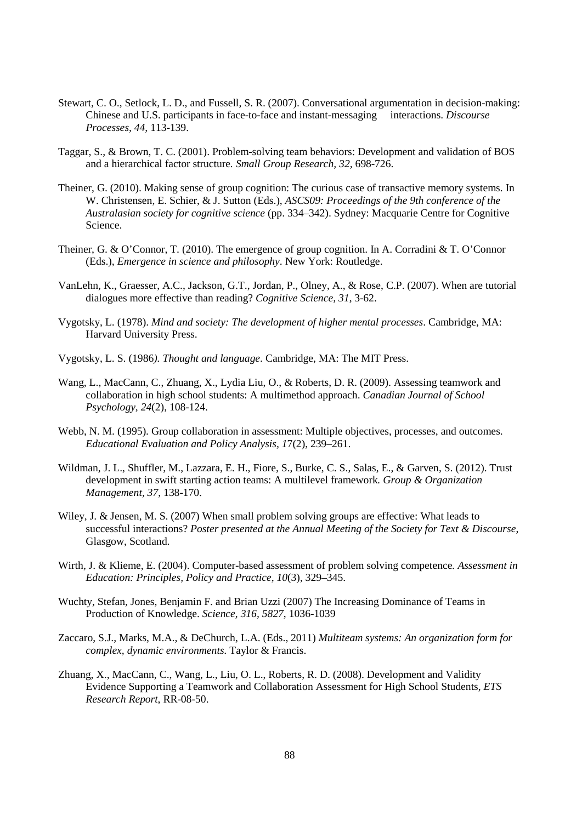- Stewart, C. O., Setlock, L. D., and Fussell, S. R. (2007). Conversational argumentation in decision-making: Chinese and U.S. participants in face-to-face and instant-messaging interactions. *Discourse Processes, 44,* 113-139.
- Taggar, S., & Brown, T. C. (2001). Problem-solving team behaviors: Development and validation of BOS and a hierarchical factor structure*. Small Group Research, 32,* 698-726.
- Theiner, G. (2010). Making sense of group cognition: The curious case of transactive memory systems. In W. Christensen, E. Schier, & J. Sutton (Eds.), *ASCS09: Proceedings of the 9th conference of the Australasian society for cognitive science* (pp. 334–342). Sydney: Macquarie Centre for Cognitive Science.
- Theiner, G. & O'Connor, T. (2010). The emergence of group cognition. In A. Corradini & T. O'Connor (Eds.), *Emergence in science and philosophy*. New York: Routledge.
- VanLehn, K., Graesser, A.C., Jackson, G.T., Jordan, P., Olney, A., & Rose, C.P. (2007). When are tutorial dialogues more effective than reading? *Cognitive Science, 31,* 3-62.
- Vygotsky, L. (1978). *Mind and society: The development of higher mental processes*. Cambridge, MA: Harvard University Press.
- Vygotsky, L. S. (1986*). Thought and language*. Cambridge, MA: The MIT Press.
- Wang, L., MacCann, C., Zhuang, X., Lydia Liu, O., & Roberts, D. R. (2009). Assessing teamwork and collaboration in high school students: A multimethod approach. *Canadian Journal of School Psychology, 24*(2), 108-124.
- Webb, N. M. (1995). Group collaboration in assessment: Multiple objectives, processes, and outcomes. *Educational Evaluation and Policy Analysis, 1*7(2), 239–261.
- Wildman, J. L., Shuffler, M., Lazzara, E. H., Fiore, S., Burke, C. S., Salas, E., & Garven, S. (2012). Trust development in swift starting action teams: A multilevel framework*. Group & Organization Management, 37*, 138-170.
- Wiley, J. & Jensen, M. S. (2007) When small problem solving groups are effective: What leads to successful interactions? *Poster presented at the Annual Meeting of the Society for Text & Discourse*, Glasgow, Scotland.
- Wirth, J. & Klieme, E. (2004). Computer-based assessment of problem solving competence*. Assessment in Education: Principles, Policy and Practice, 10*(3), 329–345.
- Wuchty, Stefan, Jones, Benjamin F. and Brian Uzzi (2007) The Increasing Dominance of Teams in Production of Knowledge. *Science, 316, 5827*, 1036-1039
- Zaccaro, S.J., Marks, M.A., & DeChurch, L.A. (Eds., 2011) *Multiteam systems: An organization form for complex, dynamic environments.* Taylor & Francis.
- Zhuang, X., MacCann, C., Wang, L., Liu, O. L., Roberts, R. D. (2008). Development and Validity Evidence Supporting a Teamwork and Collaboration Assessment for High School Students, *ETS Research Report*, RR-08-50.